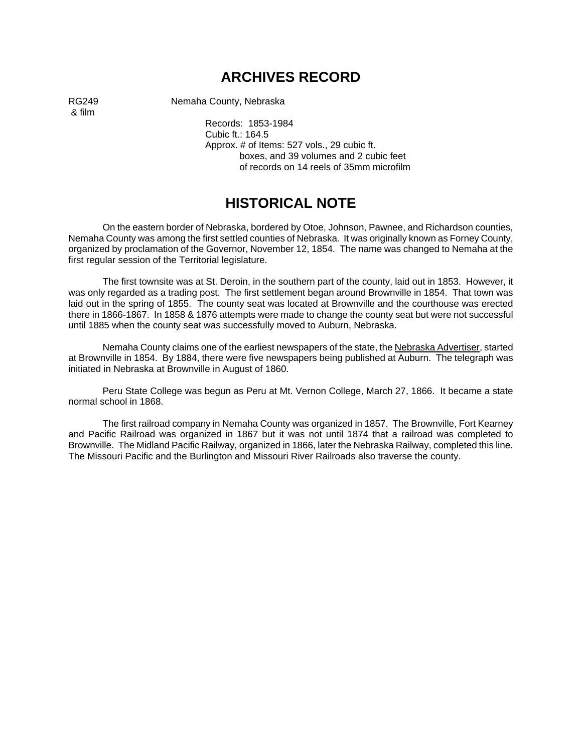# **ARCHIVES RECORD**

& film

RG249 Nemaha County, Nebraska

Records: 1853-1984 Cubic ft.: 164.5 Approx. # of Items: 527 vols., 29 cubic ft. boxes, and 39 volumes and 2 cubic feet of records on 14 reels of 35mm microfilm

# **HISTORICAL NOTE**

On the eastern border of Nebraska, bordered by Otoe, Johnson, Pawnee, and Richardson counties, Nemaha County was among the first settled counties of Nebraska. It was originally known as Forney County, organized by proclamation of the Governor, November 12, 1854. The name was changed to Nemaha at the first regular session of the Territorial legislature.

The first townsite was at St. Deroin, in the southern part of the county, laid out in 1853. However, it was only regarded as a trading post. The first settlement began around Brownville in 1854. That town was laid out in the spring of 1855. The county seat was located at Brownville and the courthouse was erected there in 1866-1867. In 1858 & 1876 attempts were made to change the county seat but were not successful until 1885 when the county seat was successfully moved to Auburn, Nebraska.

Nemaha County claims one of the earliest newspapers of the state, the Nebraska Advertiser, started at Brownville in 1854. By 1884, there were five newspapers being published at Auburn. The telegraph was initiated in Nebraska at Brownville in August of 1860.

Peru State College was begun as Peru at Mt. Vernon College, March 27, 1866. It became a state normal school in 1868.

The first railroad company in Nemaha County was organized in 1857. The Brownville, Fort Kearney and Pacific Railroad was organized in 1867 but it was not until 1874 that a railroad was completed to Brownville. The Midland Pacific Railway, organized in 1866, later the Nebraska Railway, completed this line. The Missouri Pacific and the Burlington and Missouri River Railroads also traverse the county.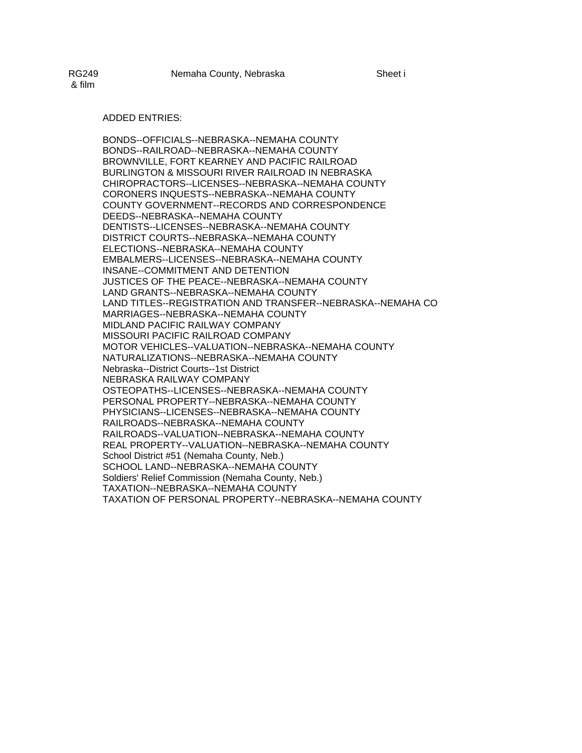#### ADDED ENTRIES:

BONDS--OFFICIALS--NEBRASKA--NEMAHA COUNTY BONDS--RAILROAD--NEBRASKA--NEMAHA COUNTY BROWNVILLE, FORT KEARNEY AND PACIFIC RAILROAD BURLINGTON & MISSOURI RIVER RAILROAD IN NEBRASKA CHIROPRACTORS--LICENSES--NEBRASKA--NEMAHA COUNTY CORONERS INQUESTS--NEBRASKA--NEMAHA COUNTY COUNTY GOVERNMENT--RECORDS AND CORRESPONDENCE DEEDS--NEBRASKA--NEMAHA COUNTY DENTISTS--LICENSES--NEBRASKA--NEMAHA COUNTY DISTRICT COURTS--NEBRASKA--NEMAHA COUNTY ELECTIONS--NEBRASKA--NEMAHA COUNTY EMBALMERS--LICENSES--NEBRASKA--NEMAHA COUNTY INSANE--COMMITMENT AND DETENTION JUSTICES OF THE PEACE--NEBRASKA--NEMAHA COUNTY LAND GRANTS--NEBRASKA--NEMAHA COUNTY LAND TITLES--REGISTRATION AND TRANSFER--NEBRASKA--NEMAHA CO MARRIAGES--NEBRASKA--NEMAHA COUNTY MIDLAND PACIFIC RAILWAY COMPANY MISSOURI PACIFIC RAILROAD COMPANY MOTOR VEHICLES--VALUATION--NEBRASKA--NEMAHA COUNTY NATURALIZATIONS--NEBRASKA--NEMAHA COUNTY Nebraska--District Courts--1st District NEBRASKA RAILWAY COMPANY OSTEOPATHS--LICENSES--NEBRASKA--NEMAHA COUNTY PERSONAL PROPERTY--NEBRASKA--NEMAHA COUNTY PHYSICIANS--LICENSES--NEBRASKA--NEMAHA COUNTY RAILROADS--NEBRASKA--NEMAHA COUNTY RAILROADS--VALUATION--NEBRASKA--NEMAHA COUNTY REAL PROPERTY--VALUATION--NEBRASKA--NEMAHA COUNTY School District #51 (Nemaha County, Neb.) SCHOOL LAND--NEBRASKA--NEMAHA COUNTY Soldiers' Relief Commission (Nemaha County, Neb.) TAXATION--NEBRASKA--NEMAHA COUNTY TAXATION OF PERSONAL PROPERTY--NEBRASKA--NEMAHA COUNTY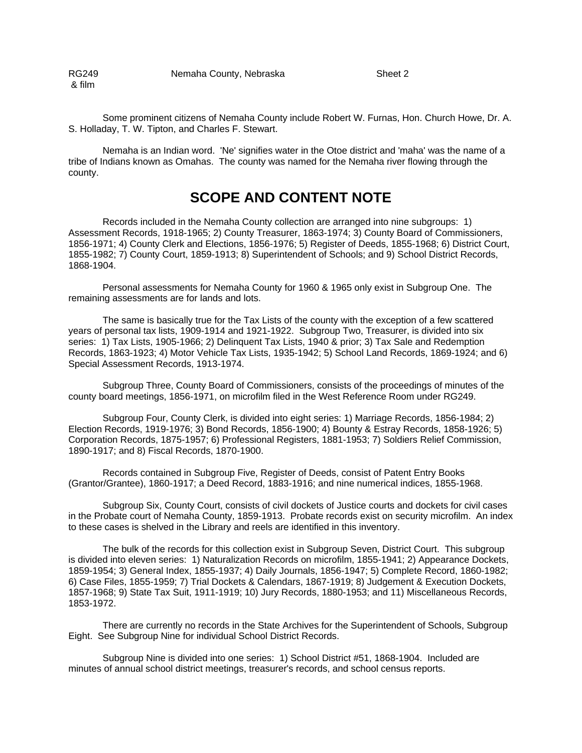RG249 Nemaha County, Nebraska & film

Some prominent citizens of Nemaha County include Robert W. Furnas, Hon. Church Howe, Dr. A. S. Holladay, T. W. Tipton, and Charles F. Stewart.

Nemaha is an Indian word. 'Ne' signifies water in the Otoe district and 'maha' was the name of a tribe of Indians known as Omahas. The county was named for the Nemaha river flowing through the county.

# **SCOPE AND CONTENT NOTE**

Records included in the Nemaha County collection are arranged into nine subgroups: 1) Assessment Records, 1918-1965; 2) County Treasurer, 1863-1974; 3) County Board of Commissioners, 1856-1971; 4) County Clerk and Elections, 1856-1976; 5) Register of Deeds, 1855-1968; 6) District Court, 1855-1982; 7) County Court, 1859-1913; 8) Superintendent of Schools; and 9) School District Records, 1868-1904.

Personal assessments for Nemaha County for 1960 & 1965 only exist in Subgroup One. The remaining assessments are for lands and lots.

The same is basically true for the Tax Lists of the county with the exception of a few scattered years of personal tax lists, 1909-1914 and 1921-1922. Subgroup Two, Treasurer, is divided into six series: 1) Tax Lists, 1905-1966; 2) Delinquent Tax Lists, 1940 & prior; 3) Tax Sale and Redemption Records, 1863-1923; 4) Motor Vehicle Tax Lists, 1935-1942; 5) School Land Records, 1869-1924; and 6) Special Assessment Records, 1913-1974.

Subgroup Three, County Board of Commissioners, consists of the proceedings of minutes of the county board meetings, 1856-1971, on microfilm filed in the West Reference Room under RG249.

Subgroup Four, County Clerk, is divided into eight series: 1) Marriage Records, 1856-1984; 2) Election Records, 1919-1976; 3) Bond Records, 1856-1900; 4) Bounty & Estray Records, 1858-1926; 5) Corporation Records, 1875-1957; 6) Professional Registers, 1881-1953; 7) Soldiers Relief Commission, 1890-1917; and 8) Fiscal Records, 1870-1900.

Records contained in Subgroup Five, Register of Deeds, consist of Patent Entry Books (Grantor/Grantee), 1860-1917; a Deed Record, 1883-1916; and nine numerical indices, 1855-1968.

Subgroup Six, County Court, consists of civil dockets of Justice courts and dockets for civil cases in the Probate court of Nemaha County, 1859-1913. Probate records exist on security microfilm. An index to these cases is shelved in the Library and reels are identified in this inventory.

The bulk of the records for this collection exist in Subgroup Seven, District Court. This subgroup is divided into eleven series: 1) Naturalization Records on microfilm, 1855-1941; 2) Appearance Dockets, 1859-1954; 3) General Index, 1855-1937; 4) Daily Journals, 1856-1947; 5) Complete Record, 1860-1982; 6) Case Files, 1855-1959; 7) Trial Dockets & Calendars, 1867-1919; 8) Judgement & Execution Dockets, 1857-1968; 9) State Tax Suit, 1911-1919; 10) Jury Records, 1880-1953; and 11) Miscellaneous Records, 1853-1972.

There are currently no records in the State Archives for the Superintendent of Schools, Subgroup Eight. See Subgroup Nine for individual School District Records.

Subgroup Nine is divided into one series: 1) School District #51, 1868-1904. Included are minutes of annual school district meetings, treasurer's records, and school census reports.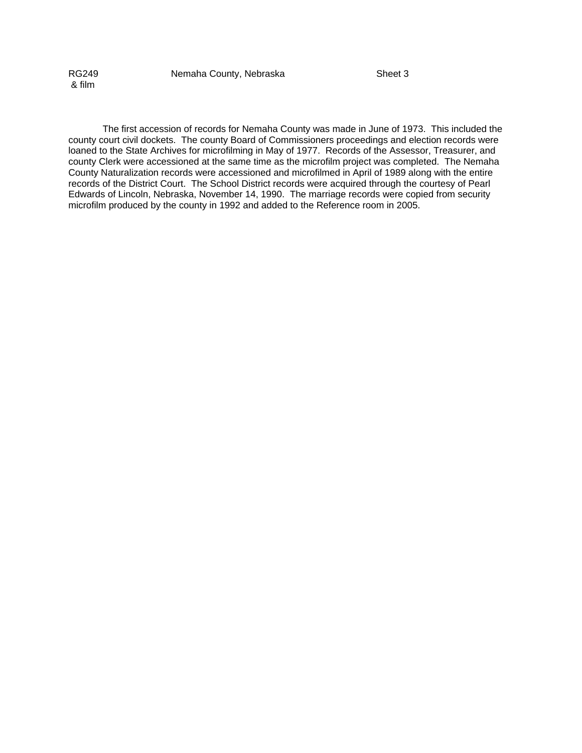& film

RG249 Nemaha County, Nebraska Sheet 3

The first accession of records for Nemaha County was made in June of 1973. This included the county court civil dockets. The county Board of Commissioners proceedings and election records were loaned to the State Archives for microfilming in May of 1977. Records of the Assessor, Treasurer, and county Clerk were accessioned at the same time as the microfilm project was completed. The Nemaha County Naturalization records were accessioned and microfilmed in April of 1989 along with the entire records of the District Court. The School District records were acquired through the courtesy of Pearl Edwards of Lincoln, Nebraska, November 14, 1990. The marriage records were copied from security microfilm produced by the county in 1992 and added to the Reference room in 2005.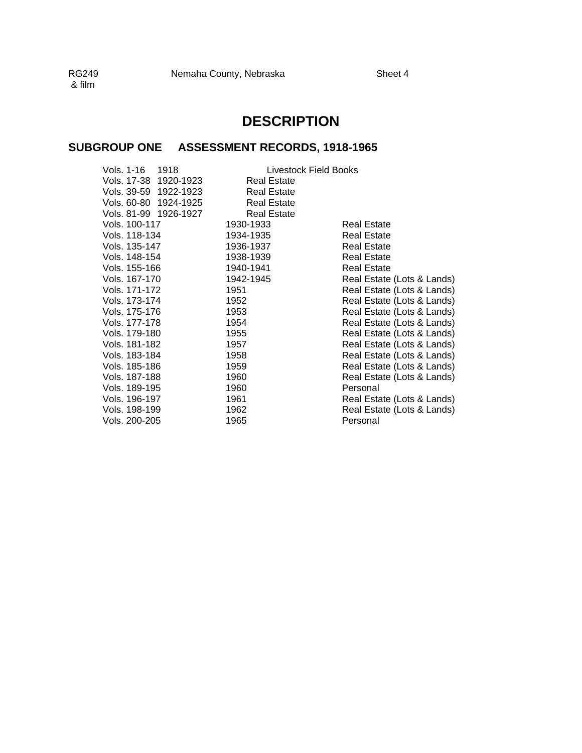& film

# **DESCRIPTION**

## **SUBGROUP ONE ASSESSMENT RECORDS, 1918-1965**

|                       | Livestock Field Books |                            |
|-----------------------|-----------------------|----------------------------|
| Vols. 17-38 1920-1923 | <b>Real Estate</b>    |                            |
| Vols. 39-59 1922-1923 | <b>Real Estate</b>    |                            |
| Vols. 60-80 1924-1925 | <b>Real Estate</b>    |                            |
| Vols. 81-99 1926-1927 | <b>Real Estate</b>    |                            |
| Vols. 100-117         | 1930-1933             | <b>Real Estate</b>         |
| Vols. 118-134         | 1934-1935             | <b>Real Estate</b>         |
| Vols. 135-147         | 1936-1937             | Real Estate                |
| Vols. 148-154         | 1938-1939             | <b>Real Estate</b>         |
| Vols. 155-166         | 1940-1941             | <b>Real Estate</b>         |
| Vols. 167-170         | 1942-1945             | Real Estate (Lots & Lands) |
| Vols. 171-172         | 1951                  | Real Estate (Lots & Lands) |
| Vols. 173-174         | 1952                  | Real Estate (Lots & Lands) |
| Vols. 175-176         | 1953                  | Real Estate (Lots & Lands) |
| Vols. 177-178         | 1954                  | Real Estate (Lots & Lands) |
| Vols. 179-180         | 1955                  | Real Estate (Lots & Lands) |
| Vols. 181-182         | 1957                  | Real Estate (Lots & Lands) |
| Vols. 183-184         | 1958                  | Real Estate (Lots & Lands) |
| Vols. 185-186         | 1959                  | Real Estate (Lots & Lands) |
| Vols. 187-188         | 1960                  | Real Estate (Lots & Lands) |
| Vols. 189-195         | 1960                  | Personal                   |
| Vols. 196-197         | 1961                  | Real Estate (Lots & Lands) |
| Vols. 198-199         | 1962                  | Real Estate (Lots & Lands) |
| Vols. 200-205         | 1965                  | Personal                   |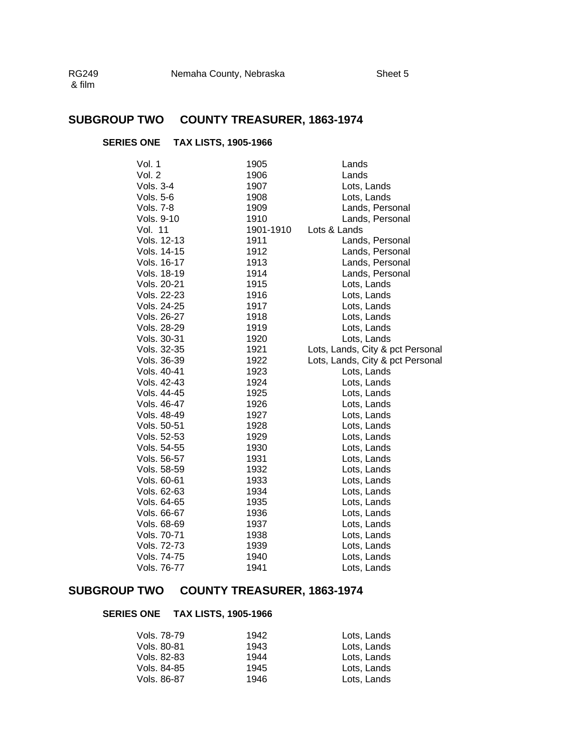# **SUBGROUP TWO COUNTY TREASURER, 1863-1974**

### **SERIES ONE TAX LISTS, 1905-1966**

| Vol. 1      | 1905      | Lands                            |
|-------------|-----------|----------------------------------|
| Vol. 2      | 1906      | Lands                            |
| Vols. 3-4   | 1907      | Lots, Lands                      |
| Vols. 5-6   | 1908      | Lots, Lands                      |
| Vols. 7-8   | 1909      | Lands, Personal                  |
| Vols. 9-10  | 1910      | Lands, Personal                  |
| Vol. 11     | 1901-1910 | Lots & Lands                     |
| Vols. 12-13 | 1911      | Lands, Personal                  |
| Vols. 14-15 | 1912      | Lands, Personal                  |
| Vols. 16-17 | 1913      | Lands, Personal                  |
| Vols. 18-19 | 1914      | Lands, Personal                  |
| Vols. 20-21 | 1915      | Lots, Lands                      |
| Vols. 22-23 | 1916      | Lots, Lands                      |
| Vols. 24-25 | 1917      | Lots, Lands                      |
| Vols. 26-27 | 1918      | Lots, Lands                      |
| Vols. 28-29 | 1919      | Lots, Lands                      |
| Vols. 30-31 | 1920      | Lots, Lands                      |
| Vols. 32-35 | 1921      | Lots, Lands, City & pct Personal |
| Vols. 36-39 | 1922      | Lots, Lands, City & pct Personal |
| Vols. 40-41 | 1923      | Lots, Lands                      |
| Vols. 42-43 | 1924      | Lots, Lands                      |
| Vols. 44-45 | 1925      | Lots, Lands                      |
| Vols. 46-47 | 1926      | Lots, Lands                      |
| Vols. 48-49 | 1927      | Lots, Lands                      |
| Vols. 50-51 | 1928      | Lots, Lands                      |
| Vols. 52-53 | 1929      | Lots, Lands                      |
| Vols. 54-55 | 1930      | Lots, Lands                      |
| Vols. 56-57 | 1931      | Lots, Lands                      |
| Vols. 58-59 | 1932      | Lots, Lands                      |
| Vols. 60-61 | 1933      | Lots, Lands                      |
| Vols. 62-63 | 1934      | Lots, Lands                      |
| Vols. 64-65 | 1935      | Lots, Lands                      |
| Vols. 66-67 | 1936      | Lots, Lands                      |
| Vols. 68-69 | 1937      | Lots, Lands                      |
| Vols. 70-71 | 1938      | Lots, Lands                      |
| Vols. 72-73 | 1939      | Lots, Lands                      |
| Vols. 74-75 | 1940      | Lots, Lands                      |
| Vols. 76-77 | 1941      | Lots, Lands                      |

### **SUBGROUP TWO COUNTY TREASURER, 1863-1974**

#### **SERIES ONE TAX LISTS, 1905-1966**

| Vols. 78-79 | 1942 | Lots, Lands |
|-------------|------|-------------|
| Vols. 80-81 | 1943 | Lots, Lands |
| Vols. 82-83 | 1944 | Lots, Lands |
| Vols. 84-85 | 1945 | Lots, Lands |
| Vols, 86-87 | 1946 | Lots. Lands |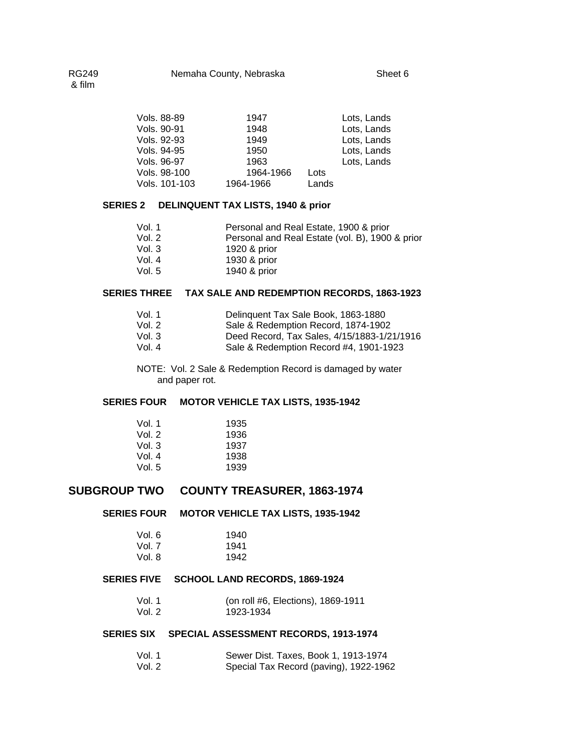| Vols, 88-89   | 1947      |           | Lots, Lands |
|---------------|-----------|-----------|-------------|
| Vols. 90-91   | 1948      |           | Lots, Lands |
| Vols, 92-93   | 1949      |           | Lots, Lands |
| Vols. 94-95   | 1950      |           | Lots, Lands |
| Vols. 96-97   | 1963      |           | Lots, Lands |
| Vols. 98-100  | 1964-1966 | Lots      |             |
| Vols. 101-103 |           | Lands     |             |
|               |           | 1964-1966 |             |

### **SERIES 2 DELINQUENT TAX LISTS, 1940 & prior**

| Vol. 1   | Personal and Real Estate, 1900 & prior          |
|----------|-------------------------------------------------|
| Vol. $2$ | Personal and Real Estate (vol. B), 1900 & prior |
| Vol. 3   | 1920 & prior                                    |
| Vol. 4   | 1930 & prior                                    |
| Vol. 5   | 1940 & prior                                    |

#### **SERIES THREE TAX SALE AND REDEMPTION RECORDS, 1863-1923**

| Vol. 1 | Delinguent Tax Sale Book, 1863-1880         |
|--------|---------------------------------------------|
| Vol. 2 | Sale & Redemption Record, 1874-1902         |
| Vol. 3 | Deed Record, Tax Sales, 4/15/1883-1/21/1916 |
| Vol. 4 | Sale & Redemption Record #4, 1901-1923      |

NOTE: Vol. 2 Sale & Redemption Record is damaged by water and paper rot.

#### **SERIES FOUR MOTOR VEHICLE TAX LISTS, 1935-1942**

| Vol. 1 | 1935 |
|--------|------|
| Vol. 2 | 1936 |
| Vol. 3 | 1937 |
| Vol. 4 | 1938 |
| Vol. 5 | 1939 |

### **SUBGROUP TWO COUNTY TREASURER, 1863-1974**

#### **SERIES FOUR MOTOR VEHICLE TAX LISTS, 1935-1942**

| Vol. 6 | 1940 |
|--------|------|
| Vol. 7 | 1941 |
| Vol. 8 | 1942 |

#### **SERIES FIVE SCHOOL LAND RECORDS, 1869-1924**

| Vol. 1 | (on roll #6, Elections), 1869-1911 |
|--------|------------------------------------|
| Vol. 2 | 1923-1934                          |

### **SERIES SIX SPECIAL ASSESSMENT RECORDS, 1913-1974**

| Vol. 1 | Sewer Dist. Taxes, Book 1, 1913-1974   |
|--------|----------------------------------------|
| Vol. 2 | Special Tax Record (paving), 1922-1962 |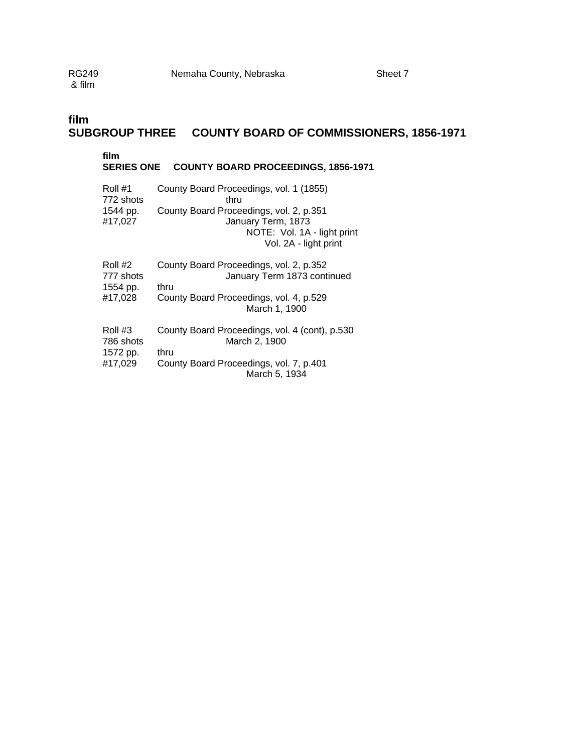## **film SUBGROUP THREE COUNTY BOARD OF COMMISSIONERS, 1856-1971**

### **film**

#### **SERIES ONE COUNTY BOARD PROCEEDINGS, 1856-1971**

| Roll #1             | County Board Proceedings, vol. 1 (1855)                                                                               |
|---------------------|-----------------------------------------------------------------------------------------------------------------------|
| 772 shots           | thru                                                                                                                  |
| 1544 pp.<br>#17,027 | County Board Proceedings, vol. 2, p.351<br>January Term, 1873<br>NOTE: Vol. 1A - light print<br>Vol. 2A - light print |
| Roll #2             | County Board Proceedings, vol. 2, p.352                                                                               |
| 777 shots           | January Term 1873 continued                                                                                           |
| 1554 pp.            | thru                                                                                                                  |
| #17,028             | County Board Proceedings, vol. 4, p.529<br>March 1, 1900                                                              |
| Roll #3             | County Board Proceedings, vol. 4 (cont), p.530                                                                        |
| 786 shots           | March 2, 1900                                                                                                         |
| 1572 pp.            | thru                                                                                                                  |
| #17,029             | County Board Proceedings, vol. 7, p.401<br>March 5, 1934                                                              |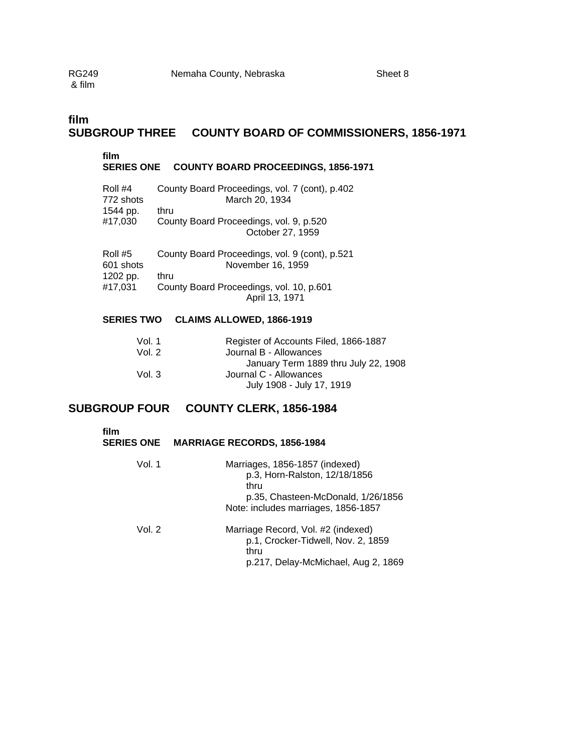## **film SUBGROUP THREE COUNTY BOARD OF COMMISSIONERS, 1856-1971**

### **film SERIES ONE COUNTY BOARD PROCEEDINGS, 1856-1971**  Roll #4 County Board Proceedings, vol. 7 (cont), p.402 772 shots March 20, 1934 1544 pp. thru<br>#17,030 Cour County Board Proceedings, vol. 9, p.520 October 27, 1959

| Roll #5<br>601 shots | County Board Proceedings, vol. 9 (cont), p.521<br>November 16, 1959 |
|----------------------|---------------------------------------------------------------------|
| 1202 pp.             | thru                                                                |
| #17,031              | County Board Proceedings, vol. 10, p.601                            |
|                      | April 13, 1971                                                      |

### **SERIES TWO CLAIMS ALLOWED, 1866-1919**

| Vol. 1 | Register of Accounts Filed, 1866-1887 |
|--------|---------------------------------------|
| Vol. 2 | Journal B - Allowances                |
|        | January Term 1889 thru July 22, 1908  |
| Vol. 3 | Journal C - Allowances                |
|        | July 1908 - July 17, 1919             |

### **SUBGROUP FOUR COUNTY CLERK, 1856-1984**

| film<br><b>SERIES ONE</b> | <b>MARRIAGE RECORDS, 1856-1984</b>                                                                                                                   |
|---------------------------|------------------------------------------------------------------------------------------------------------------------------------------------------|
| Vol. 1                    | Marriages, 1856-1857 (indexed)<br>p.3, Horn-Ralston, 12/18/1856<br>thru<br>p.35, Chasteen-McDonald, 1/26/1856<br>Note: includes marriages, 1856-1857 |
| Vol. $2$                  | Marriage Record, Vol. #2 (indexed)<br>p.1, Crocker-Tidwell, Nov. 2, 1859<br>thru<br>p.217, Delay-McMichael, Aug 2, 1869                              |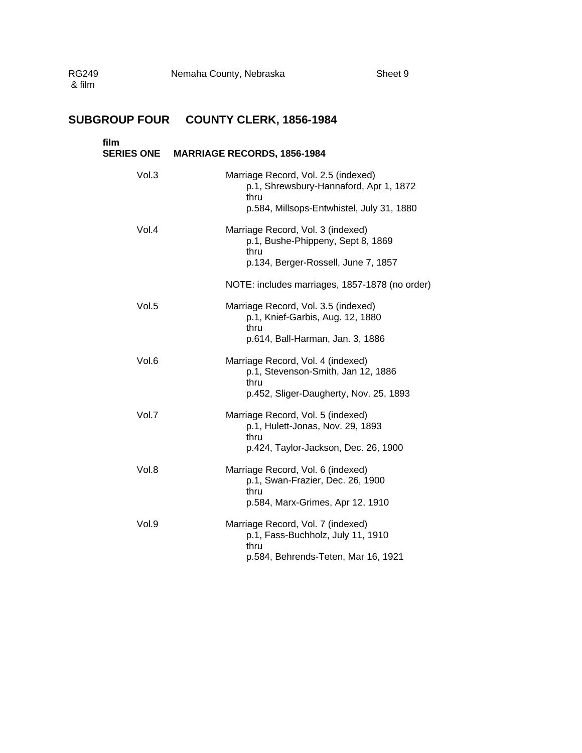# **SUBGROUP FOUR COUNTY CLERK, 1856-1984**

| film  | SERIES ONE MARRIAGE RECORDS, 1856-1984                                                                                             |
|-------|------------------------------------------------------------------------------------------------------------------------------------|
| Vol.3 | Marriage Record, Vol. 2.5 (indexed)<br>p.1, Shrewsbury-Hannaford, Apr 1, 1872<br>thru<br>p.584, Millsops-Entwhistel, July 31, 1880 |
| Vol.4 | Marriage Record, Vol. 3 (indexed)<br>p.1, Bushe-Phippeny, Sept 8, 1869<br>thru<br>p.134, Berger-Rossell, June 7, 1857              |
|       | NOTE: includes marriages, 1857-1878 (no order)                                                                                     |
| Vol.5 | Marriage Record, Vol. 3.5 (indexed)<br>p.1, Knief-Garbis, Aug. 12, 1880<br>thru<br>p.614, Ball-Harman, Jan. 3, 1886                |
| Vol.6 | Marriage Record, Vol. 4 (indexed)<br>p.1, Stevenson-Smith, Jan 12, 1886<br>thru<br>p.452, Sliger-Daugherty, Nov. 25, 1893          |
| Vol.7 | Marriage Record, Vol. 5 (indexed)<br>p.1, Hulett-Jonas, Nov. 29, 1893<br>thru<br>p.424, Taylor-Jackson, Dec. 26, 1900              |
| Vol.8 | Marriage Record, Vol. 6 (indexed)<br>p.1, Swan-Frazier, Dec. 26, 1900<br>thru<br>p.584, Marx-Grimes, Apr 12, 1910                  |
| Vol.9 | Marriage Record, Vol. 7 (indexed)<br>p.1, Fass-Buchholz, July 11, 1910<br>thru<br>p.584, Behrends-Teten, Mar 16, 1921              |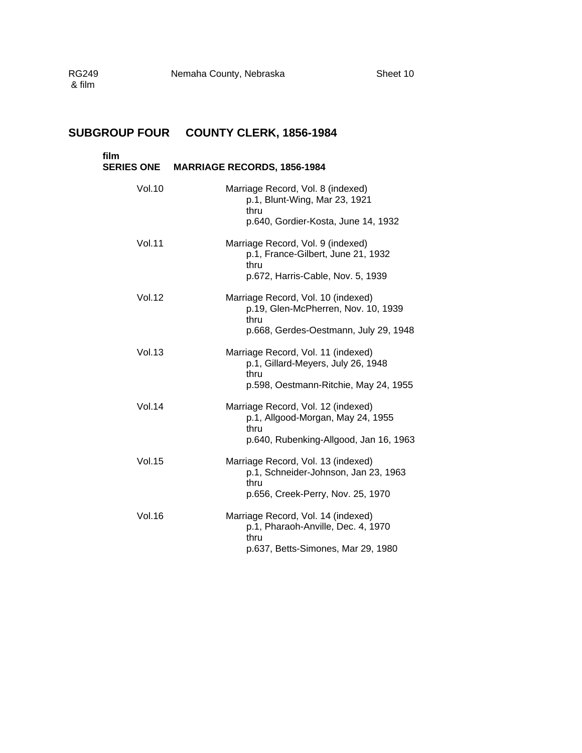| film<br><b>SERIES ONE</b> | <b>MARRIAGE RECORDS, 1856-1984</b>                                                                                         |
|---------------------------|----------------------------------------------------------------------------------------------------------------------------|
| <b>Vol.10</b>             | Marriage Record, Vol. 8 (indexed)<br>p.1, Blunt-Wing, Mar 23, 1921<br>thru<br>p.640, Gordier-Kosta, June 14, 1932          |
| <b>Vol.11</b>             | Marriage Record, Vol. 9 (indexed)<br>p.1, France-Gilbert, June 21, 1932<br>thru<br>p.672, Harris-Cable, Nov. 5, 1939       |
| <b>Vol.12</b>             | Marriage Record, Vol. 10 (indexed)<br>p.19, Glen-McPherren, Nov. 10, 1939<br>thru<br>p.668, Gerdes-Oestmann, July 29, 1948 |
| <b>Vol.13</b>             | Marriage Record, Vol. 11 (indexed)<br>p.1, Gillard-Meyers, July 26, 1948<br>thru<br>p.598, Oestmann-Ritchie, May 24, 1955  |
| <b>Vol.14</b>             | Marriage Record, Vol. 12 (indexed)<br>p.1, Allgood-Morgan, May 24, 1955<br>thru<br>p.640, Rubenking-Allgood, Jan 16, 1963  |
| <b>Vol.15</b>             | Marriage Record, Vol. 13 (indexed)<br>p.1, Schneider-Johnson, Jan 23, 1963<br>thru<br>p.656, Creek-Perry, Nov. 25, 1970    |
| <b>Vol.16</b>             | Marriage Record, Vol. 14 (indexed)<br>p.1, Pharaoh-Anville, Dec. 4, 1970<br>thru<br>p.637, Betts-Simones, Mar 29, 1980     |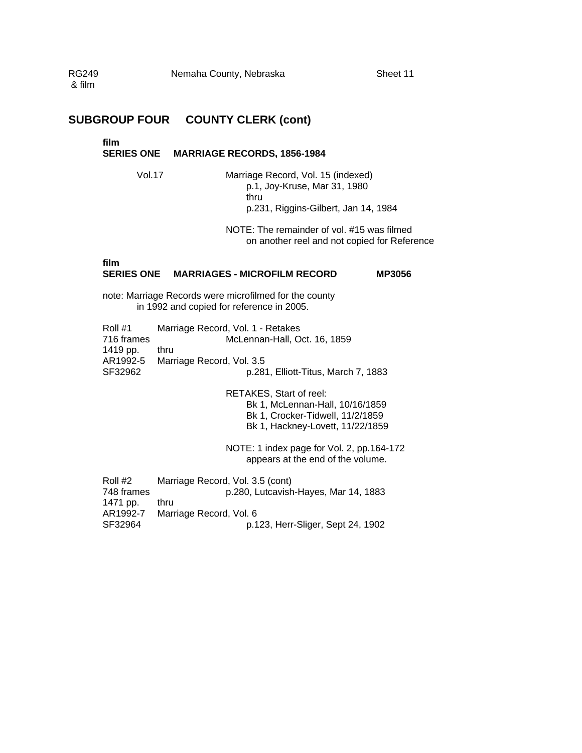## **SUBGROUP FOUR COUNTY CLERK (cont)**

#### **film**

#### **SERIES ONE MARRIAGE RECORDS, 1856-1984**

Vol.17 Marriage Record, Vol. 15 (indexed) p.1, Joy-Kruse, Mar 31, 1980 thru p.231, Riggins-Gilbert, Jan 14, 1984

> NOTE: The remainder of vol. #15 was filmed on another reel and not copied for Reference

### **film**

#### **SERIES ONE MARRIAGES - MICROFILM RECORD MP3056**

note: Marriage Records were microfilmed for the county in 1992 and copied for reference in 2005.

| Roll #1    | Marriage Record, Vol. 1 - Retakes   |
|------------|-------------------------------------|
| 716 frames | McLennan-Hall, Oct. 16, 1859        |
| 1419 pp.   | thru                                |
|            | AR1992-5 Marriage Record, Vol. 3.5  |
| SF32962    | p.281, Elliott-Titus, March 7, 1883 |
|            |                                     |

RETAKES, Start of reel: Bk 1, McLennan-Hall, 10/16/1859 Bk 1, Crocker-Tidwell, 11/2/1859 Bk 1, Hackney-Lovett, 11/22/1859

NOTE: 1 index page for Vol. 2, pp.164-172 appears at the end of the volume.

Roll #2 Marriage Record, Vol. 3.5 (cont) 748 frames p.280, Lutcavish-Hayes, Mar 14, 1883 1471 pp. thru<br>AR1992-7 Mari Marriage Record, Vol. 6 SF32964 p.123, Herr-Sliger, Sept 24, 1902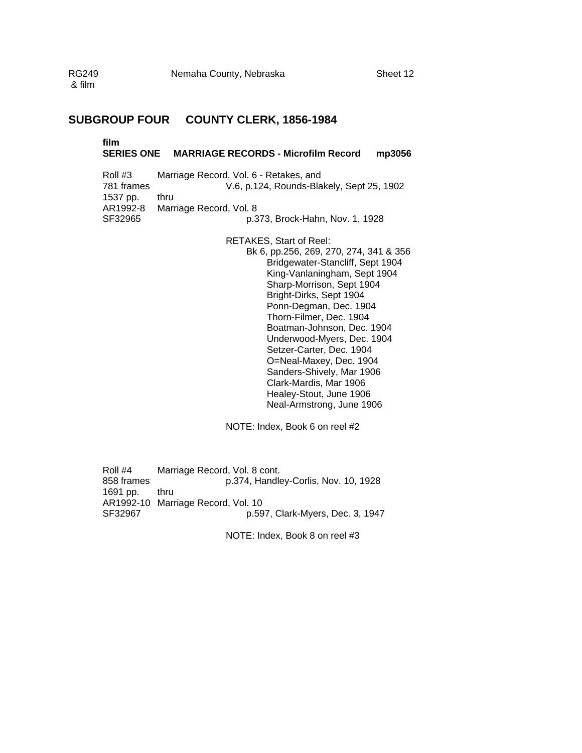## **SUBGROUP FOUR COUNTY CLERK, 1856-1984**

# **film**

### **SERIES ONE MARRIAGE RECORDS - Microfilm Record mp3056**

| Roll #3    | Marriage Record, Vol. 6 - Retakes, and    |
|------------|-------------------------------------------|
| 781 frames | V.6, p.124, Rounds-Blakely, Sept 25, 1902 |
| 1537 pp.   | thru                                      |
| AR1992-8   | Marriage Record, Vol. 8                   |
| SF32965    | p.373, Brock-Hahn, Nov. 1, 1928           |

RETAKES, Start of Reel: Bk 6, pp.256, 269, 270, 274, 341 & 356 Bridgewater-Stancliff, Sept 1904 King-Vanlaningham, Sept 1904 Sharp-Morrison, Sept 1904 Bright-Dirks, Sept 1904 Ponn-Degman, Dec. 1904 Thorn-Filmer, Dec. 1904 Boatman-Johnson, Dec. 1904 Underwood-Myers, Dec. 1904 Setzer-Carter, Dec. 1904 O=Neal-Maxey, Dec. 1904 Sanders-Shively, Mar 1906 Clark-Mardis, Mar 1906 Healey-Stout, June 1906 Neal-Armstrong, June 1906

NOTE: Index, Book 6 on reel #2

Roll #4 Marriage Record, Vol. 8 cont.<br>858 frames p.374, Handle p.374, Handley-Corlis, Nov. 10, 1928 1691 pp. thru AR1992-10 Marriage Record, Vol. 10 p.597, Clark-Myers, Dec. 3, 1947

NOTE: Index, Book 8 on reel #3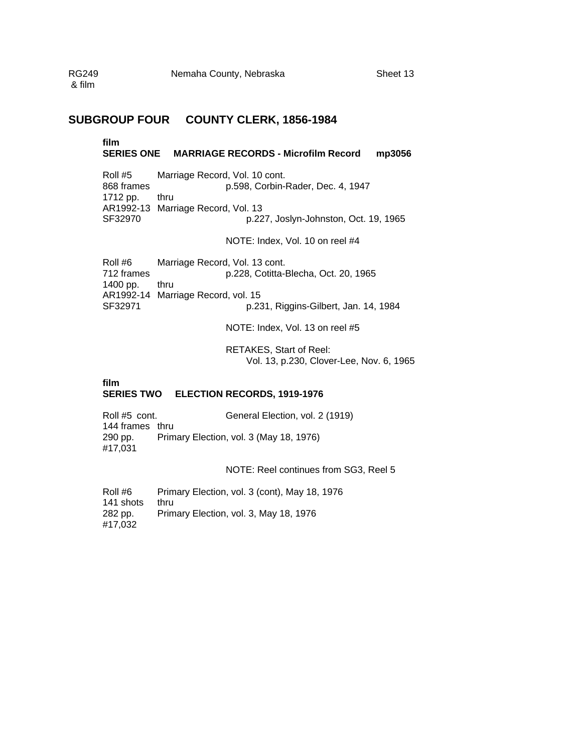### **SUBGROUP FOUR COUNTY CLERK, 1856-1984**

#### **film SERIES ONE MARRIAGE RECORDS - Microfilm Record mp3056**

Roll #5 Marriage Record, Vol. 10 cont. 868 frames p.598, Corbin-Rader, Dec. 4, 1947 1712 pp. thru AR1992-13 Marriage Record, Vol. 13 SF32970 p.227, Joslyn-Johnston, Oct. 19, 1965

NOTE: Index, Vol. 10 on reel #4

Roll #6 Marriage Record, Vol. 13 cont. 712 frames p.228, Cotitta-Blecha, Oct. 20, 1965 1400 pp. thru AR1992-14 Marriage Record, vol. 15 SF32971 p.231, Riggins-Gilbert, Jan. 14, 1984

NOTE: Index, Vol. 13 on reel #5

RETAKES, Start of Reel: Vol. 13, p.230, Clover-Lee, Nov. 6, 1965

#### **film SERIES TWO ELECTION RECORDS, 1919-1976**

Roll #5 cont. General Election, vol. 2 (1919) 144 frames thru 290 pp. Primary Election, vol. 3 (May 18, 1976) #17,031

NOTE: Reel continues from SG3, Reel 5

Roll #6 Primary Election, vol. 3 (cont), May 18, 1976 141 shots thru 282 pp. Primary Election, vol. 3, May 18, 1976 #17,032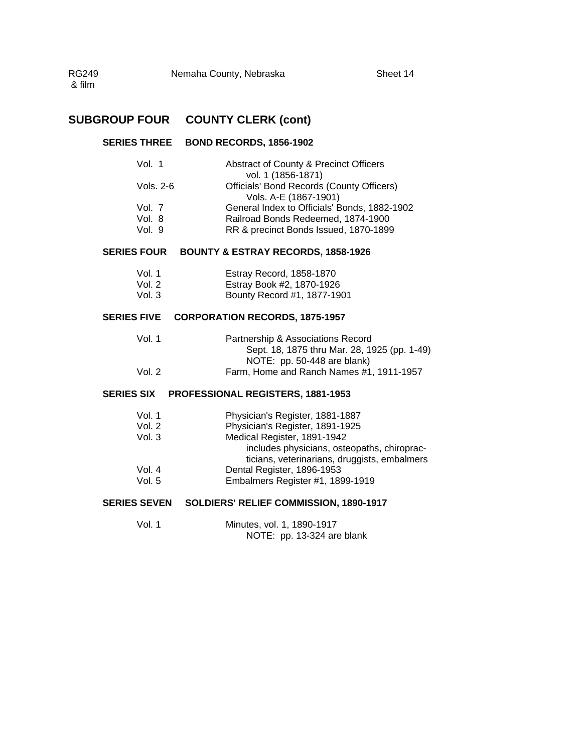### **SERIES THREE BOND RECORDS, 1856-1902**

| Vol. 1    | Abstract of County & Precinct Officers       |
|-----------|----------------------------------------------|
|           | vol. 1 (1856-1871)                           |
| Vols. 2-6 | Officials' Bond Records (County Officers)    |
|           | Vols. A-E (1867-1901)                        |
| Vol. 7    | General Index to Officials' Bonds, 1882-1902 |
| Vol. 8    | Railroad Bonds Redeemed, 1874-1900           |
| Vol. 9    | RR & precinct Bonds Issued, 1870-1899        |
|           |                                              |

### **SERIES FOUR BOUNTY & ESTRAY RECORDS, 1858-1926**

| Vol. 1 | Estray Record, 1858-1870    |
|--------|-----------------------------|
| Vol. 2 | Estray Book #2, 1870-1926   |
| Vol. 3 | Bounty Record #1, 1877-1901 |

#### **SERIES FIVE CORPORATION RECORDS, 1875-1957**

| Vol. 1 | Partnership & Associations Record            |
|--------|----------------------------------------------|
|        | Sept. 18, 1875 thru Mar. 28, 1925 (pp. 1-49) |
|        | NOTE: pp. 50-448 are blank)                  |
| Vol. 2 | Farm, Home and Ranch Names #1, 1911-1957     |

### **SERIES SIX PROFESSIONAL REGISTERS, 1881-1953**

| includes physicians, osteopaths, chiroprac-  |
|----------------------------------------------|
| ticians, veterinarians, druggists, embalmers |
|                                              |
|                                              |
|                                              |

### **SERIES SEVEN SOLDIERS' RELIEF COMMISSION, 1890-1917**

| Vol. 1 | Minutes, vol. 1, 1890-1917 |
|--------|----------------------------|
|        | NOTE: pp. 13-324 are blank |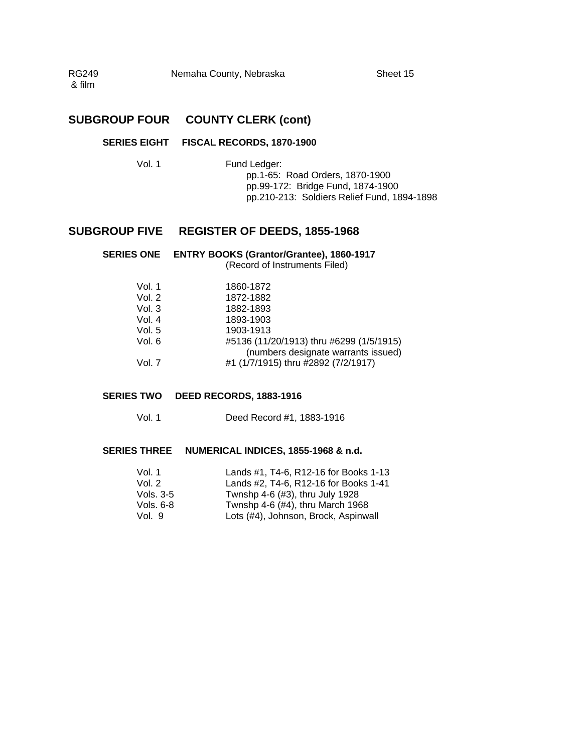RG249 Nemaha County, Nebraska Sheet 15 & film

### **SUBGROUP FOUR COUNTY CLERK (cont)**

#### **SERIES EIGHT FISCAL RECORDS, 1870-1900**

Vol. 1 Fund Ledger: pp.1-65: Road Orders, 1870-1900 pp.99-172: Bridge Fund, 1874-1900 pp.210-213: Soldiers Relief Fund, 1894-1898

## **SUBGROUP FIVE REGISTER OF DEEDS, 1855-1968**

|          | SERIES ONE ENTRY BOOKS (Grantor/Grantee), 1860-1917<br>(Record of Instruments Filed) |
|----------|--------------------------------------------------------------------------------------|
| Vol. 1   | 1860-1872                                                                            |
| Vol. $2$ | 1872-1882                                                                            |
| Vol. 3   | 1882-1893                                                                            |

| Vol. 4 | 1893-1903                                |
|--------|------------------------------------------|
| Vol. 5 | 1903-1913                                |
| Vol. 6 | #5136 (11/20/1913) thru #6299 (1/5/1915) |
|        | (numbers designate warrants issued)      |
| Vol. 7 | #1 (1/7/1915) thru #2892 (7/2/1917)      |

#### **SERIES TWO DEED RECORDS, 1883-1916**

Vol. 1 Deed Record #1, 1883-1916

#### **SERIES THREE NUMERICAL INDICES, 1855-1968 & n.d.**

| Vol. 1    | Lands #1, T4-6, R12-16 for Books 1-13 |
|-----------|---------------------------------------|
| Vol. $2$  | Lands #2, T4-6, R12-16 for Books 1-41 |
| Vols. 3-5 | Twnshp 4-6 (#3), thru July 1928       |
| Vols, 6-8 | Twnshp 4-6 (#4), thru March 1968      |
| Vol. 9    | Lots (#4), Johnson, Brock, Aspinwall  |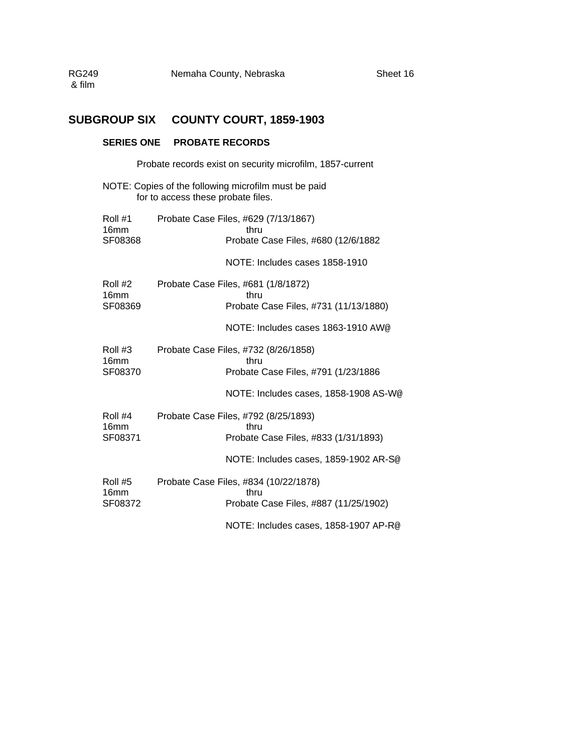## **SUBGROUP SIX COUNTY COURT, 1859-1903**

### **SERIES ONE PROBATE RECORDS**

Probate records exist on security microfilm, 1857-current NOTE: Copies of the following microfilm must be paid for to access these probate files.

| Roll #1<br>16mm<br>SF08368             | Probate Case Files, #629 (7/13/1867)<br>thru<br>Probate Case Files, #680 (12/6/1882    |
|----------------------------------------|----------------------------------------------------------------------------------------|
|                                        | NOTE: Includes cases 1858-1910                                                         |
| Roll #2<br>16 <sub>mm</sub><br>SF08369 | Probate Case Files, #681 (1/8/1872)<br>thru<br>Probate Case Files, #731 (11/13/1880)   |
|                                        | NOTE: Includes cases 1863-1910 AW@                                                     |
| Roll #3<br>16 <sub>mm</sub><br>SF08370 | Probate Case Files, #732 (8/26/1858)<br>thru<br>Probate Case Files, #791 (1/23/1886    |
|                                        | NOTE: Includes cases, 1858-1908 AS-W@                                                  |
| Roll #4<br>16 <sub>mm</sub><br>SF08371 | Probate Case Files, #792 (8/25/1893)<br>thru<br>Probate Case Files, #833 (1/31/1893)   |
|                                        | NOTE: Includes cases, 1859-1902 AR-S@                                                  |
| Roll #5<br>16 <sub>mm</sub><br>SF08372 | Probate Case Files, #834 (10/22/1878)<br>thru<br>Probate Case Files, #887 (11/25/1902) |
|                                        | NOTE: Includes cases, 1858-1907 AP-R@                                                  |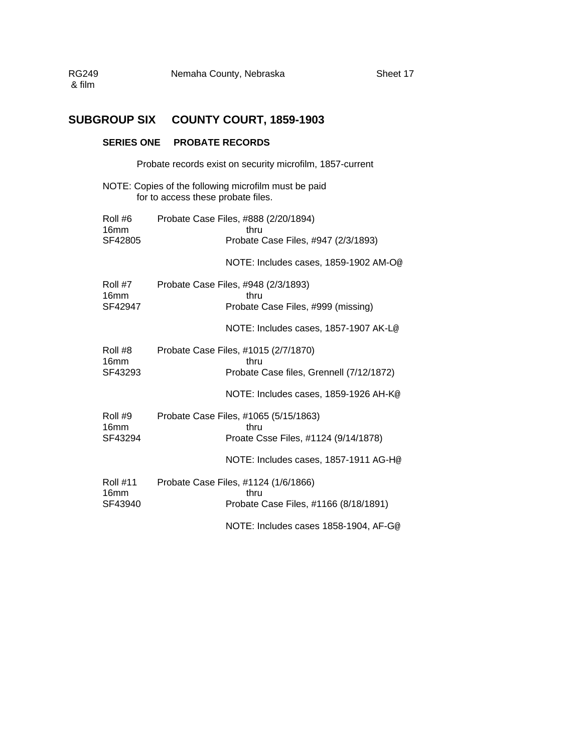## **SUBGROUP SIX COUNTY COURT, 1859-1903**

### **SERIES ONE PROBATE RECORDS**

Probate records exist on security microfilm, 1857-current

NOTE: Copies of the following microfilm must be paid for to access these probate files.

| Roll #6<br>16 <sub>mm</sub><br>SF42805         | Probate Case Files, #888 (2/20/1894)<br>thru<br>Probate Case Files, #947 (2/3/1893)                                               |  |  |  |  |
|------------------------------------------------|-----------------------------------------------------------------------------------------------------------------------------------|--|--|--|--|
|                                                | NOTE: Includes cases, 1859-1902 AM-O@                                                                                             |  |  |  |  |
| Roll #7<br>16 <sub>mm</sub><br>SF42947         | Probate Case Files, #948 (2/3/1893)<br>thru<br>Probate Case Files, #999 (missing)                                                 |  |  |  |  |
|                                                | NOTE: Includes cases, 1857-1907 AK-L@                                                                                             |  |  |  |  |
| Roll #8<br>16 <sub>mm</sub><br>SF43293         | Probate Case Files, #1015 (2/7/1870)<br>thru<br>Probate Case files, Grennell (7/12/1872)<br>NOTE: Includes cases, 1859-1926 AH-K@ |  |  |  |  |
| Roll #9<br>16 <sub>mm</sub><br>SF43294         | Probate Case Files, #1065 (5/15/1863)<br>thru<br>Proate Csse Files, #1124 (9/14/1878)<br>NOTE: Includes cases, 1857-1911 AG-H@    |  |  |  |  |
| <b>Roll #11</b><br>16 <sub>mm</sub><br>SF43940 | Probate Case Files, #1124 (1/6/1866)<br>thru<br>Probate Case Files, #1166 (8/18/1891)<br>NOTE: Includes cases 1858-1904, AF-G@    |  |  |  |  |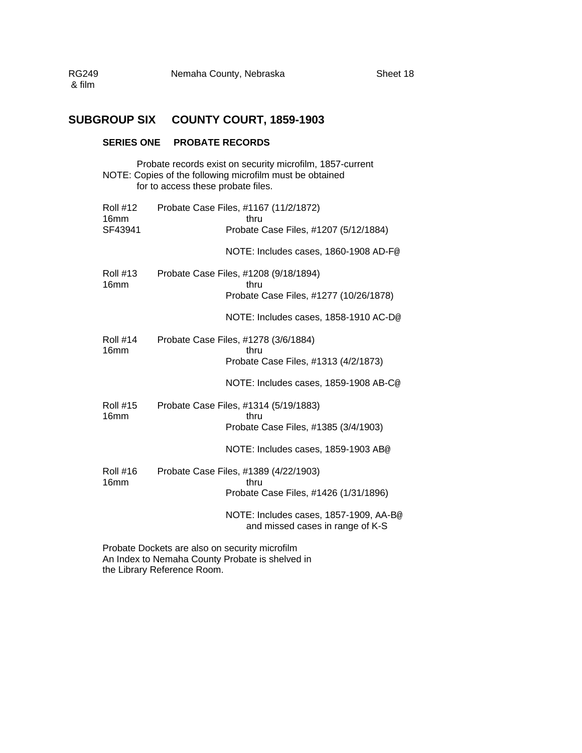### **SUBGROUP SIX COUNTY COURT, 1859-1903**

### **SERIES ONE PROBATE RECORDS**

Probate records exist on security microfilm, 1857-current NOTE: Copies of the following microfilm must be obtained for to access these probate files.

| <b>Roll #12</b><br>16 <sub>mm</sub><br>SF43941 | Probate Case Files, #1167 (11/2/1872)<br>thru<br>Probate Case Files, #1207 (5/12/1884)  |
|------------------------------------------------|-----------------------------------------------------------------------------------------|
|                                                | NOTE: Includes cases, 1860-1908 AD-F@                                                   |
| <b>Roll #13</b><br>16 <sub>mm</sub>            | Probate Case Files, #1208 (9/18/1894)<br>thru<br>Probate Case Files, #1277 (10/26/1878) |
|                                                | NOTE: Includes cases, 1858-1910 AC-D@                                                   |
| <b>Roll #14</b><br>16mm                        | Probate Case Files, #1278 (3/6/1884)<br>thru<br>Probate Case Files, #1313 (4/2/1873)    |
|                                                | NOTE: Includes cases, 1859-1908 AB-C@                                                   |
| <b>Roll #15</b><br>16 <sub>mm</sub>            | Probate Case Files, #1314 (5/19/1883)<br>thru<br>Probate Case Files, #1385 (3/4/1903)   |
|                                                | NOTE: Includes cases, 1859-1903 AB@                                                     |
| <b>Roll #16</b><br>16 <sub>mm</sub>            | Probate Case Files, #1389 (4/22/1903)<br>thru<br>Probate Case Files, #1426 (1/31/1896)  |
|                                                | NOTE: Includes cases, 1857-1909, AA-B@<br>and missed cases in range of K-S              |
|                                                | Droboto Dookoto are alee en seguritu mierofilm                                          |

Probate Dockets are also on security microfilm An Index to Nemaha County Probate is shelved in the Library Reference Room.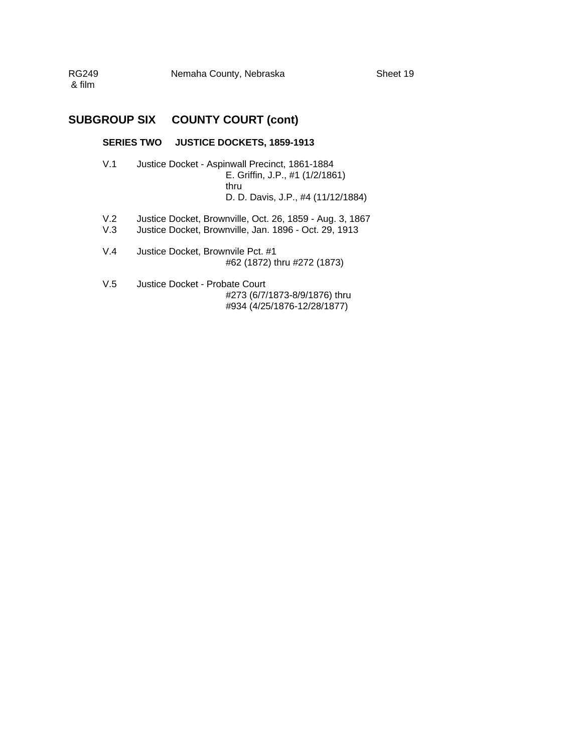| RG249  | Nemaha County, Nebraska |
|--------|-------------------------|
| & film |                         |

### **SUBGROUP SIX COUNTY COURT (cont)**

#### **SERIES TWO JUSTICE DOCKETS, 1859-1913**

- V.1 Justice Docket Aspinwall Precinct, 1861-1884 E. Griffin, J.P., #1 (1/2/1861) thru D. D. Davis, J.P., #4 (11/12/1884)
- V.2 Justice Docket, Brownville, Oct. 26, 1859 Aug. 3, 1867
- V.3 Justice Docket, Brownville, Jan. 1896 Oct. 29, 1913
- V.4 Justice Docket, Brownvile Pct. #1 #62 (1872) thru #272 (1873)
- V.5 Justice Docket Probate Court #273 (6/7/1873-8/9/1876) thru #934 (4/25/1876-12/28/1877)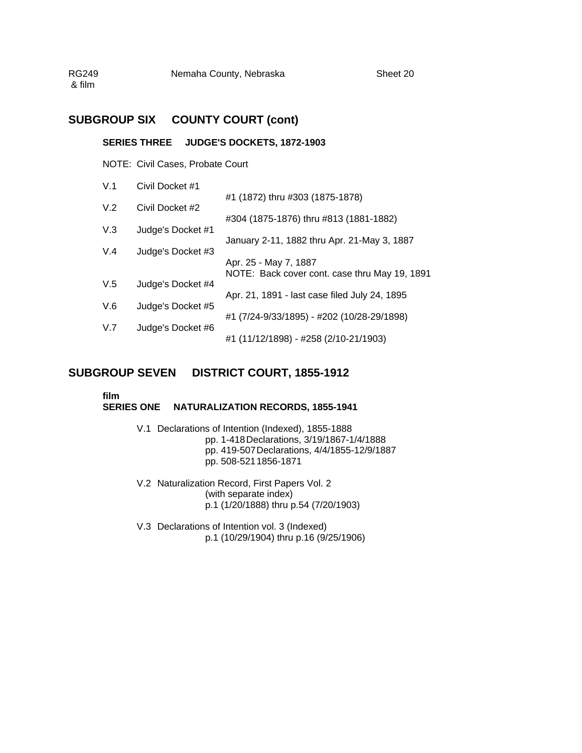RG249 Nemaha County, Nebraska Sheet 20 & film

### **SUBGROUP SIX COUNTY COURT (cont)**

#### **SERIES THREE JUDGE'S DOCKETS, 1872-1903**

NOTE: Civil Cases, Probate Court

| V.1 | Civil Docket #1   |                                               |
|-----|-------------------|-----------------------------------------------|
| V.2 | Civil Docket #2   | #1 (1872) thru #303 (1875-1878)               |
|     |                   | #304 (1875-1876) thru #813 (1881-1882)        |
| V.3 | Judge's Docket #1 |                                               |
|     |                   | January 2-11, 1882 thru Apr. 21-May 3, 1887   |
| V.4 | Judge's Docket #3 | Apr. 25 - May 7, 1887                         |
|     |                   | NOTE: Back cover cont. case thru May 19, 1891 |
| V.5 | Judge's Docket #4 |                                               |
| V.6 | Judge's Docket #5 | Apr. 21, 1891 - last case filed July 24, 1895 |
|     |                   | #1 (7/24-9/33/1895) - #202 (10/28-29/1898)    |
| V.7 | Judge's Docket #6 |                                               |
|     |                   | #1 (11/12/1898) - #258 (2/10-21/1903)         |

### **SUBGROUP SEVEN DISTRICT COURT, 1855-1912**

### **film**

#### **SERIES ONE NATURALIZATION RECORDS, 1855-1941**

- V.1 Declarations of Intention (Indexed), 1855-1888 pp. 1-418 Declarations, 3/19/1867-1/4/1888 pp. 419-507 Declarations, 4/4/1855-12/9/1887 pp. 508-521 1856-1871
- V.2 Naturalization Record, First Papers Vol. 2 (with separate index) p.1 (1/20/1888) thru p.54 (7/20/1903)
- V.3 Declarations of Intention vol. 3 (Indexed) p.1 (10/29/1904) thru p.16 (9/25/1906)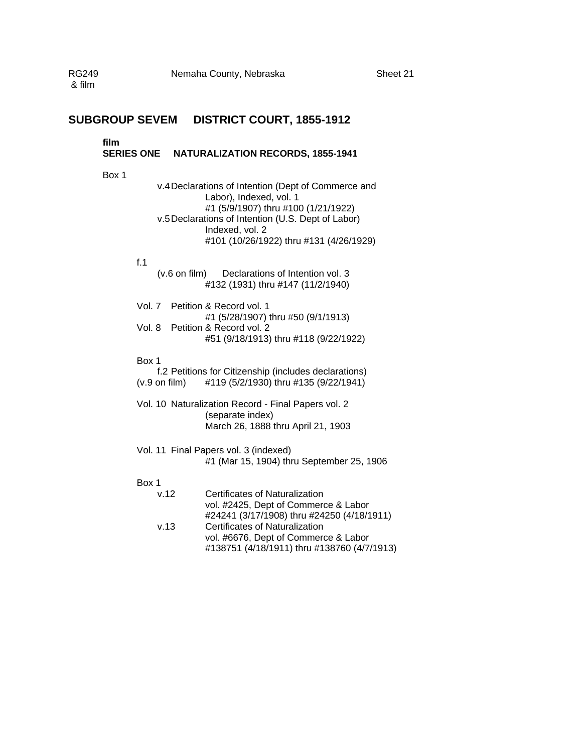### **SUBGROUP SEVEM DISTRICT COURT, 1855-1912**

#### **film**

### **SERIES ONE NATURALIZATION RECORDS, 1855-1941**

Box 1

| v.4 Declarations of Intention (Dept of Commerce and |  |  |  |
|-----------------------------------------------------|--|--|--|
| Labor), Indexed, vol. 1                             |  |  |  |
| #1 (5/9/1907) thru #100 (1/21/1922)                 |  |  |  |
| v.5 Declarations of Intention (U.S. Dept of Labor)  |  |  |  |
| Indexed, vol. 2                                     |  |  |  |
| #101 (10/26/1922) thru #131 (4/26/1929)             |  |  |  |

#### f.1

(v.6 on film) Declarations of Intention vol. 3 #132 (1931) thru #147 (11/2/1940)

| Vol. 7 Petition & Record vol. 1       |
|---------------------------------------|
| #1 (5/28/1907) thru #50 (9/1/1913)    |
| Vol. 8 Petition & Record vol. 2       |
| #51 (9/18/1913) thru #118 (9/22/1922) |
|                                       |

#### Box 1

|                         | f.2 Petitions for Citizenship (includes declarations) |
|-------------------------|-------------------------------------------------------|
| $(v.9 \text{ on film})$ | #119 (5/2/1930) thru #135 (9/22/1941)                 |

- Vol. 10 Naturalization Record Final Papers vol. 2 (separate index) March 26, 1888 thru April 21, 1903
- Vol. 11 Final Papers vol. 3 (indexed) #1 (Mar 15, 1904) thru September 25, 1906

#### Box 1

| v.12 | Certificates of Naturalization              |
|------|---------------------------------------------|
|      | vol. #2425, Dept of Commerce & Labor        |
|      | #24241 (3/17/1908) thru #24250 (4/18/1911)  |
| v.13 | Certificates of Naturalization              |
|      | vol. #6676, Dept of Commerce & Labor        |
|      | #138751 (4/18/1911) thru #138760 (4/7/1913) |
|      |                                             |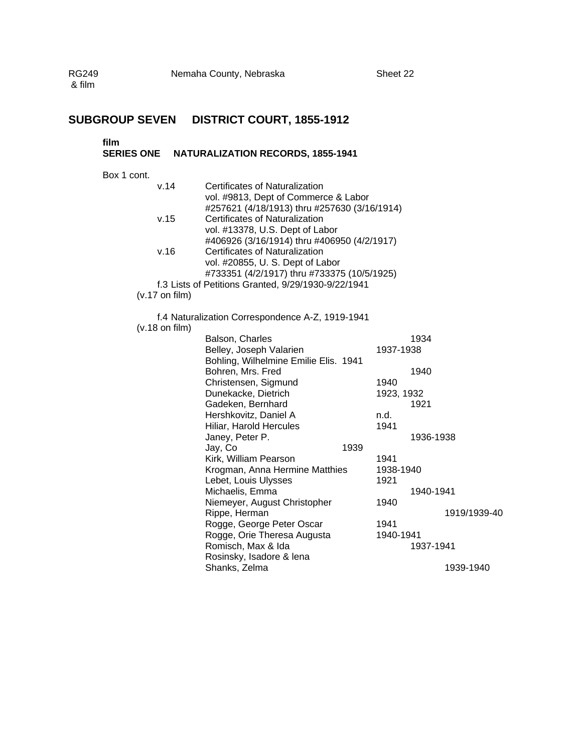# **SUBGROUP SEVEN DISTRICT COURT, 1855-1912**

#### **film**

# **SERIES ONE NATURALIZATION RECORDS, 1855-1941**

Box 1 cont.

| v.14                     | Certificates of Naturalization<br>vol. #9813, Dept of Commerce & Labor |                                             |            |                        |              |  |  |
|--------------------------|------------------------------------------------------------------------|---------------------------------------------|------------|------------------------|--------------|--|--|
|                          | #257621 (4/18/1913) thru #257630 (3/16/1914)                           |                                             |            |                        |              |  |  |
| v.15                     | Certificates of Naturalization                                         |                                             |            |                        |              |  |  |
|                          | vol. #13378, U.S. Dept of Labor                                        |                                             |            |                        |              |  |  |
|                          | #406926 (3/16/1914) thru #406950 (4/2/1917)                            |                                             |            |                        |              |  |  |
| v.16                     | Certificates of Naturalization                                         |                                             |            |                        |              |  |  |
|                          | vol. #20855, U. S. Dept of Labor                                       |                                             |            |                        |              |  |  |
|                          |                                                                        | #733351 (4/2/1917) thru #733375 (10/5/1925) |            |                        |              |  |  |
|                          | f.3 Lists of Petitions Granted, 9/29/1930-9/22/1941                    |                                             |            |                        |              |  |  |
| $(v.17 \text{ on film})$ |                                                                        |                                             |            |                        |              |  |  |
|                          | f.4 Naturalization Correspondence A-Z, 1919-1941                       |                                             |            |                        |              |  |  |
| $(v.18$ on film)         |                                                                        |                                             |            |                        |              |  |  |
|                          | Balson, Charles                                                        |                                             |            | 1934                   |              |  |  |
|                          | Belley, Joseph Valarien                                                |                                             | 1937-1938  |                        |              |  |  |
|                          | Bohling, Wilhelmine Emilie Elis. 1941                                  |                                             |            |                        |              |  |  |
|                          | Bohren, Mrs. Fred                                                      |                                             |            | 1940                   |              |  |  |
|                          | Christensen, Sigmund                                                   |                                             | 1940       |                        |              |  |  |
|                          | Dunekacke, Dietrich                                                    |                                             | 1923, 1932 |                        |              |  |  |
|                          | Gadeken, Bernhard                                                      |                                             |            | 1921                   |              |  |  |
|                          | Hershkovitz, Daniel A                                                  |                                             | n.d.       |                        |              |  |  |
|                          | Hiliar, Harold Hercules                                                |                                             | 1941       |                        |              |  |  |
|                          | Janey, Peter P.                                                        |                                             |            | 1936-1938              |              |  |  |
|                          | Jay, Co                                                                | 1939                                        |            |                        |              |  |  |
|                          | Kirk, William Pearson                                                  |                                             | 1941       |                        |              |  |  |
|                          | Krogman, Anna Hermine Matthies                                         |                                             | 1938-1940  |                        |              |  |  |
|                          | Lebet, Louis Ulysses                                                   |                                             | 1921       | 1940-1941              |              |  |  |
|                          | Michaelis, Emma<br>Niemeyer, August Christopher                        |                                             | 1940       |                        |              |  |  |
|                          | Rippe, Herman                                                          |                                             |            |                        | 1919/1939-40 |  |  |
|                          | Rogge, George Peter Oscar                                              |                                             | 1941       |                        |              |  |  |
|                          | Rogge, Orie Theresa Augusta                                            |                                             |            |                        |              |  |  |
|                          | Romisch, Max & Ida                                                     |                                             |            | 1940-1941<br>1937-1941 |              |  |  |
|                          | Rosinsky, Isadore & lena                                               |                                             |            |                        |              |  |  |
|                          | Shanks, Zelma                                                          |                                             |            |                        | 1939-1940    |  |  |
|                          |                                                                        |                                             |            |                        |              |  |  |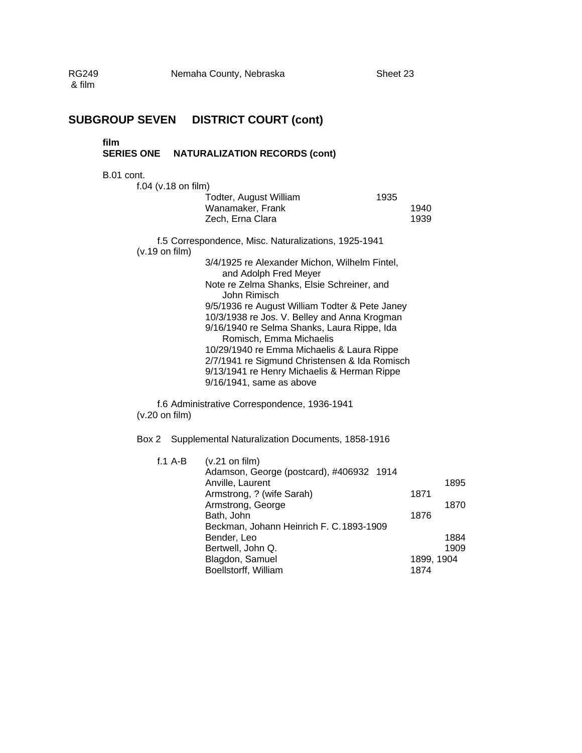| <b>RG249</b><br>& film |                           |           | Nemaha County, Nebraska<br>Sheet 23                                                                                                                                                                                                                                                                                                                                                                                                                                                                                                        |              |                              |
|------------------------|---------------------------|-----------|--------------------------------------------------------------------------------------------------------------------------------------------------------------------------------------------------------------------------------------------------------------------------------------------------------------------------------------------------------------------------------------------------------------------------------------------------------------------------------------------------------------------------------------------|--------------|------------------------------|
|                        |                           |           | <b>SUBGROUP SEVEN DISTRICT COURT (cont)</b>                                                                                                                                                                                                                                                                                                                                                                                                                                                                                                |              |                              |
|                        | film<br><b>SERIES ONE</b> |           | <b>NATURALIZATION RECORDS (cont)</b>                                                                                                                                                                                                                                                                                                                                                                                                                                                                                                       |              |                              |
|                        | <b>B.01 cont.</b>         |           |                                                                                                                                                                                                                                                                                                                                                                                                                                                                                                                                            |              |                              |
|                        | $f.04$ (v.18 on film)     |           | Todter, August William<br>1935<br>Wanamaker, Frank<br>Zech, Erna Clara                                                                                                                                                                                                                                                                                                                                                                                                                                                                     | 1940<br>1939 |                              |
|                        | $(v.19 \text{ on film})$  |           | f.5 Correspondence, Misc. Naturalizations, 1925-1941                                                                                                                                                                                                                                                                                                                                                                                                                                                                                       |              |                              |
|                        | $(v.20 \text{ on film})$  |           | 3/4/1925 re Alexander Michon, Wilhelm Fintel,<br>and Adolph Fred Meyer<br>Note re Zelma Shanks, Elsie Schreiner, and<br>John Rimisch<br>9/5/1936 re August William Todter & Pete Janey<br>10/3/1938 re Jos. V. Belley and Anna Krogman<br>9/16/1940 re Selma Shanks, Laura Rippe, Ida<br>Romisch, Emma Michaelis<br>10/29/1940 re Emma Michaelis & Laura Rippe<br>2/7/1941 re Sigmund Christensen & Ida Romisch<br>9/13/1941 re Henry Michaelis & Herman Rippe<br>9/16/1941, same as above<br>f.6 Administrative Correspondence, 1936-1941 |              |                              |
|                        | Box 2                     |           | Supplemental Naturalization Documents, 1858-1916                                                                                                                                                                                                                                                                                                                                                                                                                                                                                           |              |                              |
|                        |                           | $f.1$ A-B | $(v.21$ on film)<br>Adamson, George (postcard), #406932 1914<br>Anville, Laurent<br>Armstrong, ? (wife Sarah)<br>Armstrong, George<br>Bath, John<br>Beckman, Johann Heinrich F. C. 1893-1909<br>Bender, Leo<br>Bertwell, John Q.                                                                                                                                                                                                                                                                                                           | 1871<br>1876 | 1895<br>1870<br>1884<br>1909 |

Blagdon, Samuel 1899, 1904 Boellstorff, William 1874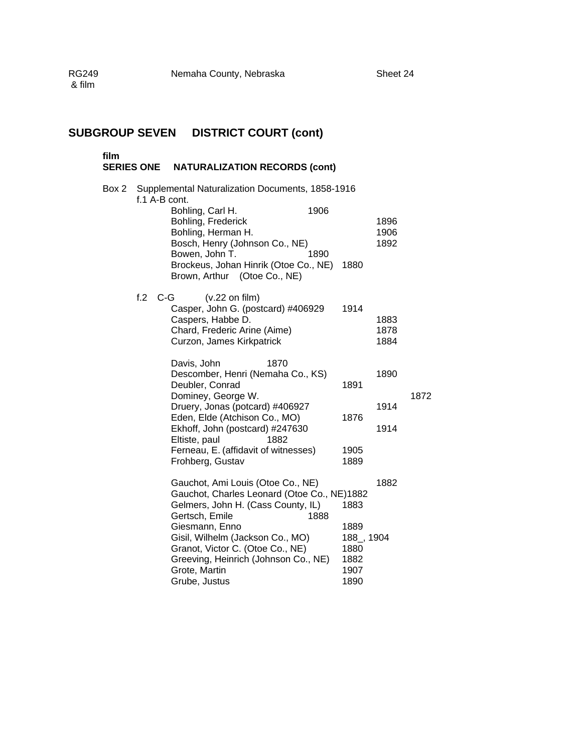**film** 

## **SERIES ONE NATURALIZATION RECORDS (cont)**

| Box 2 | Supplemental Naturalization Documents, 1858-1916<br>f.1 A-B cont. |                                                                                                                                                                                                                                                                                                                      |                                                            |                      |      |  |  |  |  |
|-------|-------------------------------------------------------------------|----------------------------------------------------------------------------------------------------------------------------------------------------------------------------------------------------------------------------------------------------------------------------------------------------------------------|------------------------------------------------------------|----------------------|------|--|--|--|--|
|       |                                                                   | 1906<br>Bohling, Carl H.<br>Bohling, Frederick<br>Bohling, Herman H.<br>Bosch, Henry (Johnson Co., NE)<br>Bowen, John T.<br>1890<br>Brockeus, Johan Hinrik (Otoe Co., NE)<br>Brown, Arthur (Otoe Co., NE)                                                                                                            | 1880                                                       | 1896<br>1906<br>1892 |      |  |  |  |  |
|       | f.2                                                               | $C-G$<br>$(v.22 \text{ on film})$<br>Casper, John G. (postcard) #406929<br>Caspers, Habbe D.<br>Chard, Frederic Arine (Aime)<br>Curzon, James Kirkpatrick                                                                                                                                                            | 1914                                                       | 1883<br>1878<br>1884 |      |  |  |  |  |
|       |                                                                   | Davis, John<br>1870<br>Descomber, Henri (Nemaha Co., KS)<br>Deubler, Conrad<br>Dominey, George W.<br>Druery, Jonas (potcard) #406927<br>Eden, Elde (Atchison Co., MO)                                                                                                                                                | 1891<br>1876                                               | 1890<br>1914         | 1872 |  |  |  |  |
|       |                                                                   | Ekhoff, John (postcard) #247630<br>Eltiste, paul<br>1882<br>Ferneau, E. (affidavit of witnesses)<br>Frohberg, Gustav                                                                                                                                                                                                 | 1905<br>1889                                               | 1914                 |      |  |  |  |  |
|       |                                                                   | Gauchot, Ami Louis (Otoe Co., NE)<br>Gauchot, Charles Leonard (Otoe Co., NE)1882<br>Gelmers, John H. (Cass County, IL)<br>Gertsch, Emile<br>1888<br>Giesmann, Enno<br>Gisil, Wilhelm (Jackson Co., MO)<br>Granot, Victor C. (Otoe Co., NE)<br>Greeving, Heinrich (Johnson Co., NE)<br>Grote, Martin<br>Grube, Justus | 1883<br>1889<br>188_, 1904<br>1880<br>1882<br>1907<br>1890 | 1882                 |      |  |  |  |  |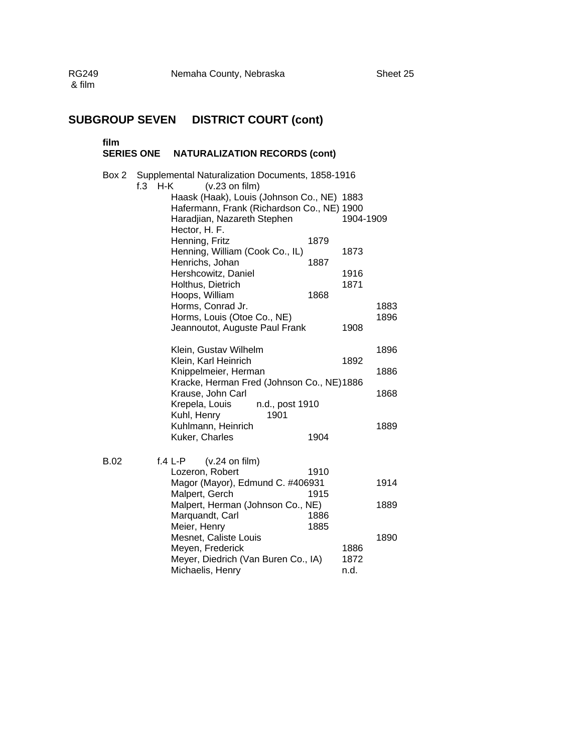### **film SERIES ONE NATURALIZATION RECORDS (cont)** Box 2 Supplemental Naturalization Documents, 1858-1916 f.3 H-K (v.23 on film) Haask (Haak), Louis (Johnson Co., NE) 1883 Hafermann, Frank (Richardson Co., NE) 1900 Haradjian, Nazareth Stephen 1904-1909 Hector, H. F. Henning, Fritz 1879 Henning, William (Cook Co., IL) 1873<br>Henrichs, Johan 1887 Henrichs, Johan Hershcowitz, Daniel 1916 Holthus, Dietrich 1871 Hoops, William 1868 Horms, Conrad Jr. (1883) Horms, Louis (Otoe Co., NE) 1896 Jeannoutot, Auguste Paul Frank 1908 Klein, Gustav Wilhelm (1896)<br>Klein, Karl Heinrich (1892) Klein, Karl Heinrich Knippelmeier, Herman 1886 Kracke, Herman Fred (Johnson Co., NE) 1886 Krause, John Carl 1868 Krepela, Louis n.d., post 1910 Kuhl, Henry 1901 Kuhlmann, Heinrich 1889 Kuker, Charles 1904 B.02 f.4 L-P (v.24 on film) Lozeron, Robert 1910 Magor (Mayor), Edmund C. #406931 1914 Malpert, Gerch 1915 Malpert, Herman (Johnson Co., NE) 1889 Marquandt, Carl 1886 Meier, Henry 1885 Mesnet, Caliste Louis 1890 Meyen, Frederick 1886 Meyer, Diedrich (Van Buren Co., IA) 1872 Michaelis, Henry n.d.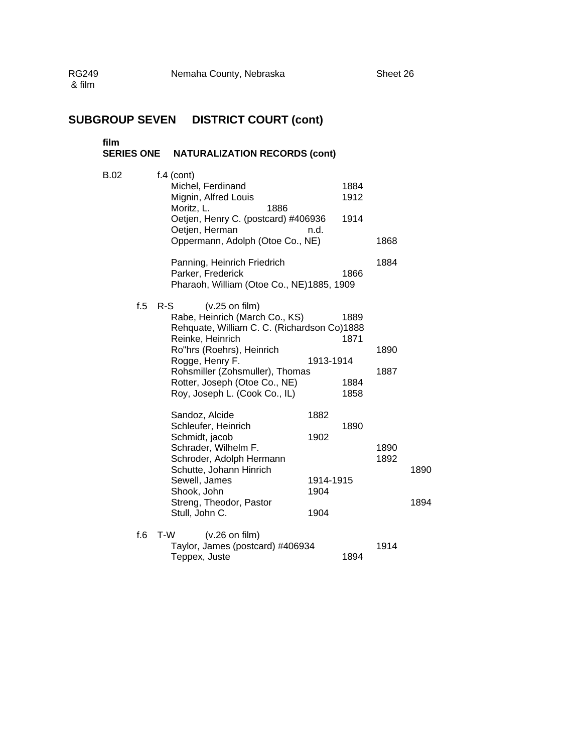| film<br><b>SERIES ONE</b> | <b>NATURALIZATION RECORDS (cont)</b>                                                                                                                                                                                                                                                |                                           |              |              |
|---------------------------|-------------------------------------------------------------------------------------------------------------------------------------------------------------------------------------------------------------------------------------------------------------------------------------|-------------------------------------------|--------------|--------------|
| <b>B.02</b>               | $f.4$ (cont)<br>Michel, Ferdinand<br>Mignin, Alfred Louis<br>Moritz, L.<br>1886<br>Oetjen, Henry C. (postcard) #406936<br>Oetjen, Herman<br>n.d.<br>Oppermann, Adolph (Otoe Co., NE)                                                                                                | 1884<br>1912<br>1914                      | 1868         |              |
|                           | Panning, Heinrich Friedrich<br>Parker, Frederick<br>Pharaoh, William (Otoe Co., NE)1885, 1909                                                                                                                                                                                       | 1866                                      | 1884         |              |
| f.5                       | $R-S$<br>$(v.25$ on film)<br>Rabe, Heinrich (March Co., KS)<br>Rehquate, William C. C. (Richardson Co)1888<br>Reinke, Heinrich<br>Ro"hrs (Roehrs), Heinrich<br>Rogge, Henry F.<br>Rohsmiller (Zohsmuller), Thomas<br>Rotter, Joseph (Otoe Co., NE)<br>Roy, Joseph L. (Cook Co., IL) | 1889<br>1871<br>1913-1914<br>1884<br>1858 | 1890<br>1887 |              |
|                           | Sandoz, Alcide<br>1882<br>Schleufer, Heinrich<br>Schmidt, jacob<br>1902<br>Schrader, Wilhelm F.<br>Schroder, Adolph Hermann<br>Schutte, Johann Hinrich<br>Sewell, James<br>Shook, John<br>1904<br>Streng, Theodor, Pastor<br>Stull, John C.<br>1904                                 | 1890<br>1914-1915                         | 1890<br>1892 | 1890<br>1894 |
| f.6                       | T-W<br>$(v.26$ on film)<br>Taylor, James (postcard) #406934<br>Teppex, Juste                                                                                                                                                                                                        | 1894                                      | 1914         |              |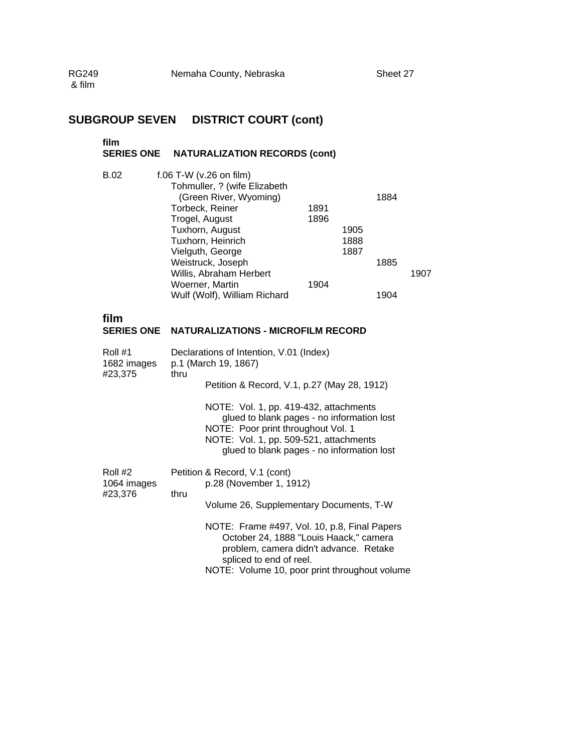# **film**

# **SERIES ONE NATURALIZATION RECORDS (cont)**

| <b>B.02</b>                          |      | f.06 T-W (v.26 on film)<br>Tohmuller, ? (wife Elizabeth<br>(Green River, Wyoming)<br>Torbeck, Reiner<br>Trogel, August<br>Tuxhorn, August<br>Tuxhorn, Heinrich<br>Vielguth, George<br>Weistruck, Joseph<br>Willis, Abraham Herbert<br>Woerner, Martin<br>Wulf (Wolf), William Richard                                                | 1891<br>1896<br>1904 | 1905<br>1888<br>1887 | 1884<br>1885<br>1904 | 1907 |
|--------------------------------------|------|--------------------------------------------------------------------------------------------------------------------------------------------------------------------------------------------------------------------------------------------------------------------------------------------------------------------------------------|----------------------|----------------------|----------------------|------|
| film<br><b>SERIES ONE</b>            |      | <b>NATURALIZATIONS - MICROFILM RECORD</b>                                                                                                                                                                                                                                                                                            |                      |                      |                      |      |
| Roll #1<br>1682 images<br>#23,375    | thru | Declarations of Intention, V.01 (Index)<br>p.1 (March 19, 1867)<br>Petition & Record, V.1, p.27 (May 28, 1912)<br>NOTE: Vol. 1, pp. 419-432, attachments<br>glued to blank pages - no information lost<br>NOTE: Poor print throughout Vol. 1<br>NOTE: Vol. 1, pp. 509-521, attachments<br>glued to blank pages - no information lost |                      |                      |                      |      |
| Roll #2<br>$\lambda$ 0.0 $\lambda$ . |      | Petition & Record, V.1 (cont)                                                                                                                                                                                                                                                                                                        |                      |                      |                      |      |

| Roll #2<br>1064 images |      | Petition & Record, V.1 (cont)<br>p.28 (November 1, 1912)                                                                                                                                                     |
|------------------------|------|--------------------------------------------------------------------------------------------------------------------------------------------------------------------------------------------------------------|
| #23,376                | thru | Volume 26, Supplementary Documents, T-W                                                                                                                                                                      |
|                        |      | NOTE: Frame #497, Vol. 10, p.8, Final Papers<br>October 24, 1888 "Louis Haack," camera<br>problem, camera didn't advance. Retake<br>spliced to end of reel.<br>NOTE: Volume 10, poor print throughout volume |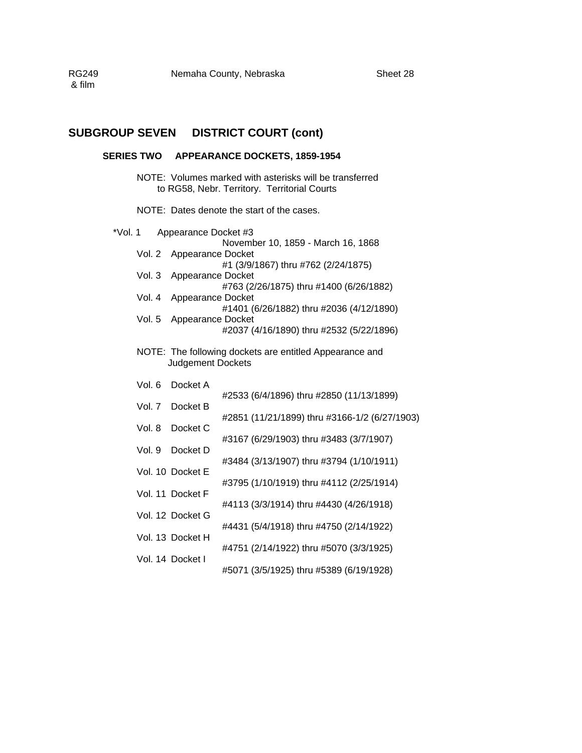#### **SERIES TWO APPEARANCE DOCKETS, 1859-1954**

NOTE: Volumes marked with asterisks will be transferred to RG58, Nebr. Territory. Territorial Courts

NOTE: Dates denote the start of the cases.

| $*$ Vol. 1 |          | Appearance Docket #3     |                                                         |  |  |  |
|------------|----------|--------------------------|---------------------------------------------------------|--|--|--|
|            |          |                          | November 10, 1859 - March 16, 1868                      |  |  |  |
|            | Vol. 2   | Appearance Docket        |                                                         |  |  |  |
|            |          |                          | #1 (3/9/1867) thru #762 (2/24/1875)                     |  |  |  |
|            | Vol.3    | Appearance Docket        | #763 (2/26/1875) thru #1400 (6/26/1882)                 |  |  |  |
|            | Vol. $4$ | Appearance Docket        |                                                         |  |  |  |
|            |          |                          | #1401 (6/26/1882) thru #2036 (4/12/1890)                |  |  |  |
|            | Vol. 5   | Appearance Docket        |                                                         |  |  |  |
|            |          |                          | #2037 (4/16/1890) thru #2532 (5/22/1896)                |  |  |  |
|            |          |                          | NOTE: The following dockets are entitled Appearance and |  |  |  |
|            |          | <b>Judgement Dockets</b> |                                                         |  |  |  |
|            | Vol. 6   | Docket A                 |                                                         |  |  |  |
|            |          |                          | #2533 (6/4/1896) thru #2850 (11/13/1899)                |  |  |  |
|            | Vol. 7   | Docket B                 |                                                         |  |  |  |
|            |          |                          | #2851 (11/21/1899) thru #3166-1/2 (6/27/1903)           |  |  |  |
|            | Vol. 8   | Docket C                 | #3167 (6/29/1903) thru #3483 (3/7/1907)                 |  |  |  |
|            | Vol. 9   | Docket D                 |                                                         |  |  |  |
|            |          |                          | #3484 (3/13/1907) thru #3794 (1/10/1911)                |  |  |  |
|            |          | Vol. 10 Docket E         |                                                         |  |  |  |
|            |          | Vol. 11 Docket F         | #3795 (1/10/1919) thru #4112 (2/25/1914)                |  |  |  |
|            |          |                          | #4113 (3/3/1914) thru #4430 (4/26/1918)                 |  |  |  |
|            |          | Vol. 12 Docket G         |                                                         |  |  |  |
|            |          |                          | #4431 (5/4/1918) thru #4750 (2/14/1922)                 |  |  |  |
|            |          | Vol. 13 Docket H         | #4751 (2/14/1922) thru #5070 (3/3/1925)                 |  |  |  |
|            |          | Vol. 14 Docket I         |                                                         |  |  |  |
|            |          |                          | #5071 (3/5/1925) thru #5389 (6/19/1928)                 |  |  |  |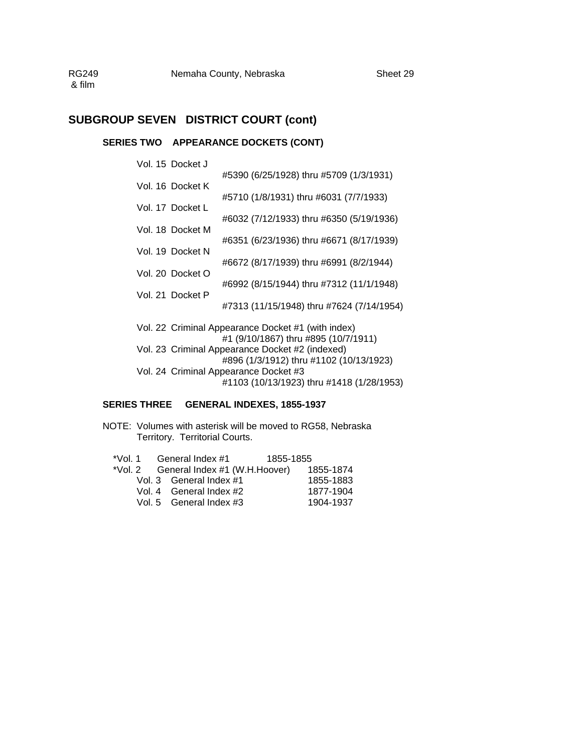### **SERIES TWO APPEARANCE DOCKETS (CONT)**

| Vol. 15 Docket J |                                                                                            |
|------------------|--------------------------------------------------------------------------------------------|
|                  | #5390 (6/25/1928) thru #5709 (1/3/1931)                                                    |
| Vol. 16 Docket K |                                                                                            |
| Vol. 17 Docket L | #5710 (1/8/1931) thru #6031 (7/7/1933)                                                     |
|                  | #6032 (7/12/1933) thru #6350 (5/19/1936)                                                   |
| Vol. 18 Docket M |                                                                                            |
|                  | #6351 (6/23/1936) thru #6671 (8/17/1939)                                                   |
| Vol. 19 Docket N |                                                                                            |
| Vol. 20 Docket O | #6672 (8/17/1939) thru #6991 (8/2/1944)                                                    |
|                  | #6992 (8/15/1944) thru #7312 (11/1/1948)                                                   |
| Vol. 21 Docket P |                                                                                            |
|                  | #7313 (11/15/1948) thru #7624 (7/14/1954)                                                  |
|                  |                                                                                            |
|                  | Vol. 22 Criminal Appearance Docket #1 (with index)<br>#1 (9/10/1867) thru #895 (10/7/1911) |
|                  | Vol. 23 Criminal Appearance Docket #2 (indexed)                                            |
|                  | #896 (1/3/1912) thru #1102 (10/13/1923)                                                    |
|                  | Vol. 24 Criminal Appearance Docket #3                                                      |

#1103 (10/13/1923) thru #1418 (1/28/1953)

### **SERIES THREE GENERAL INDEXES, 1855-1937**

NOTE: Volumes with asterisk will be moved to RG58, Nebraska Territory. Territorial Courts.

| *Vol. 1 | General Index #1                      | 1855-1855 |           |
|---------|---------------------------------------|-----------|-----------|
|         | *Vol. 2 General Index #1 (W.H.Hoover) |           | 1855-1874 |
|         | Vol. 3 General Index #1               |           | 1855-1883 |
|         | Vol. 4 General Index #2               |           | 1877-1904 |
|         | Vol. 5 General Index #3               |           | 1904-1937 |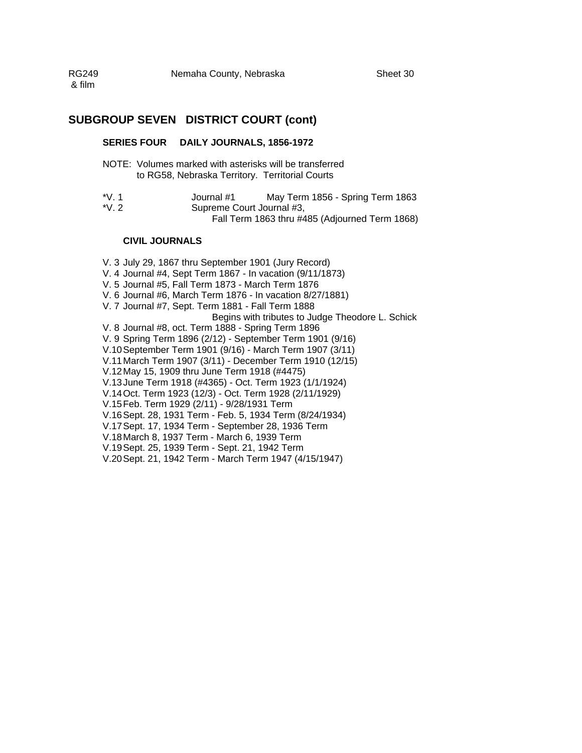#### **SERIES FOUR DAILY JOURNALS, 1856-1972**

- NOTE: Volumes marked with asterisks will be transferred to RG58, Nebraska Territory. Territorial Courts
- \*V. 1 Journal #1 May Term 1856 Spring Term 1863 \*V. 2 Supreme Court Journal #3, Fall Term 1863 thru #485 (Adjourned Term 1868)

#### **CIVIL JOURNALS**

V. 3 July 29, 1867 thru September 1901 (Jury Record) V. 4 Journal #4, Sept Term 1867 - In vacation (9/11/1873) V. 5 Journal #5, Fall Term 1873 - March Term 1876 V. 6 Journal #6, March Term 1876 - In vacation 8/27/1881) V. 7 Journal #7, Sept. Term 1881 - Fall Term 1888 Begins with tributes to Judge Theodore L. Schick V. 8 Journal #8, oct. Term 1888 - Spring Term 1896 V. 9 Spring Term 1896 (2/12) - September Term 1901 (9/16) V.10 September Term 1901 (9/16) - March Term 1907 (3/11) V.11 March Term 1907 (3/11) - December Term 1910 (12/15) V.12 May 15, 1909 thru June Term 1918 (#4475) V.13 June Term 1918 (#4365) - Oct. Term 1923 (1/1/1924) V.14 Oct. Term 1923 (12/3) - Oct. Term 1928 (2/11/1929) V.15 Feb. Term 1929 (2/11) - 9/28/1931 Term V.16 Sept. 28, 1931 Term - Feb. 5, 1934 Term (8/24/1934) V.17 Sept. 17, 1934 Term - September 28, 1936 Term V.18 March 8, 1937 Term - March 6, 1939 Term V.19 Sept. 25, 1939 Term - Sept. 21, 1942 Term V.20 Sept. 21, 1942 Term - March Term 1947 (4/15/1947)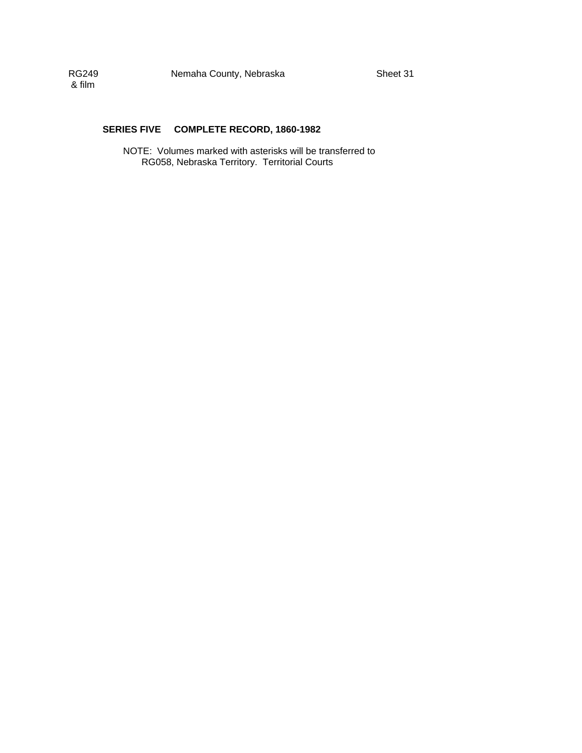#### **SERIES FIVE COMPLETE RECORD, 1860-1982**

NOTE: Volumes marked with asterisks will be transferred to RG058, Nebraska Territory. Territorial Courts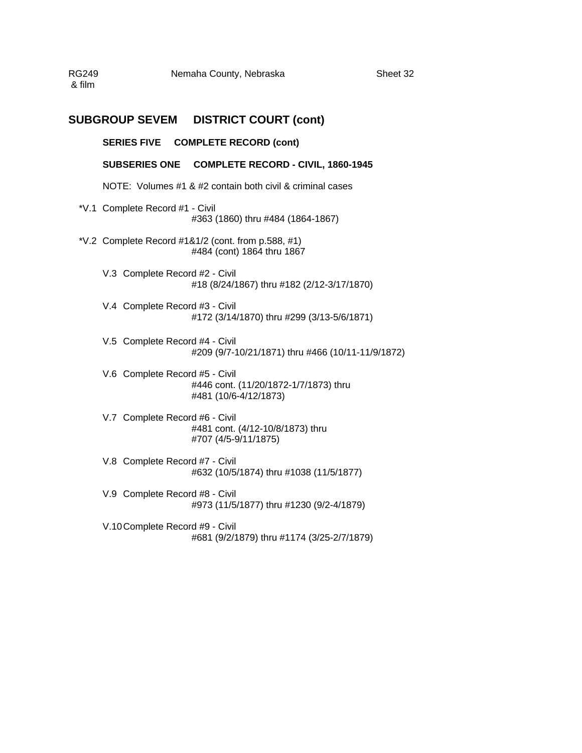RG249 Nemaha County, Nebraska Sheet 32 & film

### **SUBGROUP SEVEM DISTRICT COURT (cont)**

**SERIES FIVE COMPLETE RECORD (cont)** 

**SUBSERIES ONE COMPLETE RECORD - CIVIL, 1860-1945** 

NOTE: Volumes #1 & #2 contain both civil & criminal cases

- \*V.1 Complete Record #1 Civil #363 (1860) thru #484 (1864-1867)
- \*V.2 Complete Record #1&1/2 (cont. from p.588, #1) #484 (cont) 1864 thru 1867
	- V.3 Complete Record #2 Civil #18 (8/24/1867) thru #182 (2/12-3/17/1870)
	- V.4 Complete Record #3 Civil #172 (3/14/1870) thru #299 (3/13-5/6/1871)
	- V.5 Complete Record #4 Civil #209 (9/7-10/21/1871) thru #466 (10/11-11/9/1872)
	- V.6 Complete Record #5 Civil #446 cont. (11/20/1872-1/7/1873) thru #481 (10/6-4/12/1873)
	- V.7 Complete Record #6 Civil #481 cont. (4/12-10/8/1873) thru #707 (4/5-9/11/1875)
	- V.8 Complete Record #7 Civil #632 (10/5/1874) thru #1038 (11/5/1877)
	- V.9 Complete Record #8 Civil #973 (11/5/1877) thru #1230 (9/2-4/1879)
	- V.10 Complete Record #9 Civil #681 (9/2/1879) thru #1174 (3/25-2/7/1879)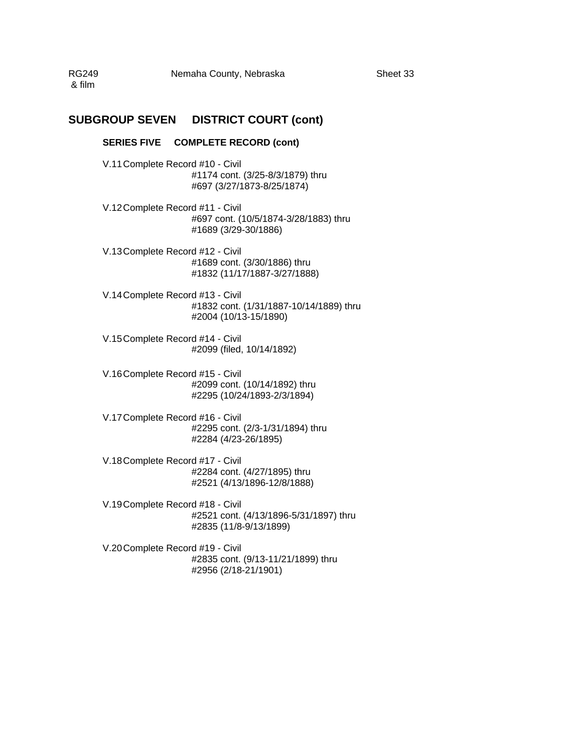RG249 Nemaha County, Nebraska Sheet 33 & film

### **SUBGROUP SEVEN DISTRICT COURT (cont)**

#### **SERIES FIVE COMPLETE RECORD (cont)**

V.11 Complete Record #10 - Civil #1174 cont. (3/25-8/3/1879) thru #697 (3/27/1873-8/25/1874)

- V.12 Complete Record #11 Civil #697 cont. (10/5/1874-3/28/1883) thru #1689 (3/29-30/1886)
- V.13 Complete Record #12 Civil #1689 cont. (3/30/1886) thru #1832 (11/17/1887-3/27/1888)
- V.14 Complete Record #13 Civil #1832 cont. (1/31/1887-10/14/1889) thru #2004 (10/13-15/1890)
- V.15 Complete Record #14 Civil #2099 (filed, 10/14/1892)
- V.16 Complete Record #15 Civil #2099 cont. (10/14/1892) thru #2295 (10/24/1893-2/3/1894)
- V.17 Complete Record #16 Civil #2295 cont. (2/3-1/31/1894) thru #2284 (4/23-26/1895)
- V.18 Complete Record #17 Civil #2284 cont. (4/27/1895) thru #2521 (4/13/1896-12/8/1888)
- V.19 Complete Record #18 Civil #2521 cont. (4/13/1896-5/31/1897) thru #2835 (11/8-9/13/1899)
- V.20 Complete Record #19 Civil #2835 cont. (9/13-11/21/1899) thru #2956 (2/18-21/1901)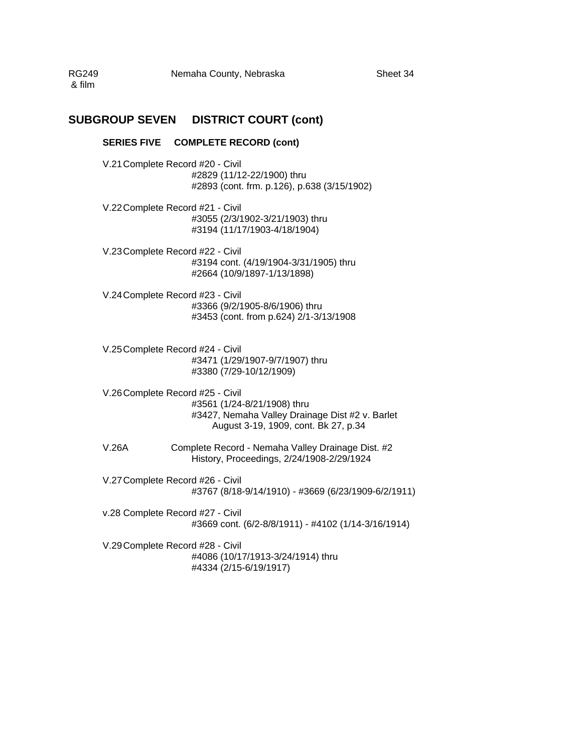RG249 Nemaha County, Nebraska Sheet 34 & film

### **SUBGROUP SEVEN DISTRICT COURT (cont)**

#### **SERIES FIVE COMPLETE RECORD (cont)**

V.21 Complete Record #20 - Civil #2829 (11/12-22/1900) thru #2893 (cont. frm. p.126), p.638 (3/15/1902)

- V.22 Complete Record #21 Civil #3055 (2/3/1902-3/21/1903) thru #3194 (11/17/1903-4/18/1904)
- V.23 Complete Record #22 Civil #3194 cont. (4/19/1904-3/31/1905) thru #2664 (10/9/1897-1/13/1898)
- V.24 Complete Record #23 Civil #3366 (9/2/1905-8/6/1906) thru #3453 (cont. from p.624) 2/1-3/13/1908
- V.25 Complete Record #24 Civil #3471 (1/29/1907-9/7/1907) thru #3380 (7/29-10/12/1909)
- V.26 Complete Record #25 Civil #3561 (1/24-8/21/1908) thru #3427, Nemaha Valley Drainage Dist #2 v. Barlet August 3-19, 1909, cont. Bk 27, p.34
- V.26A Complete Record Nemaha Valley Drainage Dist. #2 History, Proceedings, 2/24/1908-2/29/1924
- V.27 Complete Record #26 Civil #3767 (8/18-9/14/1910) - #3669 (6/23/1909-6/2/1911)
- v.28 Complete Record #27 Civil #3669 cont. (6/2-8/8/1911) - #4102 (1/14-3/16/1914)
- V.29 Complete Record #28 Civil #4086 (10/17/1913-3/24/1914) thru #4334 (2/15-6/19/1917)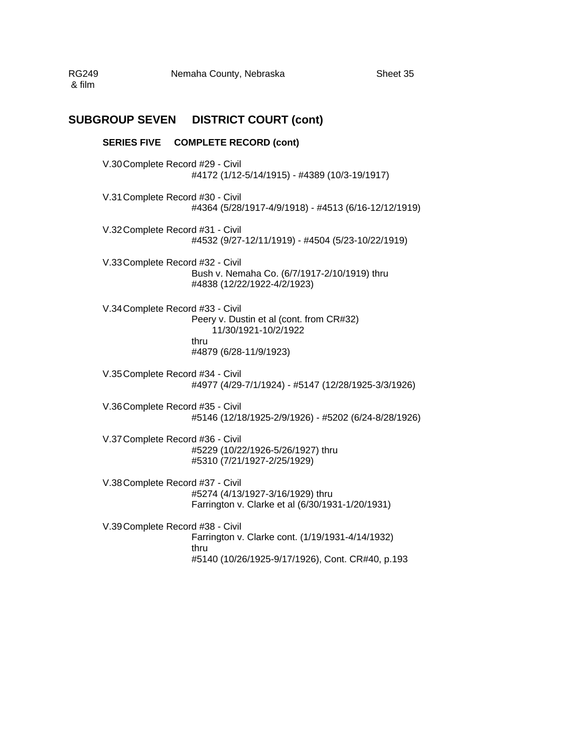RG249 Nemaha County, Nebraska Sheet 35 & film

### **SUBGROUP SEVEN DISTRICT COURT (cont)**

# **SERIES FIVE COMPLETE RECORD (cont)** V.30 Complete Record #29 - Civil #4172 (1/12-5/14/1915) - #4389 (10/3-19/1917) V.31 Complete Record #30 - Civil #4364 (5/28/1917-4/9/1918) - #4513 (6/16-12/12/1919) V.32 Complete Record #31 - Civil #4532 (9/27-12/11/1919) - #4504 (5/23-10/22/1919) V.33 Complete Record #32 - Civil Bush v. Nemaha Co. (6/7/1917-2/10/1919) thru #4838 (12/22/1922-4/2/1923) V.34 Complete Record #33 - Civil Peery v. Dustin et al (cont. from CR#32) 11/30/1921-10/2/1922 thru #4879 (6/28-11/9/1923) V.35 Complete Record #34 - Civil #4977 (4/29-7/1/1924) - #5147 (12/28/1925-3/3/1926) V.36 Complete Record #35 - Civil #5146 (12/18/1925-2/9/1926) - #5202 (6/24-8/28/1926) V.37 Complete Record #36 - Civil #5229 (10/22/1926-5/26/1927) thru #5310 (7/21/1927-2/25/1929) V.38 Complete Record #37 - Civil #5274 (4/13/1927-3/16/1929) thru Farrington v. Clarke et al (6/30/1931-1/20/1931) V.39 Complete Record #38 - Civil Farrington v. Clarke cont. (1/19/1931-4/14/1932)

thru #5140 (10/26/1925-9/17/1926), Cont. CR#40, p.193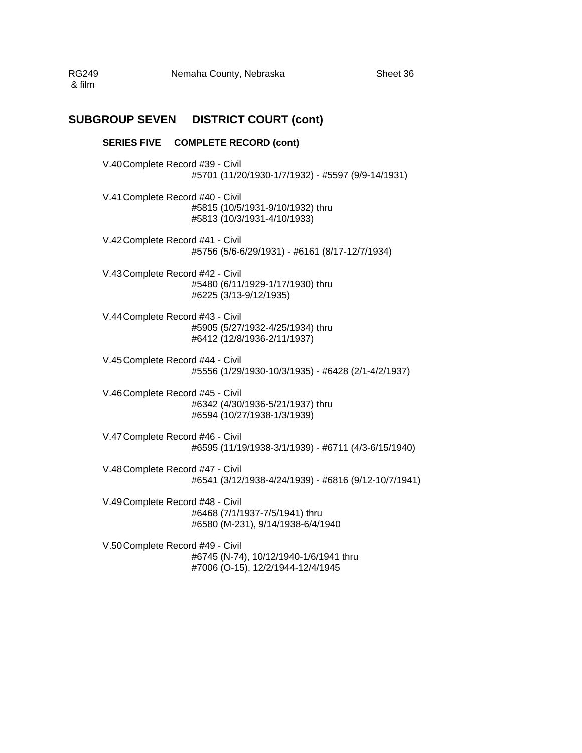RG249 Nemaha County, Nebraska Sheet 36 & film

# **SUBGROUP SEVEN DISTRICT COURT (cont)**

### **SERIES FIVE COMPLETE RECORD (cont)**

V.40 Complete Record #39 - Civil #5701 (11/20/1930-1/7/1932) - #5597 (9/9-14/1931) V.41 Complete Record #40 - Civil #5815 (10/5/1931-9/10/1932) thru #5813 (10/3/1931-4/10/1933) V.42 Complete Record #41 - Civil #5756 (5/6-6/29/1931) - #6161 (8/17-12/7/1934) V.43 Complete Record #42 - Civil #5480 (6/11/1929-1/17/1930) thru #6225 (3/13-9/12/1935) V.44 Complete Record #43 - Civil #5905 (5/27/1932-4/25/1934) thru #6412 (12/8/1936-2/11/1937) V.45 Complete Record #44 - Civil #5556 (1/29/1930-10/3/1935) - #6428 (2/1-4/2/1937) V.46 Complete Record #45 - Civil #6342 (4/30/1936-5/21/1937) thru #6594 (10/27/1938-1/3/1939) V.47 Complete Record #46 - Civil #6595 (11/19/1938-3/1/1939) - #6711 (4/3-6/15/1940) V.48 Complete Record #47 - Civil #6541 (3/12/1938-4/24/1939) - #6816 (9/12-10/7/1941) V.49 Complete Record #48 - Civil #6468 (7/1/1937-7/5/1941) thru #6580 (M-231), 9/14/1938-6/4/1940 V.50 Complete Record #49 - Civil

#6745 (N-74), 10/12/1940-1/6/1941 thru #7006 (O-15), 12/2/1944-12/4/1945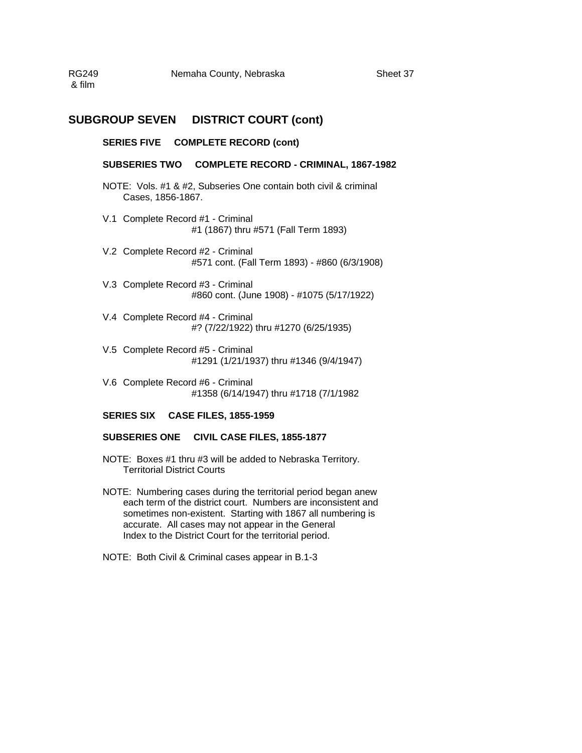RG249 Nemaha County, Nebraska Sheet 37 & film

### **SUBGROUP SEVEN DISTRICT COURT (cont)**

### **SERIES FIVE COMPLETE RECORD (cont)**

#### **SUBSERIES TWO COMPLETE RECORD - CRIMINAL, 1867-1982**

- NOTE: Vols. #1 & #2, Subseries One contain both civil & criminal Cases, 1856-1867.
- V.1 Complete Record #1 Criminal #1 (1867) thru #571 (Fall Term 1893)
- V.2 Complete Record #2 Criminal #571 cont. (Fall Term 1893) - #860 (6/3/1908)
- V.3 Complete Record #3 Criminal #860 cont. (June 1908) - #1075 (5/17/1922)
- V.4 Complete Record #4 Criminal #? (7/22/1922) thru #1270 (6/25/1935)
- V.5 Complete Record #5 Criminal #1291 (1/21/1937) thru #1346 (9/4/1947)
- V.6 Complete Record #6 Criminal #1358 (6/14/1947) thru #1718 (7/1/1982

### **SERIES SIX CASE FILES, 1855-1959**

### **SUBSERIES ONE CIVIL CASE FILES, 1855-1877**

- NOTE: Boxes #1 thru #3 will be added to Nebraska Territory. Territorial District Courts
- NOTE: Numbering cases during the territorial period began anew each term of the district court. Numbers are inconsistent and sometimes non-existent. Starting with 1867 all numbering is accurate. All cases may not appear in the General Index to the District Court for the territorial period.
- NOTE: Both Civil & Criminal cases appear in B.1-3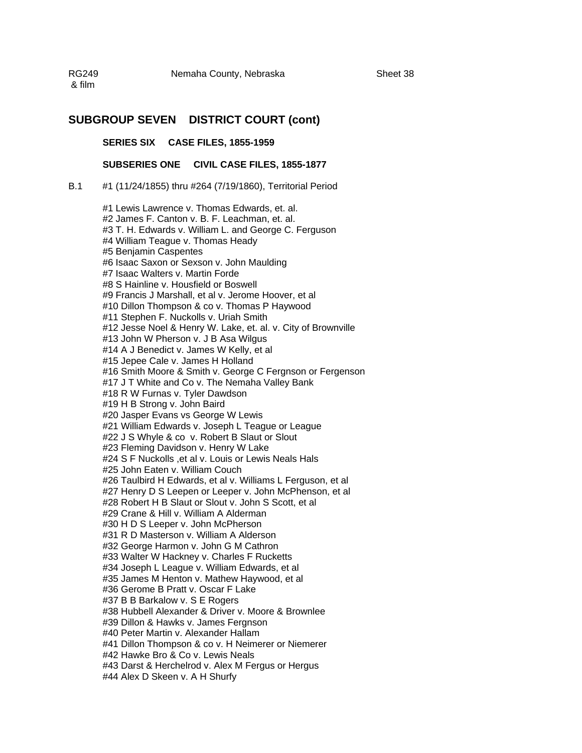RG249 Nemaha County, Nebraska & film

### **SUBGROUP SEVEN DISTRICT COURT (cont)**

**SERIES SIX CASE FILES, 1855-1959** 

**SUBSERIES ONE CIVIL CASE FILES, 1855-1877**

B.1 #1 (11/24/1855) thru #264 (7/19/1860), Territorial Period

#1 Lewis Lawrence v. Thomas Edwards, et. al. #2 James F. Canton v. B. F. Leachman, et. al. #3 T. H. Edwards v. William L. and George C. Ferguson #4 William Teague v. Thomas Heady #5 Benjamin Caspentes #6 Isaac Saxon or Sexson v. John Maulding #7 Isaac Walters v. Martin Forde #8 S Hainline v. Housfield or Boswell #9 Francis J Marshall, et al v. Jerome Hoover, et al #10 Dillon Thompson & co v. Thomas P Haywood #11 Stephen F. Nuckolls v. Uriah Smith #12 Jesse Noel & Henry W. Lake, et. al. v. City of Brownville #13 John W Pherson v. J B Asa Wilgus #14 A J Benedict v. James W Kelly, et al #15 Jepee Cale v. James H Holland #16 Smith Moore & Smith v. George C Fergnson or Fergenson #17 J T White and Co v. The Nemaha Valley Bank #18 R W Furnas v. Tyler Dawdson #19 H B Strong v. John Baird #20 Jasper Evans vs George W Lewis #21 William Edwards v. Joseph L Teague or League #22 J S Whyle & co v. Robert B Slaut or Slout #23 Fleming Davidson v. Henry W Lake #24 S F Nuckolls ,et al v. Louis or Lewis Neals Hals #25 John Eaten v. William Couch #26 Taulbird H Edwards, et al v. Williams L Ferguson, et al #27 Henry D S Leepen or Leeper v. John McPhenson, et al #28 Robert H B Slaut or Slout v. John S Scott, et al #29 Crane & Hill v. William A Alderman #30 H D S Leeper v. John McPherson #31 R D Masterson v. William A Alderson #32 George Harmon v. John G M Cathron #33 Walter W Hackney v. Charles F Rucketts #34 Joseph L League v. William Edwards, et al #35 James M Henton v. Mathew Haywood, et al #36 Gerome B Pratt v. Oscar F Lake #37 B B Barkalow v. S E Rogers #38 Hubbell Alexander & Driver v. Moore & Brownlee #39 Dillon & Hawks v. James Fergnson #40 Peter Martin v. Alexander Hallam #41 Dillon Thompson & co v. H Neimerer or Niemerer #42 Hawke Bro & Co v. Lewis Neals #43 Darst & Herchelrod v. Alex M Fergus or Hergus #44 Alex D Skeen v. A H Shurfy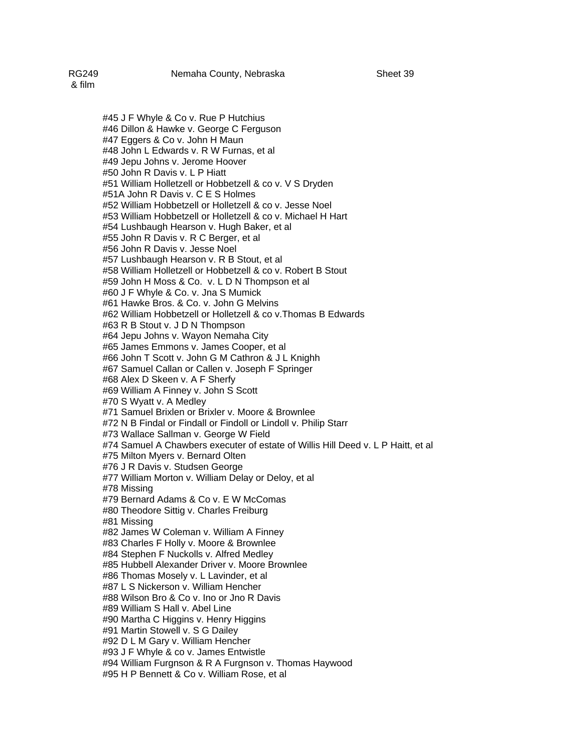#45 J F Whyle & Co v. Rue P Hutchius #46 Dillon & Hawke v. George C Ferguson #47 Eggers & Co v. John H Maun #48 John L Edwards v. R W Furnas, et al #49 Jepu Johns v. Jerome Hoover #50 John R Davis v. L P Hiatt #51 William Holletzell or Hobbetzell & co v. V S Dryden #51A John R Davis v. C E S Holmes #52 William Hobbetzell or Holletzell & co v. Jesse Noel #53 William Hobbetzell or Holletzell & co v. Michael H Hart #54 Lushbaugh Hearson v. Hugh Baker, et al #55 John R Davis v. R C Berger, et al #56 John R Davis v. Jesse Noel #57 Lushbaugh Hearson v. R B Stout, et al #58 William Holletzell or Hobbetzell & co v. Robert B Stout #59 John H Moss & Co. v. L D N Thompson et al #60 J F Whyle & Co. v. Jna S Mumick #61 Hawke Bros. & Co. v. John G Melvins #62 William Hobbetzell or Holletzell & co v.Thomas B Edwards #63 R B Stout v. J D N Thompson #64 Jepu Johns v. Wayon Nemaha City #65 James Emmons v. James Cooper, et al #66 John T Scott v. John G M Cathron & J L Knighh #67 Samuel Callan or Callen v. Joseph F Springer #68 Alex D Skeen v. A F Sherfy #69 William A Finney v. John S Scott #70 S Wyatt v. A Medley #71 Samuel Brixlen or Brixler v. Moore & Brownlee #72 N B Findal or Findall or Findoll or Lindoll v. Philip Starr #73 Wallace Sallman v. George W Field #74 Samuel A Chawbers executer of estate of Willis Hill Deed v. L P Haitt, et al #75 Milton Myers v. Bernard Olten #76 J R Davis v. Studsen George #77 William Morton v. William Delay or Deloy, et al #78 Missing #79 Bernard Adams & Co v. E W McComas #80 Theodore Sittig v. Charles Freiburg #81 Missing #82 James W Coleman v. William A Finney #83 Charles F Holly v. Moore & Brownlee #84 Stephen F Nuckolls v. Alfred Medley #85 Hubbell Alexander Driver v. Moore Brownlee #86 Thomas Mosely v. L Lavinder, et al #87 L S Nickerson v. William Hencher #88 Wilson Bro & Co v. Ino or Jno R Davis #89 William S Hall v. Abel Line #90 Martha C Higgins v. Henry Higgins #91 Martin Stowell v. S G Dailey #92 D L M Gary v. William Hencher #93 J F Whyle & co v. James Entwistle #94 William Furgnson & R A Furgnson v. Thomas Haywood #95 H P Bennett & Co v. William Rose, et al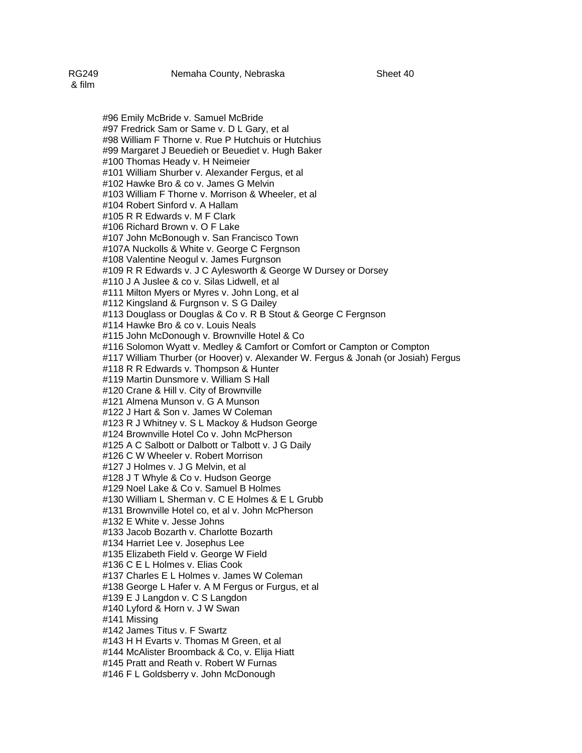#96 Emily McBride v. Samuel McBride #97 Fredrick Sam or Same v. D L Gary, et al #98 William F Thorne v. Rue P Hutchuis or Hutchius #99 Margaret J Beuedieh or Beuediet v. Hugh Baker #100 Thomas Heady v. H Neimeier #101 William Shurber v. Alexander Fergus, et al #102 Hawke Bro & co v. James G Melvin #103 William F Thorne v. Morrison & Wheeler, et al #104 Robert Sinford v. A Hallam #105 R R Edwards v. M F Clark #106 Richard Brown v. O F Lake #107 John McBonough v. San Francisco Town #107A Nuckolls & White v. George C Fergnson #108 Valentine Neogul v. James Furgnson #109 R R Edwards v. J C Aylesworth & George W Dursey or Dorsey #110 J A Juslee & co v. Silas Lidwell, et al #111 Milton Myers or Myres v. John Long, et al #112 Kingsland & Furgnson v. S G Dailey #113 Douglass or Douglas & Co v. R B Stout & George C Fergnson #114 Hawke Bro & co v. Louis Neals #115 John McDonough v. Brownville Hotel & Co #116 Solomon Wyatt v. Medley & Camfort or Comfort or Campton or Compton #117 William Thurber (or Hoover) v. Alexander W. Fergus & Jonah (or Josiah) Fergus #118 R R Edwards v. Thompson & Hunter #119 Martin Dunsmore v. William S Hall #120 Crane & Hill v. City of Brownville #121 Almena Munson v. G A Munson #122 J Hart & Son v. James W Coleman #123 R J Whitney v. S L Mackoy & Hudson George #124 Brownville Hotel Co v. John McPherson #125 A C Salbott or Dalbott or Talbott v. J G Daily #126 C W Wheeler v. Robert Morrison #127 J Holmes v. J G Melvin, et al #128 J T Whyle & Co v. Hudson George #129 Noel Lake & Co v. Samuel B Holmes #130 William L Sherman v. C E Holmes & E L Grubb #131 Brownville Hotel co, et al v. John McPherson #132 E White v. Jesse Johns #133 Jacob Bozarth v. Charlotte Bozarth #134 Harriet Lee v. Josephus Lee #135 Elizabeth Field v. George W Field #136 C E L Holmes v. Elias Cook #137 Charles E L Holmes v. James W Coleman #138 George L Hafer v. A M Fergus or Furgus, et al #139 E J Langdon v. C S Langdon #140 Lyford & Horn v. J W Swan #141 Missing #142 James Titus v. F Swartz #143 H H Evarts v. Thomas M Green, et al #144 McAlister Broomback & Co, v. Elija Hiatt #145 Pratt and Reath v. Robert W Furnas #146 F L Goldsberry v. John McDonough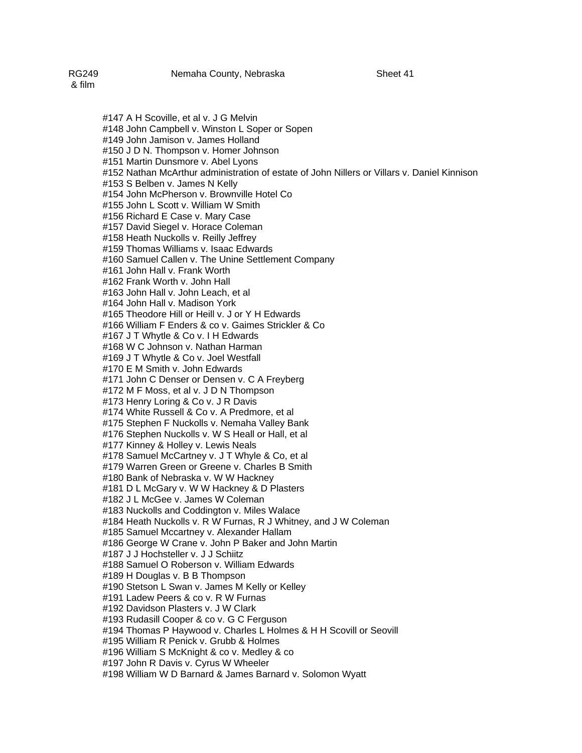#147 A H Scoville, et al v. J G Melvin #148 John Campbell v. Winston L Soper or Sopen #149 John Jamison v. James Holland #150 J D N. Thompson v. Homer Johnson #151 Martin Dunsmore v. Abel Lyons #152 Nathan McArthur administration of estate of John Nillers or Villars v. Daniel Kinnison #153 S Belben v. James N Kelly #154 John McPherson v. Brownville Hotel Co #155 John L Scott v. William W Smith #156 Richard E Case v. Mary Case #157 David Siegel v. Horace Coleman #158 Heath Nuckolls v. Reilly Jeffrey #159 Thomas Williams v. Isaac Edwards #160 Samuel Callen v. The Unine Settlement Company #161 John Hall v. Frank Worth #162 Frank Worth v. John Hall #163 John Hall v. John Leach, et al #164 John Hall v. Madison York #165 Theodore Hill or Heill v. J or Y H Edwards #166 William F Enders & co v. Gaimes Strickler & Co #167 J T Whytle & Co v. I H Edwards #168 W C Johnson v. Nathan Harman #169 J T Whytle & Co v. Joel Westfall #170 E M Smith v. John Edwards #171 John C Denser or Densen v. C A Freyberg #172 M F Moss, et al v. J D N Thompson #173 Henry Loring & Co v. J R Davis #174 White Russell & Co v. A Predmore, et al #175 Stephen F Nuckolls v. Nemaha Valley Bank #176 Stephen Nuckolls v. W S Heall or Hall, et al #177 Kinney & Holley v. Lewis Neals #178 Samuel McCartney v. J T Whyle & Co, et al #179 Warren Green or Greene v. Charles B Smith #180 Bank of Nebraska v. W W Hackney #181 D L McGary v. W W Hackney & D Plasters #182 J L McGee v. James W Coleman #183 Nuckolls and Coddington v. Miles Walace #184 Heath Nuckolls v. R W Furnas, R J Whitney, and J W Coleman #185 Samuel Mccartney v. Alexander Hallam #186 George W Crane v. John P Baker and John Martin #187 J J Hochsteller v. J J Schiitz #188 Samuel O Roberson v. William Edwards #189 H Douglas v. B B Thompson #190 Stetson L Swan v. James M Kelly or Kelley #191 Ladew Peers & co v. R W Furnas #192 Davidson Plasters v. J W Clark #193 Rudasill Cooper & co v. G C Ferguson #194 Thomas P Haywood v. Charles L Holmes & H H Scovill or Seovill #195 William R Penick v. Grubb & Holmes #196 William S McKnight & co v. Medley & co

#197 John R Davis v. Cyrus W Wheeler

#198 William W D Barnard & James Barnard v. Solomon Wyatt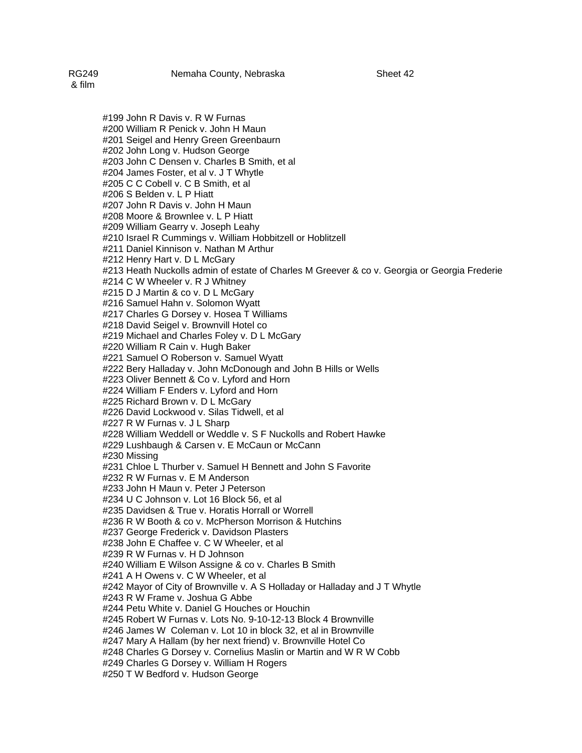#199 John R Davis v. R W Furnas #200 William R Penick v. John H Maun #201 Seigel and Henry Green Greenbaurn #202 John Long v. Hudson George #203 John C Densen v. Charles B Smith, et al #204 James Foster, et al v. J T Whytle #205 C C Cobell v. C B Smith, et al #207 John R Davis v. John H Maun #208 Moore & Brownlee v. L P Hiatt #209 William Gearry v. Joseph Leahy #210 Israel R Cummings v. William Hobbitzell or Hoblitzell #211 Daniel Kinnison v. Nathan M Arthur

#212 Henry Hart v. D L McGary #213 Heath Nuckolls admin of estate of Charles M Greever & co v. Georgia or Georgia Frederie

#214 C W Wheeler v. R J Whitney

#206 S Belden v. L P Hiatt

#215 D J Martin & co v. D L McGary

#216 Samuel Hahn v. Solomon Wyatt

#217 Charles G Dorsey v. Hosea T Williams

#218 David Seigel v. Brownvill Hotel co

#219 Michael and Charles Foley v. D L McGary

#220 William R Cain v. Hugh Baker

#221 Samuel O Roberson v. Samuel Wyatt

#222 Bery Halladay v. John McDonough and John B Hills or Wells

#223 Oliver Bennett & Co v. Lyford and Horn

#224 William F Enders v. Lyford and Horn

#225 Richard Brown v. D L McGary

#226 David Lockwood v. Silas Tidwell, et al

#227 R W Furnas v. J L Sharp

#228 William Weddell or Weddle v. S F Nuckolls and Robert Hawke

#229 Lushbaugh & Carsen v. E McCaun or McCann

#230 Missing

#231 Chloe L Thurber v. Samuel H Bennett and John S Favorite

#232 R W Furnas v. E M Anderson

#233 John H Maun v. Peter J Peterson

#234 U C Johnson v. Lot 16 Block 56, et al

#235 Davidsen & True v. Horatis Horrall or Worrell

#236 R W Booth & co v. McPherson Morrison & Hutchins

#237 George Frederick v. Davidson Plasters

#238 John E Chaffee v. C W Wheeler, et al

#239 R W Furnas v. H D Johnson

#240 William E Wilson Assigne & co v. Charles B Smith

#241 A H Owens v. C W Wheeler, et al

#242 Mayor of City of Brownville v. A S Holladay or Halladay and J T Whytle

#243 R W Frame v. Joshua G Abbe

#244 Petu White v. Daniel G Houches or Houchin

#245 Robert W Furnas v. Lots No. 9-10-12-13 Block 4 Brownville

#246 James W Coleman v. Lot 10 in block 32, et al in Brownville

#247 Mary A Hallam (by her next friend) v. Brownville Hotel Co

#248 Charles G Dorsey v. Cornelius Maslin or Martin and W R W Cobb

#249 Charles G Dorsey v. William H Rogers

#250 T W Bedford v. Hudson George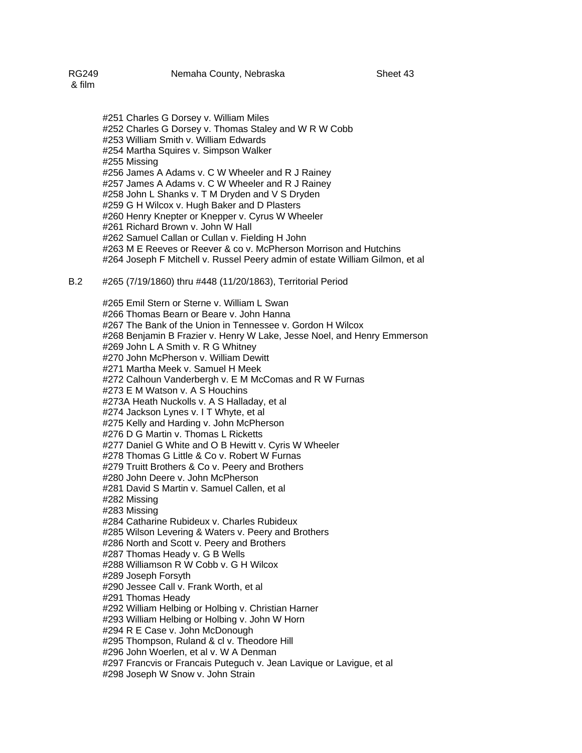#251 Charles G Dorsey v. William Miles #252 Charles G Dorsey v. Thomas Staley and W R W Cobb #253 William Smith v. William Edwards #254 Martha Squires v. Simpson Walker #255 Missing #256 James A Adams v. C W Wheeler and R J Rainey #257 James A Adams v. C W Wheeler and R J Rainey #258 John L Shanks v. T M Dryden and V S Dryden #259 G H Wilcox v. Hugh Baker and D Plasters #260 Henry Knepter or Knepper v. Cyrus W Wheeler #261 Richard Brown v. John W Hall #262 Samuel Callan or Cullan v. Fielding H John #263 M E Reeves or Reever & co v. McPherson Morrison and Hutchins #264 Joseph F Mitchell v. Russel Peery admin of estate William Gilmon, et al

### B.2 #265 (7/19/1860) thru #448 (11/20/1863), Territorial Period

#265 Emil Stern or Sterne v. William L Swan #266 Thomas Bearn or Beare v. John Hanna #267 The Bank of the Union in Tennessee v. Gordon H Wilcox #268 Benjamin B Frazier v. Henry W Lake, Jesse Noel, and Henry Emmerson #269 John L A Smith v. R G Whitney #270 John McPherson v. William Dewitt #271 Martha Meek v. Samuel H Meek #272 Calhoun Vanderbergh v. E M McComas and R W Furnas #273 E M Watson v. A S Houchins #273A Heath Nuckolls v. A S Halladay, et al #274 Jackson Lynes v. I T Whyte, et al #275 Kelly and Harding v. John McPherson #276 D G Martin v. Thomas L Ricketts #277 Daniel G White and O B Hewitt v. Cyris W Wheeler #278 Thomas G Little & Co v. Robert W Furnas #279 Truitt Brothers & Co v. Peery and Brothers #280 John Deere v. John McPherson #281 David S Martin v. Samuel Callen, et al #282 Missing #283 Missing #284 Catharine Rubideux v. Charles Rubideux #285 Wilson Levering & Waters v. Peery and Brothers #286 North and Scott v. Peery and Brothers #287 Thomas Heady v. G B Wells #288 Williamson R W Cobb v. G H Wilcox #289 Joseph Forsyth #290 Jessee Call v. Frank Worth, et al #291 Thomas Heady #292 William Helbing or Holbing v. Christian Harner #293 William Helbing or Holbing v. John W Horn #294 R E Case v. John McDonough #295 Thompson, Ruland & cl v. Theodore Hill #296 John Woerlen, et al v. W A Denman #297 Francvis or Francais Puteguch v. Jean Lavique or Lavigue, et al #298 Joseph W Snow v. John Strain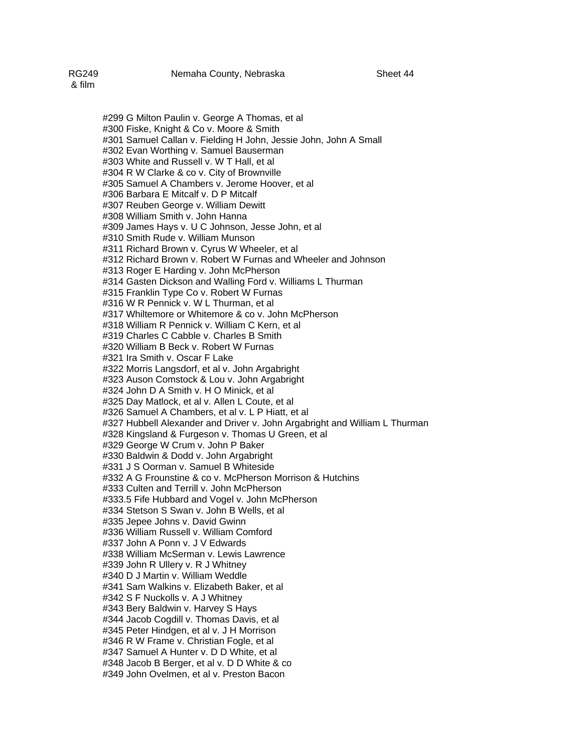#299 G Milton Paulin v. George A Thomas, et al #300 Fiske, Knight & Co v. Moore & Smith #301 Samuel Callan v. Fielding H John, Jessie John, John A Small #302 Evan Worthing v. Samuel Bauserman #303 White and Russell v. W T Hall, et al #304 R W Clarke & co v. City of Brownville #305 Samuel A Chambers v. Jerome Hoover, et al #306 Barbara E Mitcalf v. D P Mitcalf #307 Reuben George v. William Dewitt #308 William Smith v. John Hanna #309 James Hays v. U C Johnson, Jesse John, et al #310 Smith Rude v. William Munson #311 Richard Brown v. Cyrus W Wheeler, et al #312 Richard Brown v. Robert W Furnas and Wheeler and Johnson #313 Roger E Harding v. John McPherson #314 Gasten Dickson and Walling Ford v. Williams L Thurman #315 Franklin Type Co v. Robert W Furnas #316 W R Pennick v. W L Thurman, et al #317 Whiltemore or Whitemore & co v. John McPherson #318 William R Pennick v. William C Kern, et al #319 Charles C Cabble v. Charles B Smith #320 William B Beck v. Robert W Furnas #321 Ira Smith v. Oscar F Lake #322 Morris Langsdorf, et al v. John Argabright #323 Auson Comstock & Lou v. John Argabright #324 John D A Smith v. H O Minick, et al #325 Day Matlock, et al v. Allen L Coute, et al #326 Samuel A Chambers, et al v. L P Hiatt, et al #327 Hubbell Alexander and Driver v. John Argabright and William L Thurman #328 Kingsland & Furgeson v. Thomas U Green, et al #329 George W Crum v. John P Baker #330 Baldwin & Dodd v. John Argabright #331 J S Oorman v. Samuel B Whiteside #332 A G Frounstine & co v. McPherson Morrison & Hutchins #333 Culten and Terrill v. John McPherson #333.5 Fife Hubbard and Vogel v. John McPherson #334 Stetson S Swan v. John B Wells, et al #335 Jepee Johns v. David Gwinn #336 William Russell v. William Comford #337 John A Ponn v. J V Edwards #338 William McSerman v. Lewis Lawrence #339 John R Ullery v. R J Whitney #340 D J Martin v. William Weddle #341 Sam Walkins v. Elizabeth Baker, et al #342 S F Nuckolls v. A J Whitney #343 Bery Baldwin v. Harvey S Hays #344 Jacob Cogdill v. Thomas Davis, et al #345 Peter Hindgen, et al v. J H Morrison #346 R W Frame v. Christian Fogle, et al #347 Samuel A Hunter v. D D White, et al #348 Jacob B Berger, et al v. D D White & co #349 John Ovelmen, et al v. Preston Bacon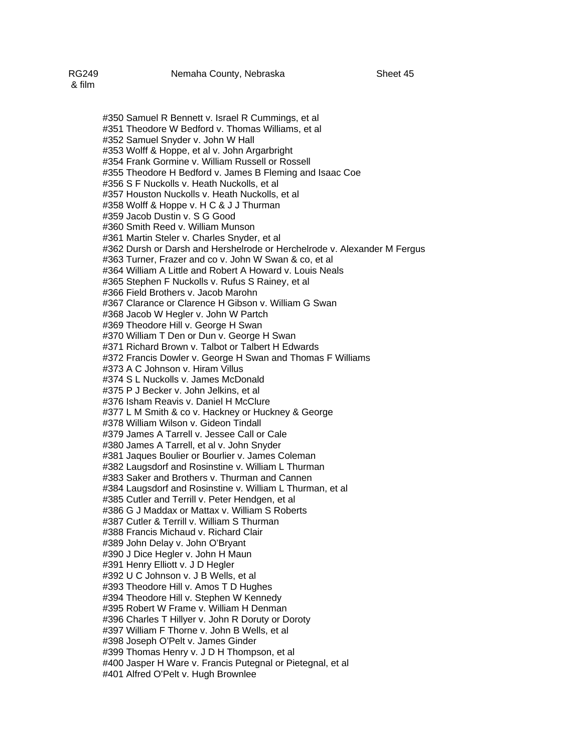#350 Samuel R Bennett v. Israel R Cummings, et al #351 Theodore W Bedford v. Thomas Williams, et al #352 Samuel Snyder v. John W Hall #353 Wolff & Hoppe, et al v. John Argarbright #354 Frank Gormine v. William Russell or Rossell #355 Theodore H Bedford v. James B Fleming and Isaac Coe #356 S F Nuckolls v. Heath Nuckolls, et al #357 Houston Nuckolls v. Heath Nuckolls, et al #358 Wolff & Hoppe v. H C & J J Thurman #359 Jacob Dustin v. S G Good #360 Smith Reed v. William Munson #361 Martin Steler v. Charles Snyder, et al #362 Dursh or Darsh and Hershelrode or Herchelrode v. Alexander M Fergus #363 Turner, Frazer and co v. John W Swan & co, et al #364 William A Little and Robert A Howard v. Louis Neals #365 Stephen F Nuckolls v. Rufus S Rainey, et al #366 Field Brothers v. Jacob Marohn #367 Clarance or Clarence H Gibson v. William G Swan #368 Jacob W Hegler v. John W Partch #369 Theodore Hill v. George H Swan #370 William T Den or Dun v. George H Swan #371 Richard Brown v. Talbot or Talbert H Edwards #372 Francis Dowler v. George H Swan and Thomas F Williams #373 A C Johnson v. Hiram Villus #374 S L Nuckolls v. James McDonald #375 P J Becker v. John Jelkins, et al #376 Isham Reavis v. Daniel H McClure #377 L M Smith & co v. Hackney or Huckney & George #378 William Wilson v. Gideon Tindall #379 James A Tarrell v. Jessee Call or Cale #380 James A Tarrell, et al v. John Snyder #381 Jaques Boulier or Bourlier v. James Coleman #382 Laugsdorf and Rosinstine v. William L Thurman #383 Saker and Brothers v. Thurman and Cannen #384 Laugsdorf and Rosinstine v. William L Thurman, et al #385 Cutler and Terrill v. Peter Hendgen, et al #386 G J Maddax or Mattax v. William S Roberts #387 Cutler & Terrill v. William S Thurman #388 Francis Michaud v. Richard Clair #389 John Delay v. John O'Bryant #390 J Dice Hegler v. John H Maun #391 Henry Elliott v. J D Hegler #392 U C Johnson v. J B Wells, et al #393 Theodore Hill v. Amos T D Hughes

#394 Theodore Hill v. Stephen W Kennedy

#395 Robert W Frame v. William H Denman

#396 Charles T Hillyer v. John R Doruty or Doroty

#397 William F Thorne v. John B Wells, et al

#398 Joseph O'Pelt v. James Ginder

#399 Thomas Henry v. J D H Thompson, et al

#400 Jasper H Ware v. Francis Putegnal or Pietegnal, et al

#401 Alfred O'Pelt v. Hugh Brownlee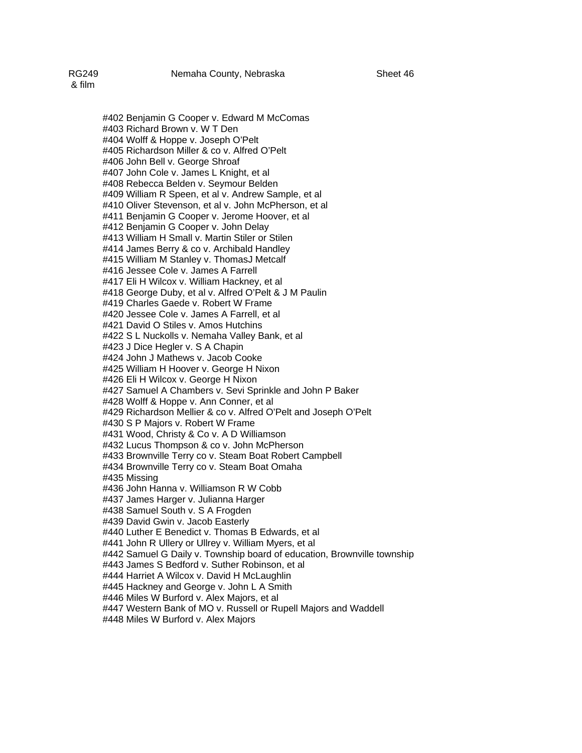#402 Benjamin G Cooper v. Edward M McComas #403 Richard Brown v. W T Den #404 Wolff & Hoppe v. Joseph O'Pelt #405 Richardson Miller & co v. Alfred O'Pelt #406 John Bell v. George Shroaf #407 John Cole v. James L Knight, et al #408 Rebecca Belden v. Seymour Belden #409 William R Speen, et al v. Andrew Sample, et al #410 Oliver Stevenson, et al v. John McPherson, et al #411 Benjamin G Cooper v. Jerome Hoover, et al #412 Benjamin G Cooper v. John Delay #413 William H Small v. Martin Stiler or Stilen #414 James Berry & co v. Archibald Handley #415 William M Stanley v. ThomasJ Metcalf #416 Jessee Cole v. James A Farrell #417 Eli H Wilcox v. William Hackney, et al #418 George Duby, et al v. Alfred O'Pelt & J M Paulin #419 Charles Gaede v. Robert W Frame #420 Jessee Cole v. James A Farrell, et al #421 David O Stiles v. Amos Hutchins #422 S L Nuckolls v. Nemaha Valley Bank, et al #423 J Dice Hegler v. S A Chapin #424 John J Mathews v. Jacob Cooke #425 William H Hoover v. George H Nixon #426 Eli H Wilcox v. George H Nixon #427 Samuel A Chambers v. Sevi Sprinkle and John P Baker #428 Wolff & Hoppe v. Ann Conner, et al #429 Richardson Mellier & co v. Alfred O'Pelt and Joseph O'Pelt #430 S P Majors v. Robert W Frame #431 Wood, Christy & Co v. A D Williamson #432 Lucus Thompson & co v. John McPherson #433 Brownville Terry co v. Steam Boat Robert Campbell #434 Brownville Terry co v. Steam Boat Omaha #435 Missing #436 John Hanna v. Williamson R W Cobb #437 James Harger v. Julianna Harger #438 Samuel South v. S A Frogden #439 David Gwin v. Jacob Easterly #440 Luther E Benedict v. Thomas B Edwards, et al

#441 John R Ullery or Ullrey v. William Myers, et al

#442 Samuel G Daily v. Township board of education, Brownville township #443 James S Bedford v. Suther Robinson, et al

#444 Harriet A Wilcox v. David H McLaughlin

#445 Hackney and George v. John L A Smith

#446 Miles W Burford v. Alex Majors, et al

#447 Western Bank of MO v. Russell or Rupell Majors and Waddell

#448 Miles W Burford v. Alex Majors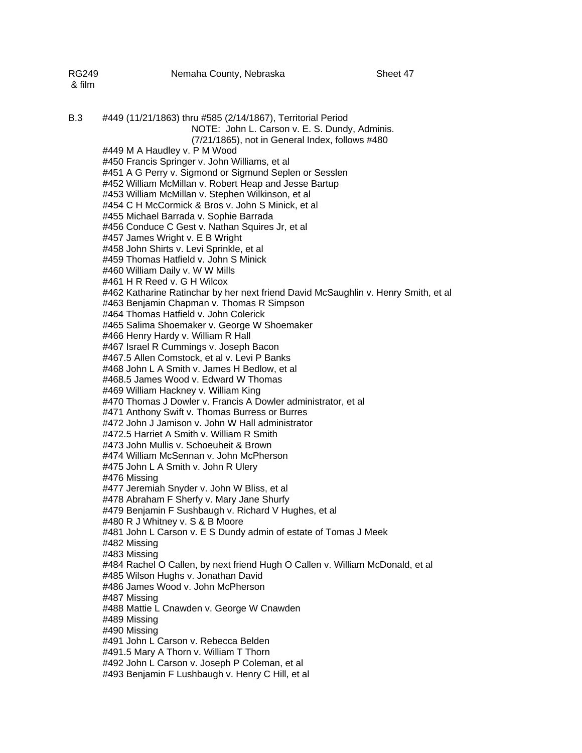| RG249<br>& film | Nemaha County, Nebraska                                                                                         | Sheet 47 |
|-----------------|-----------------------------------------------------------------------------------------------------------------|----------|
| B.3             | #449 (11/21/1863) thru #585 (2/14/1867), Territorial Period<br>NOTE: John L. Carson v. E. S. Dundy, Adminis.    |          |
|                 | (7/21/1865), not in General Index, follows #480                                                                 |          |
|                 | #449 M A Haudley v. P M Wood                                                                                    |          |
|                 | #450 Francis Springer v. John Williams, et al                                                                   |          |
|                 | #451 A G Perry v. Sigmond or Sigmund Seplen or Sesslen                                                          |          |
|                 | #452 William McMillan v. Robert Heap and Jesse Bartup<br>#453 William McMillan v. Stephen Wilkinson, et al      |          |
|                 | #454 C H McCormick & Bros v. John S Minick, et al                                                               |          |
|                 | #455 Michael Barrada v. Sophie Barrada                                                                          |          |
|                 | #456 Conduce C Gest v. Nathan Squires Jr, et al                                                                 |          |
|                 | #457 James Wright v. E B Wright                                                                                 |          |
|                 | #458 John Shirts v. Levi Sprinkle, et al                                                                        |          |
|                 | #459 Thomas Hatfield v. John S Minick                                                                           |          |
|                 | #460 William Daily v. W W Mills                                                                                 |          |
|                 | #461 H R Reed v. G H Wilcox                                                                                     |          |
|                 | #462 Katharine Ratinchar by her next friend David McSaughlin v. Henry Smith, et al                              |          |
|                 | #463 Benjamin Chapman v. Thomas R Simpson                                                                       |          |
|                 | #464 Thomas Hatfield v. John Colerick                                                                           |          |
|                 | #465 Salima Shoemaker v. George W Shoemaker                                                                     |          |
|                 | #466 Henry Hardy v. William R Hall                                                                              |          |
|                 | #467 Israel R Cummings v. Joseph Bacon                                                                          |          |
|                 | #467.5 Allen Comstock, et al v. Levi P Banks                                                                    |          |
|                 | #468 John L A Smith v. James H Bedlow, et al                                                                    |          |
|                 | #468.5 James Wood v. Edward W Thomas                                                                            |          |
|                 | #469 William Hackney v. William King                                                                            |          |
|                 | #470 Thomas J Dowler v. Francis A Dowler administrator, et al<br>#471 Anthony Swift v. Thomas Burress or Burres |          |
|                 | #472 John J Jamison v. John W Hall administrator                                                                |          |
|                 | #472.5 Harriet A Smith v. William R Smith                                                                       |          |
|                 | #473 John Mullis v. Schoeuheit & Brown                                                                          |          |
|                 | #474 William McSennan v. John McPherson                                                                         |          |
|                 | #475 John L A Smith v. John R Ulery                                                                             |          |
|                 | #476 Missing                                                                                                    |          |
|                 | #477 Jeremiah Snyder v. John W Bliss, et al                                                                     |          |
|                 | #478 Abraham F Sherfy v. Mary Jane Shurfy                                                                       |          |
|                 | #479 Benjamin F Sushbaugh v. Richard V Hughes, et al                                                            |          |
|                 | #480 R J Whitney v. S & B Moore                                                                                 |          |
|                 | #481 John L Carson v. E S Dundy admin of estate of Tomas J Meek                                                 |          |
|                 | #482 Missing                                                                                                    |          |
|                 | #483 Missing                                                                                                    |          |
|                 | #484 Rachel O Callen, by next friend Hugh O Callen v. William McDonald, et al                                   |          |
|                 | #485 Wilson Hughs v. Jonathan David<br>#486 James Wood v. John McPherson                                        |          |
|                 | #487 Missing                                                                                                    |          |
|                 | #488 Mattie L Cnawden v. George W Cnawden                                                                       |          |
|                 | #489 Missing                                                                                                    |          |
|                 | #490 Missing                                                                                                    |          |
|                 | #491 John L Carson v. Rebecca Belden                                                                            |          |
|                 | #491.5 Mary A Thorn v. William T Thorn                                                                          |          |
|                 | #492 John L Carson v. Joseph P Coleman, et al                                                                   |          |
|                 | #493 Benjamin F Lushbaugh v. Henry C Hill, et al                                                                |          |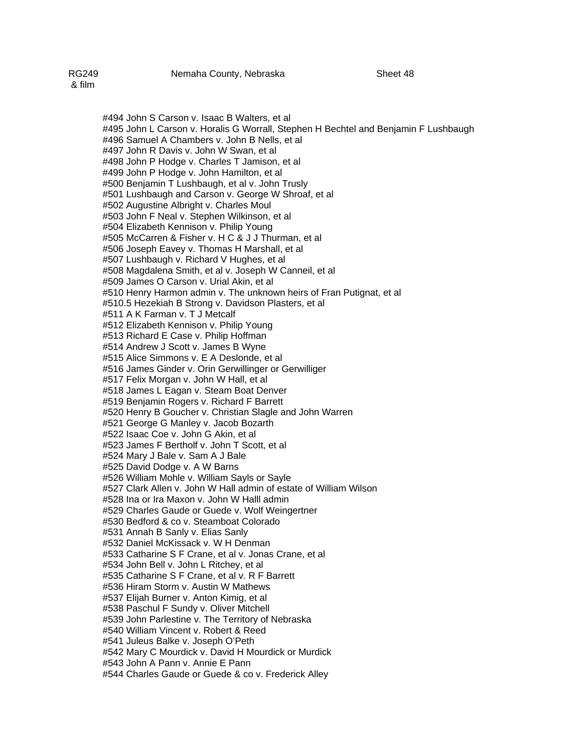#494 John S Carson v. Isaac B Walters, et al #495 John L Carson v. Horalis G Worrall, Stephen H Bechtel and Benjamin F Lushbaugh #496 Samuel A Chambers v. John B Nells, et al #497 John R Davis v. John W Swan, et al #498 John P Hodge v. Charles T Jamison, et al #499 John P Hodge v. John Hamilton, et al #500 Benjamin T Lushbaugh, et al v. John Trusly #501 Lushbaugh and Carson v. George W Shroaf, et al #502 Augustine Albright v. Charles Moul #503 John F Neal v. Stephen Wilkinson, et al #504 Elizabeth Kennison v. Philip Young #505 McCarren & Fisher v. H C & J J Thurman, et al #506 Joseph Eavey v. Thomas H Marshall, et al #507 Lushbaugh v. Richard V Hughes, et al #508 Magdalena Smith, et al v. Joseph W Canneil, et al #509 James O Carson v. Urial Akin, et al #510 Henry Harmon admin v. The unknown heirs of Fran Putignat, et al #510.5 Hezekiah B Strong v. Davidson Plasters, et al #511 A K Farman v. T J Metcalf #512 Elizabeth Kennison v. Philip Young #513 Richard E Case v. Philip Hoffman #514 Andrew J Scott v. James B Wyne #515 Alice Simmons v. E A Deslonde, et al #516 James Ginder v. Orin Gerwillinger or Gerwilliger #517 Felix Morgan v. John W Hall, et al #518 James L Eagan v. Steam Boat Denver #519 Benjamin Rogers v. Richard F Barrett #520 Henry B Goucher v. Christian Slagle and John Warren #521 George G Manley v. Jacob Bozarth #522 Isaac Coe v. John G Akin, et al #523 James F Bertholf v. John T Scott, et al #524 Mary J Bale v. Sam A J Bale #525 David Dodge v. A W Barns #526 William Mohle v. William Sayls or Sayle #527 Clark Allen v. John W Hall admin of estate of William Wilson #528 Ina or Ira Maxon v. John W Halll admin #529 Charles Gaude or Guede v. Wolf Weingertner #530 Bedford & co v. Steamboat Colorado #531 Annah B Sanly v. Elias Sanly #532 Daniel McKissack v. W H Denman #533 Catharine S F Crane, et al v. Jonas Crane, et al #534 John Bell v. John L Ritchey, et al #535 Catharine S F Crane, et al v. R F Barrett #536 Hiram Storm v. Austin W Mathews #537 Elijah Burner v. Anton Kimig, et al #538 Paschul F Sundy v. Oliver Mitchell #539 John Parlestine v. The Territory of Nebraska #540 William Vincent v. Robert & Reed

#541 Juleus Balke v. Joseph O'Peth

#542 Mary C Mourdick v. David H Mourdick or Murdick

#543 John A Pann v. Annie E Pann

#544 Charles Gaude or Guede & co v. Frederick Alley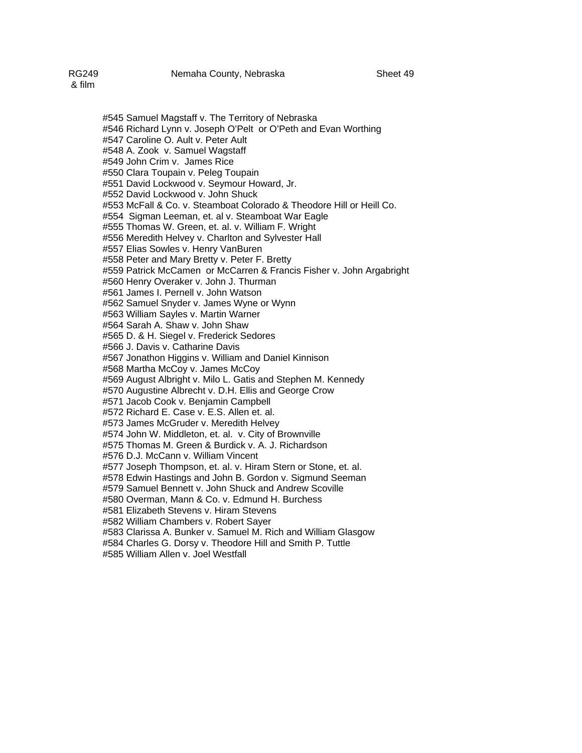#547 Caroline O. Ault v. Peter Ault #548 A. Zook v. Samuel Wagstaff #549 John Crim v. James Rice #550 Clara Toupain v. Peleg Toupain #551 David Lockwood v. Seymour Howard, Jr. #552 David Lockwood v. John Shuck #553 McFall & Co. v. Steamboat Colorado & Theodore Hill or Heill Co. #554 Sigman Leeman, et. al v. Steamboat War Eagle #555 Thomas W. Green, et. al. v. William F. Wright #556 Meredith Helvey v. Charlton and Sylvester Hall #557 Elias Sowles v. Henry VanBuren #558 Peter and Mary Bretty v. Peter F. Bretty #559 Patrick McCamen or McCarren & Francis Fisher v. John Argabright #560 Henry Overaker v. John J. Thurman #561 James I. Pernell v. John Watson #562 Samuel Snyder v. James Wyne or Wynn #563 William Sayles v. Martin Warner #564 Sarah A. Shaw v. John Shaw #565 D. & H. Siegel v. Frederick Sedores #566 J. Davis v. Catharine Davis #567 Jonathon Higgins v. William and Daniel Kinnison #568 Martha McCoy v. James McCoy #569 August Albright v. Milo L. Gatis and Stephen M. Kennedy #570 Augustine Albrecht v. D.H. Ellis and George Crow #571 Jacob Cook v. Benjamin Campbell #572 Richard E. Case v. E.S. Allen et. al. #573 James McGruder v. Meredith Helvey #574 John W. Middleton, et. al. v. City of Brownville #575 Thomas M. Green & Burdick v. A. J. Richardson #576 D.J. McCann v. William Vincent #577 Joseph Thompson, et. al. v. Hiram Stern or Stone, et. al. #578 Edwin Hastings and John B. Gordon v. Sigmund Seeman #579 Samuel Bennett v. John Shuck and Andrew Scoville #580 Overman, Mann & Co. v. Edmund H. Burchess #581 Elizabeth Stevens v. Hiram Stevens #582 William Chambers v. Robert Sayer #583 Clarissa A. Bunker v. Samuel M. Rich and William Glasgow #584 Charles G. Dorsy v. Theodore Hill and Smith P. Tuttle #585 William Allen v. Joel Westfall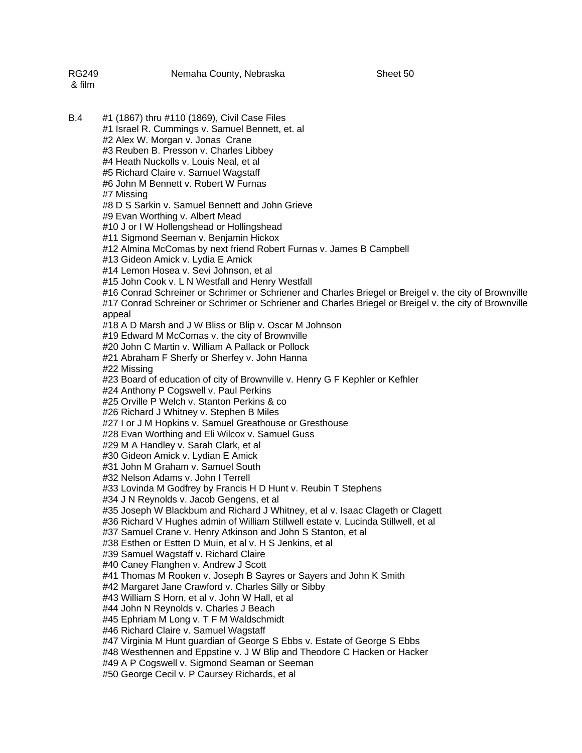| RG249<br>& film | Nemaha County, Nebraska                                                                                      | Sheet 50                                                                                               |
|-----------------|--------------------------------------------------------------------------------------------------------------|--------------------------------------------------------------------------------------------------------|
| B.4             | #1 (1867) thru #110 (1869), Civil Case Files                                                                 |                                                                                                        |
|                 | #1 Israel R. Cummings v. Samuel Bennett, et. al                                                              |                                                                                                        |
|                 | #2 Alex W. Morgan v. Jonas Crane                                                                             |                                                                                                        |
|                 | #3 Reuben B. Presson v. Charles Libbey                                                                       |                                                                                                        |
|                 | #4 Heath Nuckolls v. Louis Neal, et al                                                                       |                                                                                                        |
|                 | #5 Richard Claire v. Samuel Wagstaff                                                                         |                                                                                                        |
|                 | #6 John M Bennett v. Robert W Furnas                                                                         |                                                                                                        |
|                 | #7 Missing                                                                                                   |                                                                                                        |
|                 | #8 D S Sarkin v. Samuel Bennett and John Grieve                                                              |                                                                                                        |
|                 | #9 Evan Worthing v. Albert Mead                                                                              |                                                                                                        |
|                 | #10 J or I W Hollengshead or Hollingshead                                                                    |                                                                                                        |
|                 | #11 Sigmond Seeman v. Benjamin Hickox<br>#12 Almina McComas by next friend Robert Furnas v. James B Campbell |                                                                                                        |
|                 | #13 Gideon Amick v. Lydia E Amick                                                                            |                                                                                                        |
|                 | #14 Lemon Hosea v. Sevi Johnson, et al                                                                       |                                                                                                        |
|                 | #15 John Cook v. L N Westfall and Henry Westfall                                                             |                                                                                                        |
|                 |                                                                                                              | #16 Conrad Schreiner or Schrimer or Schriener and Charles Briegel or Breigel v. the city of Brownville |
|                 |                                                                                                              | #17 Conrad Schreiner or Schrimer or Schriener and Charles Briegel or Breigel v. the city of Brownville |
|                 | appeal                                                                                                       |                                                                                                        |
|                 | #18 A D Marsh and J W Bliss or Blip v. Oscar M Johnson                                                       |                                                                                                        |
|                 | #19 Edward M McComas v. the city of Brownville                                                               |                                                                                                        |
|                 | #20 John C Martin v. William A Pallack or Pollock                                                            |                                                                                                        |
|                 | #21 Abraham F Sherfy or Sherfey v. John Hanna                                                                |                                                                                                        |
|                 | #22 Missing                                                                                                  |                                                                                                        |
|                 | #23 Board of education of city of Brownville v. Henry G F Kephler or Kefhler                                 |                                                                                                        |
|                 | #24 Anthony P Cogswell v. Paul Perkins<br>#25 Orville P Welch v. Stanton Perkins & co                        |                                                                                                        |
|                 | #26 Richard J Whitney v. Stephen B Miles                                                                     |                                                                                                        |
|                 | #27 I or J M Hopkins v. Samuel Greathouse or Gresthouse                                                      |                                                                                                        |
|                 | #28 Evan Worthing and Eli Wilcox v. Samuel Guss                                                              |                                                                                                        |
|                 | #29 M A Handley v. Sarah Clark, et al                                                                        |                                                                                                        |
|                 | #30 Gideon Amick v. Lydian E Amick                                                                           |                                                                                                        |
|                 | #31 John M Graham v. Samuel South                                                                            |                                                                                                        |
|                 | #32 Nelson Adams v. John I Terrell                                                                           |                                                                                                        |
|                 | #33 Lovinda M Godfrey by Francis H D Hunt v. Reubin T Stephens                                               |                                                                                                        |
|                 | #34 J N Reynolds v. Jacob Gengens, et al                                                                     |                                                                                                        |
|                 | #35 Joseph W Blackbum and Richard J Whitney, et al v. Isaac Clageth or Clagett                               |                                                                                                        |
|                 | #36 Richard V Hughes admin of William Stillwell estate v. Lucinda Stillwell, et al                           |                                                                                                        |
|                 | #37 Samuel Crane v. Henry Atkinson and John S Stanton, et al                                                 |                                                                                                        |
|                 | #38 Esthen or Estten D Muin, et al v. H S Jenkins, et al                                                     |                                                                                                        |
|                 | #39 Samuel Wagstaff v. Richard Claire                                                                        |                                                                                                        |
|                 | #40 Caney Flanghen v. Andrew J Scott<br>#41 Thomas M Rooken v. Joseph B Sayres or Sayers and John K Smith    |                                                                                                        |
|                 | #42 Margaret Jane Crawford v. Charles Silly or Sibby                                                         |                                                                                                        |
|                 | #43 William S Horn, et al v. John W Hall, et al                                                              |                                                                                                        |
|                 | #44 John N Reynolds v. Charles J Beach                                                                       |                                                                                                        |
|                 | #45 Ephriam M Long v. T F M Waldschmidt                                                                      |                                                                                                        |
|                 | #46 Richard Claire v. Samuel Wagstaff                                                                        |                                                                                                        |
|                 | #47 Virginia M Hunt guardian of George S Ebbs v. Estate of George S Ebbs                                     |                                                                                                        |
|                 | #48 Westhennen and Eppstine v. J W Blip and Theodore C Hacken or Hacker                                      |                                                                                                        |
|                 | #49 A P Cogswell v. Sigmond Seaman or Seeman                                                                 |                                                                                                        |
|                 | #50 George Cecil v. P Caursey Richards, et al                                                                |                                                                                                        |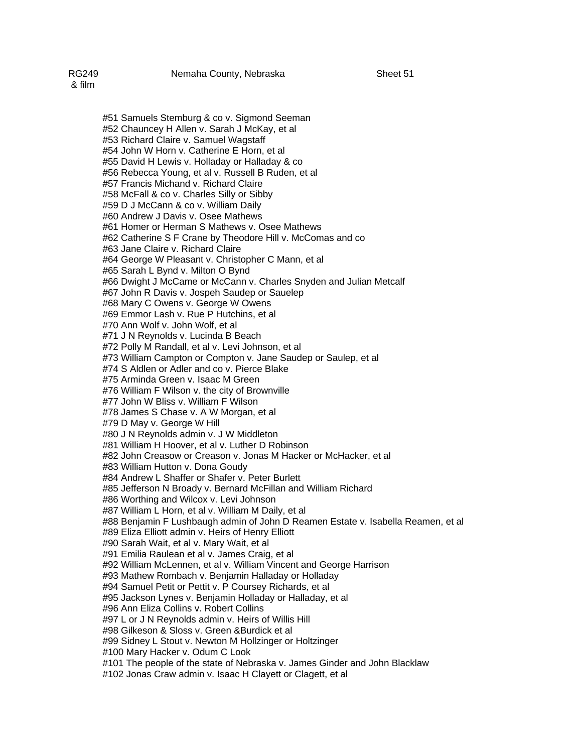#51 Samuels Stemburg & co v. Sigmond Seeman #52 Chauncey H Allen v. Sarah J McKay, et al #53 Richard Claire v. Samuel Wagstaff #54 John W Horn v. Catherine E Horn, et al #55 David H Lewis v. Holladay or Halladay & co #56 Rebecca Young, et al v. Russell B Ruden, et al #57 Francis Michand v. Richard Claire #58 McFall & co v. Charles Silly or Sibby #59 D J McCann & co v. William Daily #60 Andrew J Davis v. Osee Mathews #61 Homer or Herman S Mathews v. Osee Mathews #62 Catherine S F Crane by Theodore Hill v. McComas and co #63 Jane Claire v. Richard Claire #64 George W Pleasant v. Christopher C Mann, et al #65 Sarah L Bynd v. Milton O Bynd #66 Dwight J McCame or McCann v. Charles Snyden and Julian Metcalf #67 John R Davis v. Jospeh Saudep or Sauelep #68 Mary C Owens v. George W Owens #69 Emmor Lash v. Rue P Hutchins, et al #70 Ann Wolf v. John Wolf, et al #71 J N Reynolds v. Lucinda B Beach #72 Polly M Randall, et al v. Levi Johnson, et al #73 William Campton or Compton v. Jane Saudep or Saulep, et al #74 S Aldlen or Adler and co v. Pierce Blake #75 Arminda Green v. Isaac M Green #76 William F Wilson v. the city of Brownville #77 John W Bliss v. William F Wilson #78 James S Chase v. A W Morgan, et al #79 D May v. George W Hill #80 J N Reynolds admin v. J W Middleton #81 William H Hoover, et al v. Luther D Robinson #82 John Creasow or Creason v. Jonas M Hacker or McHacker, et al #83 William Hutton v. Dona Goudy #84 Andrew L Shaffer or Shafer v. Peter Burlett #85 Jefferson N Broady v. Bernard McFillan and William Richard #86 Worthing and Wilcox v. Levi Johnson #87 William L Horn, et al v. William M Daily, et al #88 Benjamin F Lushbaugh admin of John D Reamen Estate v. Isabella Reamen, et al #89 Eliza Elliott admin v. Heirs of Henry Elliott #90 Sarah Wait, et al v. Mary Wait, et al #91 Emilia Raulean et al v. James Craig, et al #92 William McLennen, et al v. William Vincent and George Harrison #93 Mathew Rombach v. Benjamin Halladay or Holladay #94 Samuel Petit or Pettit v. P Coursey Richards, et al #95 Jackson Lynes v. Benjamin Holladay or Halladay, et al #96 Ann Eliza Collins v. Robert Collins #97 L or J N Reynolds admin v. Heirs of Willis Hill #98 Gilkeson & Sloss v. Green &Burdick et al #99 Sidney L Stout v. Newton M Hollzinger or Holtzinger #100 Mary Hacker v. Odum C Look #101 The people of the state of Nebraska v. James Ginder and John Blacklaw #102 Jonas Craw admin v. Isaac H Clayett or Clagett, et al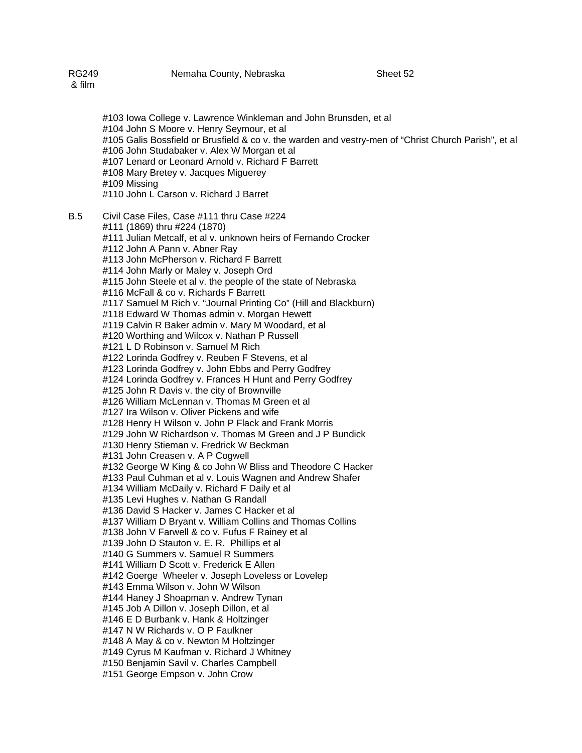#103 Iowa College v. Lawrence Winkleman and John Brunsden, et al #104 John S Moore v. Henry Seymour, et al #105 Galis Bossfield or Brusfield & co v. the warden and vestry-men of "Christ Church Parish", et al #106 John Studabaker v. Alex W Morgan et al #107 Lenard or Leonard Arnold v. Richard F Barrett #108 Mary Bretey v. Jacques Miguerey #109 Missing #110 John L Carson v. Richard J Barret B.5 Civil Case Files, Case #111 thru Case #224 #111 (1869) thru #224 (1870) #111 Julian Metcalf, et al v. unknown heirs of Fernando Crocker #112 John A Pann v. Abner Ray #113 John McPherson v. Richard F Barrett #114 John Marly or Maley v. Joseph Ord #115 John Steele et al v. the people of the state of Nebraska #116 McFall & co v. Richards F Barrett #117 Samuel M Rich v. "Journal Printing Co" (Hill and Blackburn) #118 Edward W Thomas admin v. Morgan Hewett #119 Calvin R Baker admin v. Mary M Woodard, et al #120 Worthing and Wilcox v. Nathan P Russell #121 L D Robinson v. Samuel M Rich #122 Lorinda Godfrey v. Reuben F Stevens, et al #123 Lorinda Godfrey v. John Ebbs and Perry Godfrey #124 Lorinda Godfrey v. Frances H Hunt and Perry Godfrey #125 John R Davis v. the city of Brownville #126 William McLennan v. Thomas M Green et al #127 Ira Wilson v. Oliver Pickens and wife #128 Henry H Wilson v. John P Flack and Frank Morris #129 John W Richardson v. Thomas M Green and J P Bundick #130 Henry Stieman v. Fredrick W Beckman #131 John Creasen v. A P Cogwell #132 George W King & co John W Bliss and Theodore C Hacker #133 Paul Cuhman et al v. Louis Wagnen and Andrew Shafer #134 William McDaily v. Richard F Daily et al #135 Levi Hughes v. Nathan G Randall #136 David S Hacker v. James C Hacker et al #137 William D Bryant v. William Collins and Thomas Collins #138 John V Farwell & co v. Fufus F Rainey et al #139 John D Stauton v. E. R. Phillips et al #140 G Summers v. Samuel R Summers #141 William D Scott v. Frederick E Allen #142 Goerge Wheeler v. Joseph Loveless or Lovelep #143 Emma Wilson v. John W Wilson #144 Haney J Shoapman v. Andrew Tynan #145 Job A Dillon v. Joseph Dillon, et al #146 E D Burbank v. Hank & Holtzinger #147 N W Richards v. O P Faulkner #148 A May & co v. Newton M Holtzinger #149 Cyrus M Kaufman v. Richard J Whitney #150 Benjamin Savil v. Charles Campbell #151 George Empson v. John Crow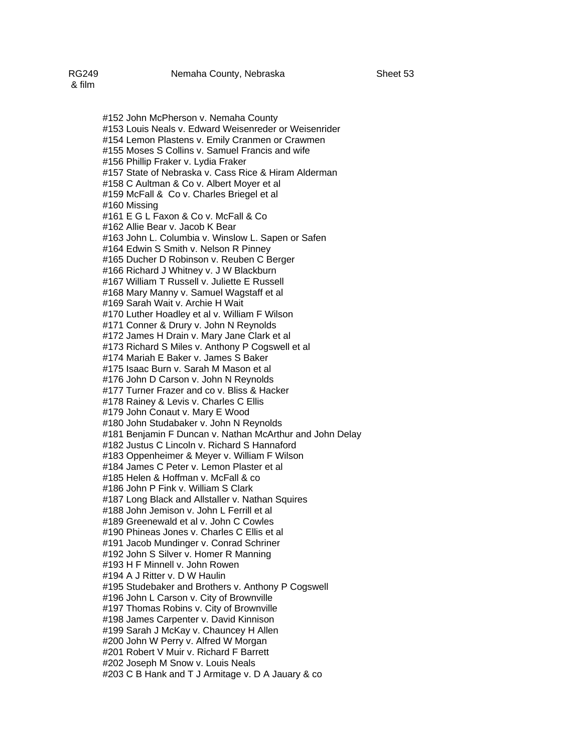#152 John McPherson v. Nemaha County #153 Louis Neals v. Edward Weisenreder or Weisenrider #154 Lemon Plastens v. Emily Cranmen or Crawmen #155 Moses S Collins v. Samuel Francis and wife #156 Phillip Fraker v. Lydia Fraker #157 State of Nebraska v. Cass Rice & Hiram Alderman #158 C Aultman & Co v. Albert Moyer et al #159 McFall & Co v. Charles Briegel et al #160 Missing #161 E G L Faxon & Co v. McFall & Co #162 Allie Bear v. Jacob K Bear #163 John L. Columbia v. Winslow L. Sapen or Safen #164 Edwin S Smith v. Nelson R Pinney #165 Ducher D Robinson v. Reuben C Berger #166 Richard J Whitney v. J W Blackburn #167 William T Russell v. Juliette E Russell #168 Mary Manny v. Samuel Wagstaff et al #169 Sarah Wait v. Archie H Wait #170 Luther Hoadley et al v. William F Wilson #171 Conner & Drury v. John N Reynolds #172 James H Drain v. Mary Jane Clark et al #173 Richard S Miles v. Anthony P Cogswell et al #174 Mariah E Baker v. James S Baker #175 Isaac Burn v. Sarah M Mason et al #176 John D Carson v. John N Reynolds #177 Turner Frazer and co v. Bliss & Hacker #178 Rainey & Levis v. Charles C Ellis #179 John Conaut v. Mary E Wood #180 John Studabaker v. John N Reynolds #181 Benjamin F Duncan v. Nathan McArthur and John Delay #182 Justus C Lincoln v. Richard S Hannaford #183 Oppenheimer & Meyer v. William F Wilson #184 James C Peter v. Lemon Plaster et al #185 Helen & Hoffman v. McFall & co #186 John P Fink v. William S Clark #187 Long Black and Allstaller v. Nathan Squires #188 John Jemison v. John L Ferrill et al #189 Greenewald et al v. John C Cowles #190 Phineas Jones v. Charles C Ellis et al #191 Jacob Mundinger v. Conrad Schriner #192 John S Silver v. Homer R Manning #193 H F Minnell v. John Rowen #194 A J Ritter v. D W Haulin #195 Studebaker and Brothers v. Anthony P Cogswell #196 John L Carson v. City of Brownville #197 Thomas Robins v. City of Brownville #198 James Carpenter v. David Kinnison #199 Sarah J McKay v. Chauncey H Allen #200 John W Perry v. Alfred W Morgan #201 Robert V Muir v. Richard F Barrett #202 Joseph M Snow v. Louis Neals #203 C B Hank and T J Armitage v. D A Jauary & co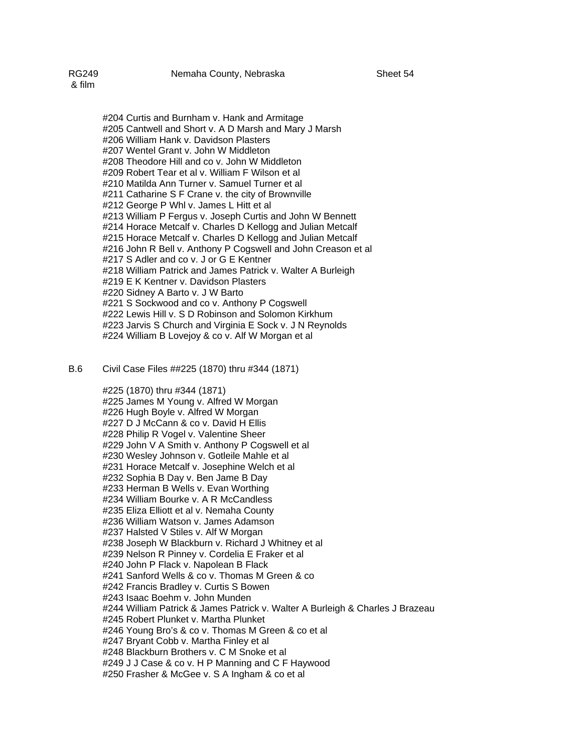& film

#204 Curtis and Burnham v. Hank and Armitage #205 Cantwell and Short v. A D Marsh and Mary J Marsh #206 William Hank v. Davidson Plasters #207 Wentel Grant v. John W Middleton #208 Theodore Hill and co v. John W Middleton #209 Robert Tear et al v. William F Wilson et al #210 Matilda Ann Turner v. Samuel Turner et al #211 Catharine S F Crane v. the city of Brownville #212 George P Whl v. James L Hitt et al #213 William P Fergus v. Joseph Curtis and John W Bennett #214 Horace Metcalf v. Charles D Kellogg and Julian Metcalf #215 Horace Metcalf v. Charles D Kellogg and Julian Metcalf #216 John R Bell v. Anthony P Cogswell and John Creason et al #217 S Adler and co v. J or G E Kentner #218 William Patrick and James Patrick v. Walter A Burleigh #219 E K Kentner v. Davidson Plasters #220 Sidney A Barto v. J W Barto #221 S Sockwood and co v. Anthony P Cogswell #222 Lewis Hill v. S D Robinson and Solomon Kirkhum #223 Jarvis S Church and Virginia E Sock v. J N Reynolds #224 William B Lovejoy & co v. Alf W Morgan et al

B.6 Civil Case Files ##225 (1870) thru #344 (1871)

 #225 (1870) thru #344 (1871) #225 James M Young v. Alfred W Morgan #226 Hugh Boyle v. Alfred W Morgan #227 D J McCann & co v. David H Ellis #228 Philip R Vogel v. Valentine Sheer #229 John V A Smith v. Anthony P Cogswell et al #230 Wesley Johnson v. Gotleile Mahle et al #231 Horace Metcalf v. Josephine Welch et al #232 Sophia B Day v. Ben Jame B Day #233 Herman B Wells v. Evan Worthing #234 William Bourke v. A R McCandless #235 Eliza Elliott et al v. Nemaha County #236 William Watson v. James Adamson #237 Halsted V Stiles v. Alf W Morgan #238 Joseph W Blackburn v. Richard J Whitney et al #239 Nelson R Pinney v. Cordelia E Fraker et al #240 John P Flack v. Napolean B Flack #241 Sanford Wells & co v. Thomas M Green & co #242 Francis Bradley v. Curtis S Bowen #243 Isaac Boehm v. John Munden #244 William Patrick & James Patrick v. Walter A Burleigh & Charles J Brazeau #245 Robert Plunket v. Martha Plunket #246 Young Bro's & co v. Thomas M Green & co et al #247 Bryant Cobb v. Martha Finley et al #248 Blackburn Brothers v. C M Snoke et al #249 J J Case & co v. H P Manning and C F Haywood #250 Frasher & McGee v. S A Ingham & co et al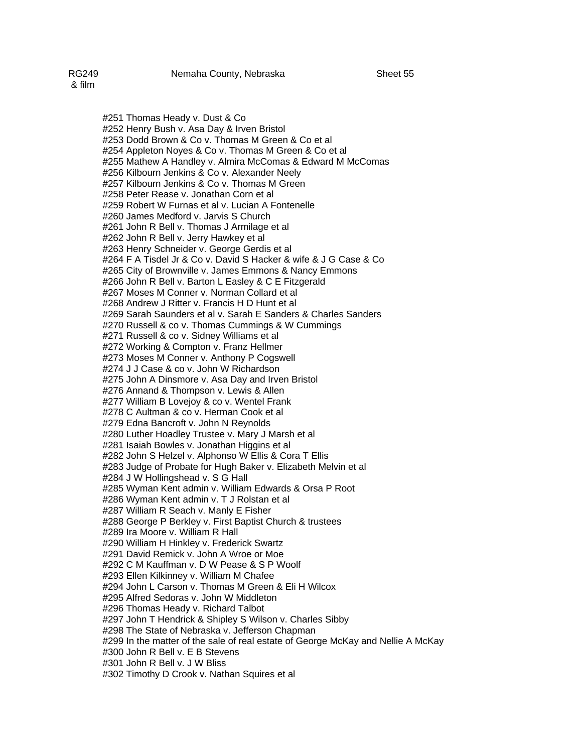#251 Thomas Heady v. Dust & Co #252 Henry Bush v. Asa Day & Irven Bristol #253 Dodd Brown & Co v. Thomas M Green & Co et al #254 Appleton Noyes & Co v. Thomas M Green & Co et al #255 Mathew A Handley v. Almira McComas & Edward M McComas #256 Kilbourn Jenkins & Co v. Alexander Neely #257 Kilbourn Jenkins & Co v. Thomas M Green #258 Peter Rease v. Jonathan Corn et al #259 Robert W Furnas et al v. Lucian A Fontenelle #260 James Medford v. Jarvis S Church #261 John R Bell v. Thomas J Armilage et al #262 John R Bell v. Jerry Hawkey et al #263 Henry Schneider v. George Gerdis et al #264 F A Tisdel Jr & Co v. David S Hacker & wife & J G Case & Co #265 City of Brownville v. James Emmons & Nancy Emmons #266 John R Bell v. Barton L Easley & C E Fitzgerald #267 Moses M Conner v. Norman Collard et al #268 Andrew J Ritter v. Francis H D Hunt et al #269 Sarah Saunders et al v. Sarah E Sanders & Charles Sanders #270 Russell & co v. Thomas Cummings & W Cummings #271 Russell & co v. Sidney Williams et al #272 Working & Compton v. Franz Hellmer #273 Moses M Conner v. Anthony P Cogswell #274 J J Case & co v. John W Richardson #275 John A Dinsmore v. Asa Day and Irven Bristol #276 Annand & Thompson v. Lewis & Allen #277 William B Lovejoy & co v. Wentel Frank #278 C Aultman & co v. Herman Cook et al #279 Edna Bancroft v. John N Reynolds #280 Luther Hoadley Trustee v. Mary J Marsh et al #281 Isaiah Bowles v. Jonathan Higgins et al #282 John S Helzel v. Alphonso W Ellis & Cora T Ellis #283 Judge of Probate for Hugh Baker v. Elizabeth Melvin et al #284 J W Hollingshead v. S G Hall #285 Wyman Kent admin v. William Edwards & Orsa P Root #286 Wyman Kent admin v. T J Rolstan et al #287 William R Seach v. Manly E Fisher #288 George P Berkley v. First Baptist Church & trustees #289 Ira Moore v. William R Hall #290 William H Hinkley v. Frederick Swartz #291 David Remick v. John A Wroe or Moe #292 C M Kauffman v. D W Pease & S P Woolf #293 Ellen Kilkinney v. William M Chafee #294 John L Carson v. Thomas M Green & Eli H Wilcox #295 Alfred Sedoras v. John W Middleton #296 Thomas Heady v. Richard Talbot #297 John T Hendrick & Shipley S Wilson v. Charles Sibby #298 The State of Nebraska v. Jefferson Chapman #299 In the matter of the sale of real estate of George McKay and Nellie A McKay #300 John R Bell v. E B Stevens #301 John R Bell v. J W Bliss #302 Timothy D Crook v. Nathan Squires et al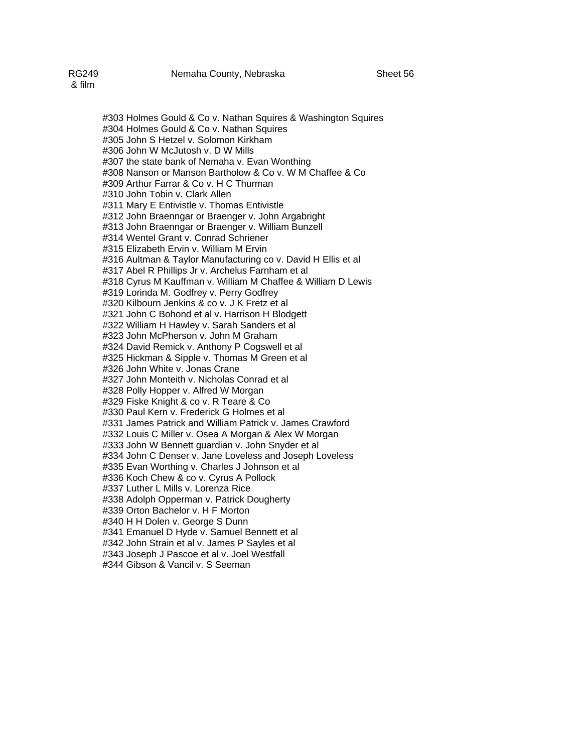#303 Holmes Gould & Co v. Nathan Squires & Washington Squires #304 Holmes Gould & Co v. Nathan Squires #305 John S Hetzel v. Solomon Kirkham #306 John W McJutosh v. D W Mills #307 the state bank of Nemaha v. Evan Wonthing #308 Nanson or Manson Bartholow & Co v. W M Chaffee & Co #309 Arthur Farrar & Co v. H C Thurman #310 John Tobin v. Clark Allen #311 Mary E Entivistle v. Thomas Entivistle #312 John Braenngar or Braenger v. John Argabright #313 John Braenngar or Braenger v. William Bunzell #314 Wentel Grant v. Conrad Schriener #315 Elizabeth Ervin v. William M Ervin #316 Aultman & Taylor Manufacturing co v. David H Ellis et al #317 Abel R Phillips Jr v. Archelus Farnham et al #318 Cyrus M Kauffman v. William M Chaffee & William D Lewis #319 Lorinda M. Godfrey v. Perry Godfrey #320 Kilbourn Jenkins & co v. J K Fretz et al #321 John C Bohond et al v. Harrison H Blodgett #322 William H Hawley v. Sarah Sanders et al #323 John McPherson v. John M Graham #324 David Remick v. Anthony P Cogswell et al #325 Hickman & Sipple v. Thomas M Green et al #326 John White v. Jonas Crane #327 John Monteith v. Nicholas Conrad et al #328 Polly Hopper v. Alfred W Morgan #329 Fiske Knight & co v. R Teare & Co #330 Paul Kern v. Frederick G Holmes et al #331 James Patrick and William Patrick v. James Crawford #332 Louis C Miller v. Osea A Morgan & Alex W Morgan

#333 John W Bennett guardian v. John Snyder et al

#334 John C Denser v. Jane Loveless and Joseph Loveless

#335 Evan Worthing v. Charles J Johnson et al

#336 Koch Chew & co v. Cyrus A Pollock

#337 Luther L Mills v. Lorenza Rice

#338 Adolph Opperman v. Patrick Dougherty

#339 Orton Bachelor v. H F Morton

#340 H H Dolen v. George S Dunn

#341 Emanuel D Hyde v. Samuel Bennett et al

#342 John Strain et al v. James P Sayles et al

#343 Joseph J Pascoe et al v. Joel Westfall

#344 Gibson & Vancil v. S Seeman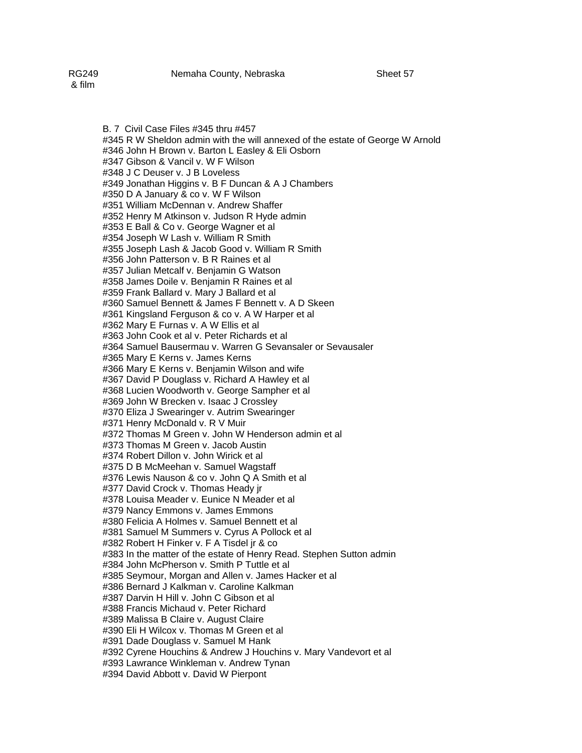B. 7 Civil Case Files #345 thru #457 #345 R W Sheldon admin with the will annexed of the estate of George W Arnold #346 John H Brown v. Barton L Easley & Eli Osborn #347 Gibson & Vancil v. W F Wilson #348 J C Deuser v. J B Loveless #349 Jonathan Higgins v. B F Duncan & A J Chambers #350 D A January & co v. W F Wilson #351 William McDennan v. Andrew Shaffer #352 Henry M Atkinson v. Judson R Hyde admin #353 E Ball & Co v. George Wagner et al #354 Joseph W Lash v. William R Smith #355 Joseph Lash & Jacob Good v. William R Smith #356 John Patterson v. B R Raines et al #357 Julian Metcalf v. Benjamin G Watson #358 James Doile v. Benjamin R Raines et al #359 Frank Ballard v. Mary J Ballard et al #360 Samuel Bennett & James F Bennett v. A D Skeen #361 Kingsland Ferguson & co v. A W Harper et al #362 Mary E Furnas v. A W Ellis et al #363 John Cook et al v. Peter Richards et al #364 Samuel Bausermau v. Warren G Sevansaler or Sevausaler #365 Mary E Kerns v. James Kerns #366 Mary E Kerns v. Benjamin Wilson and wife #367 David P Douglass v. Richard A Hawley et al #368 Lucien Woodworth v. George Sampher et al #369 John W Brecken v. Isaac J Crossley #370 Eliza J Swearinger v. Autrim Swearinger #371 Henry McDonald v. R V Muir #372 Thomas M Green v. John W Henderson admin et al #373 Thomas M Green v. Jacob Austin #374 Robert Dillon v. John Wirick et al #375 D B McMeehan v. Samuel Wagstaff #376 Lewis Nauson & co v. John Q A Smith et al #377 David Crock v. Thomas Heady jr

#378 Louisa Meader v. Eunice N Meader et al #379 Nancy Emmons v. James Emmons

#380 Felicia A Holmes v. Samuel Bennett et al

#381 Samuel M Summers v. Cyrus A Pollock et al

#382 Robert H Finker v. F A Tisdel jr & co

#383 In the matter of the estate of Henry Read. Stephen Sutton admin

#384 John McPherson v. Smith P Tuttle et al

#385 Seymour, Morgan and Allen v. James Hacker et al

#386 Bernard J Kalkman v. Caroline Kalkman

#387 Darvin H Hill v. John C Gibson et al

#388 Francis Michaud v. Peter Richard

#389 Malissa B Claire v. August Claire

#390 Eli H Wilcox v. Thomas M Green et al

#391 Dade Douglass v. Samuel M Hank

#392 Cyrene Houchins & Andrew J Houchins v. Mary Vandevort et al

#393 Lawrance Winkleman v. Andrew Tynan

#394 David Abbott v. David W Pierpont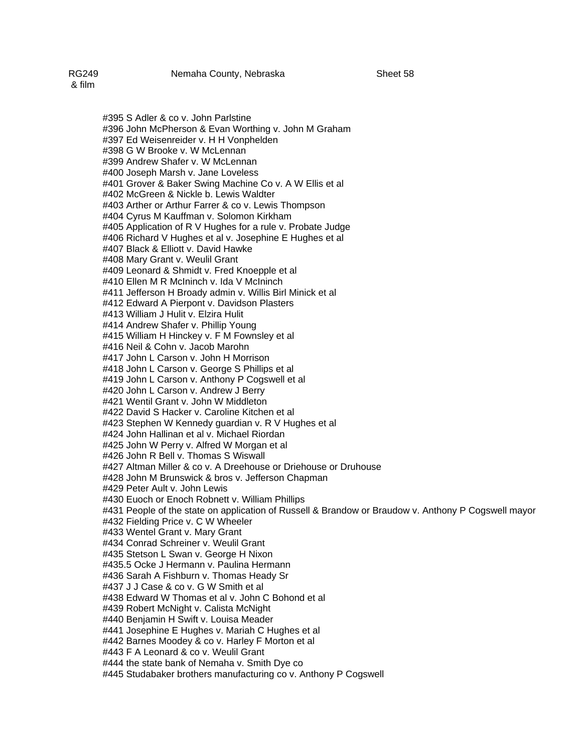#395 S Adler & co v. John Parlstine #396 John McPherson & Evan Worthing v. John M Graham #397 Ed Weisenreider v. H H Vonphelden #398 G W Brooke v. W McLennan #399 Andrew Shafer v. W McLennan #400 Joseph Marsh v. Jane Loveless #401 Grover & Baker Swing Machine Co v. A W Ellis et al #402 McGreen & Nickle b. Lewis Waldter #403 Arther or Arthur Farrer & co v. Lewis Thompson #404 Cyrus M Kauffman v. Solomon Kirkham #405 Application of R V Hughes for a rule v. Probate Judge #406 Richard V Hughes et al v. Josephine E Hughes et al #407 Black & Elliott v. David Hawke #408 Mary Grant v. Weulil Grant #409 Leonard & Shmidt v. Fred Knoepple et al #410 Ellen M R McIninch v. Ida V McIninch #411 Jefferson H Broady admin v. Willis Birl Minick et al #412 Edward A Pierpont v. Davidson Plasters #413 William J Hulit v. Elzira Hulit #414 Andrew Shafer v. Phillip Young #415 William H Hinckey v. F M Fownsley et al #416 Neil & Cohn v. Jacob Marohn #417 John L Carson v. John H Morrison #418 John L Carson v. George S Phillips et al #419 John L Carson v. Anthony P Cogswell et al #420 John L Carson v. Andrew J Berry #421 Wentil Grant v. John W Middleton #422 David S Hacker v. Caroline Kitchen et al #423 Stephen W Kennedy guardian v. R V Hughes et al #424 John Hallinan et al v. Michael Riordan #425 John W Perry v. Alfred W Morgan et al #426 John R Bell v. Thomas S Wiswall #427 Altman Miller & co v. A Dreehouse or Driehouse or Druhouse #428 John M Brunswick & bros v. Jefferson Chapman #429 Peter Ault v. John Lewis #430 Euoch or Enoch Robnett v. William Phillips #431 People of the state on application of Russell & Brandow or Braudow v. Anthony P Cogswell mayor #432 Fielding Price v. C W Wheeler #433 Wentel Grant v. Mary Grant #434 Conrad Schreiner v. Weulil Grant #435 Stetson L Swan v. George H Nixon #435.5 Ocke J Hermann v. Paulina Hermann #436 Sarah A Fishburn v. Thomas Heady Sr #437 J J Case & co v. G W Smith et al #438 Edward W Thomas et al v. John C Bohond et al #439 Robert McNight v. Calista McNight #440 Benjamin H Swift v. Louisa Meader #441 Josephine E Hughes v. Mariah C Hughes et al #442 Barnes Moodey & co v. Harley F Morton et al #443 F A Leonard & co v. Weulil Grant #444 the state bank of Nemaha v. Smith Dye co #445 Studabaker brothers manufacturing co v. Anthony P Cogswell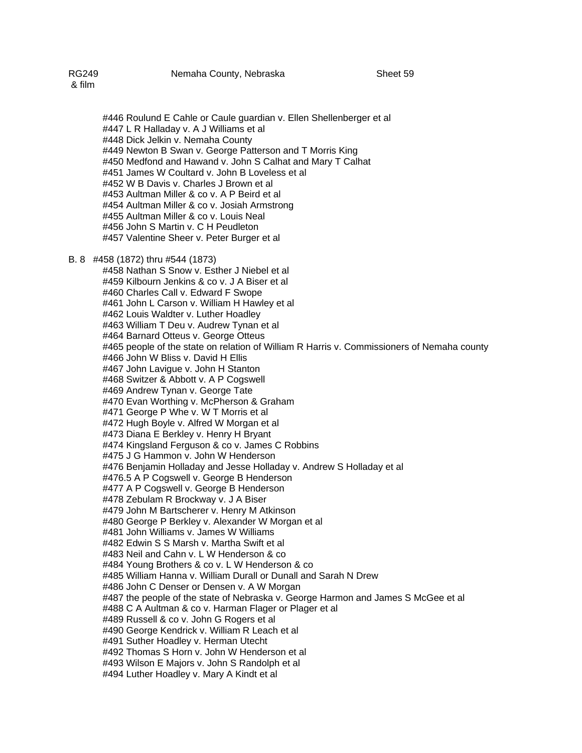#446 Roulund E Cahle or Caule guardian v. Ellen Shellenberger et al #447 L R Halladay v. A J Williams et al #448 Dick Jelkin v. Nemaha County #449 Newton B Swan v. George Patterson and T Morris King #450 Medfond and Hawand v. John S Calhat and Mary T Calhat #451 James W Coultard v. John B Loveless et al #452 W B Davis v. Charles J Brown et al #453 Aultman Miller & co v. A P Beird et al #454 Aultman Miller & co v. Josiah Armstrong #455 Aultman Miller & co v. Louis Neal #456 John S Martin v. C H Peudleton #457 Valentine Sheer v. Peter Burger et al

### B. 8 #458 (1872) thru #544 (1873)

#458 Nathan S Snow v. Esther J Niebel et al #459 Kilbourn Jenkins & co v. J A Biser et al #460 Charles Call v. Edward F Swope #461 John L Carson v. William H Hawley et al #462 Louis Waldter v. Luther Hoadley #463 William T Deu v. Audrew Tynan et al #464 Barnard Otteus v. George Otteus #465 people of the state on relation of William R Harris v. Commissioners of Nemaha county #466 John W Bliss v. David H Ellis #467 John Lavigue v. John H Stanton #468 Switzer & Abbott v. A P Cogswell #469 Andrew Tynan v. George Tate #470 Evan Worthing v. McPherson & Graham #471 George P Whe v. W T Morris et al #472 Hugh Boyle v. Alfred W Morgan et al #473 Diana E Berkley v. Henry H Bryant #474 Kingsland Ferguson & co v. James C Robbins #475 J G Hammon v. John W Henderson #476 Benjamin Holladay and Jesse Holladay v. Andrew S Holladay et al #476.5 A P Cogswell v. George B Henderson #477 A P Cogswell v. George B Henderson #478 Zebulam R Brockway v. J A Biser #479 John M Bartscherer v. Henry M Atkinson #480 George P Berkley v. Alexander W Morgan et al #481 John Williams v. James W Williams #482 Edwin S S Marsh v. Martha Swift et al #483 Neil and Cahn v. L W Henderson & co #484 Young Brothers & co v. L W Henderson & co #485 William Hanna v. William Durall or Dunall and Sarah N Drew #486 John C Denser or Densen v. A W Morgan #487 the people of the state of Nebraska v. George Harmon and James S McGee et al #488 C A Aultman & co v. Harman Flager or Plager et al #489 Russell & co v. John G Rogers et al #490 George Kendrick v. William R Leach et al #491 Suther Hoadley v. Herman Utecht #492 Thomas S Horn v. John W Henderson et al #493 Wilson E Majors v. John S Randolph et al #494 Luther Hoadley v. Mary A Kindt et al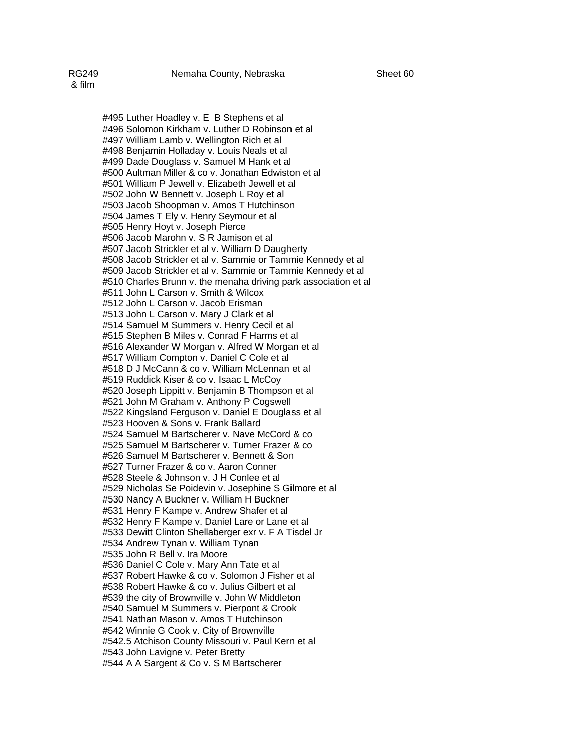#495 Luther Hoadley v. E B Stephens et al #496 Solomon Kirkham v. Luther D Robinson et al #497 William Lamb v. Wellington Rich et al #498 Benjamin Holladay v. Louis Neals et al #499 Dade Douglass v. Samuel M Hank et al #500 Aultman Miller & co v. Jonathan Edwiston et al #501 William P Jewell v. Elizabeth Jewell et al #502 John W Bennett v. Joseph L Roy et al #503 Jacob Shoopman v. Amos T Hutchinson #504 James T Ely v. Henry Seymour et al #505 Henry Hoyt v. Joseph Pierce #506 Jacob Marohn v. S R Jamison et al #507 Jacob Strickler et al v. William D Daugherty #508 Jacob Strickler et al v. Sammie or Tammie Kennedy et al #509 Jacob Strickler et al v. Sammie or Tammie Kennedy et al #510 Charles Brunn v. the menaha driving park association et al #511 John L Carson v. Smith & Wilcox #512 John L Carson v. Jacob Erisman #513 John L Carson v. Mary J Clark et al #514 Samuel M Summers v. Henry Cecil et al #515 Stephen B Miles v. Conrad F Harms et al #516 Alexander W Morgan v. Alfred W Morgan et al #517 William Compton v. Daniel C Cole et al #518 D J McCann & co v. William McLennan et al #519 Ruddick Kiser & co v. Isaac L McCoy #520 Joseph Lippitt v. Benjamin B Thompson et al #521 John M Graham v. Anthony P Cogswell #522 Kingsland Ferguson v. Daniel E Douglass et al #523 Hooven & Sons v. Frank Ballard #524 Samuel M Bartscherer v. Nave McCord & co #525 Samuel M Bartscherer v. Turner Frazer & co #526 Samuel M Bartscherer v. Bennett & Son #527 Turner Frazer & co v. Aaron Conner #528 Steele & Johnson v. J H Conlee et al

#529 Nicholas Se Poidevin v. Josephine S Gilmore et al #530 Nancy A Buckner v. William H Buckner #531 Henry F Kampe v. Andrew Shafer et al #532 Henry F Kampe v. Daniel Lare or Lane et al #533 Dewitt Clinton Shellaberger exr v. F A Tisdel Jr #534 Andrew Tynan v. William Tynan #535 John R Bell v. Ira Moore #536 Daniel C Cole v. Mary Ann Tate et al #537 Robert Hawke & co v. Solomon J Fisher et al #538 Robert Hawke & co v. Julius Gilbert et al #539 the city of Brownville v. John W Middleton #540 Samuel M Summers v. Pierpont & Crook #541 Nathan Mason v. Amos T Hutchinson #542 Winnie G Cook v. City of Brownville

#542.5 Atchison County Missouri v. Paul Kern et al

#543 John Lavigne v. Peter Bretty

#544 A A Sargent & Co v. S M Bartscherer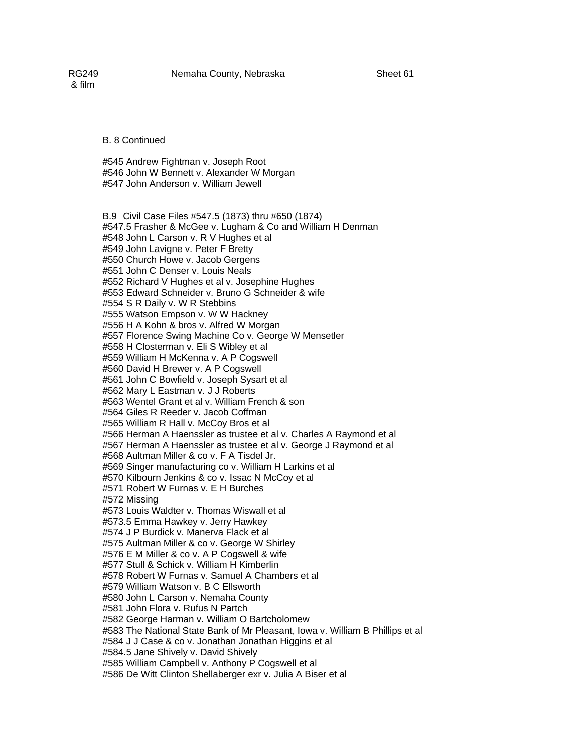& film

B. 8 Continued

 #545 Andrew Fightman v. Joseph Root #546 John W Bennett v. Alexander W Morgan #547 John Anderson v. William Jewell

 B.9 Civil Case Files #547.5 (1873) thru #650 (1874) #547.5 Frasher & McGee v. Lugham & Co and William H Denman #548 John L Carson v. R V Hughes et al #549 John Lavigne v. Peter F Bretty #550 Church Howe v. Jacob Gergens #551 John C Denser v. Louis Neals #552 Richard V Hughes et al v. Josephine Hughes #553 Edward Schneider v. Bruno G Schneider & wife #554 S R Daily v. W R Stebbins #555 Watson Empson v. W W Hackney #556 H A Kohn & bros v. Alfred W Morgan #557 Florence Swing Machine Co v. George W Mensetler #558 H Closterman v. Eli S Wibley et al #559 William H McKenna v. A P Cogswell #560 David H Brewer v. A P Cogswell #561 John C Bowfield v. Joseph Sysart et al #562 Mary L Eastman v. J J Roberts #563 Wentel Grant et al v. William French & son #564 Giles R Reeder v. Jacob Coffman #565 William R Hall v. McCoy Bros et al #566 Herman A Haenssler as trustee et al v. Charles A Raymond et al #567 Herman A Haenssler as trustee et al v. George J Raymond et al #568 Aultman Miller & co v. F A Tisdel Jr. #569 Singer manufacturing co v. William H Larkins et al #570 Kilbourn Jenkins & co v. Issac N McCoy et al #571 Robert W Furnas v. E H Burches #572 Missing #573 Louis Waldter v. Thomas Wiswall et al #573.5 Emma Hawkey v. Jerry Hawkey #574 J P Burdick v. Manerva Flack et al #575 Aultman Miller & co v. George W Shirley #576 E M Miller & co v. A P Cogswell & wife #577 Stull & Schick v. William H Kimberlin #578 Robert W Furnas v. Samuel A Chambers et al #579 William Watson v. B C Ellsworth #580 John L Carson v. Nemaha County #581 John Flora v. Rufus N Partch #582 George Harman v. William O Bartcholomew #583 The National State Bank of Mr Pleasant, Iowa v. William B Phillips et al #584 J J Case & co v. Jonathan Jonathan Higgins et al #584.5 Jane Shively v. David Shively #585 William Campbell v. Anthony P Cogswell et al #586 De Witt Clinton Shellaberger exr v. Julia A Biser et al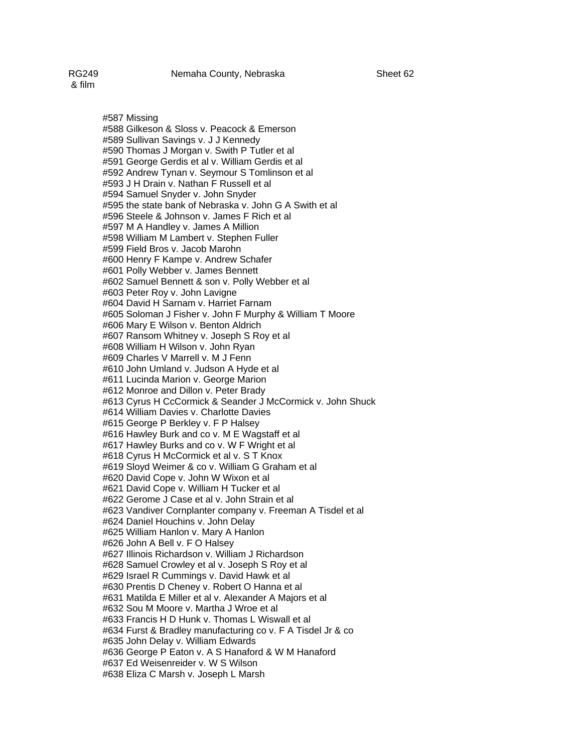& film

#587 Missing #588 Gilkeson & Sloss v. Peacock & Emerson #589 Sullivan Savings v. J J Kennedy #590 Thomas J Morgan v. Swith P Tutler et al #591 George Gerdis et al v. William Gerdis et al #592 Andrew Tynan v. Seymour S Tomlinson et al #593 J H Drain v. Nathan F Russell et al #594 Samuel Snyder v. John Snyder #595 the state bank of Nebraska v. John G A Swith et al #596 Steele & Johnson v. James F Rich et al #597 M A Handley v. James A Million #598 William M Lambert v. Stephen Fuller #599 Field Bros v. Jacob Marohn #600 Henry F Kampe v. Andrew Schafer #601 Polly Webber v. James Bennett #602 Samuel Bennett & son v. Polly Webber et al #603 Peter Roy v. John Lavigne #604 David H Sarnam v. Harriet Farnam #605 Soloman J Fisher v. John F Murphy & William T Moore #606 Mary E Wilson v. Benton Aldrich #607 Ransom Whitney v. Joseph S Roy et al #608 William H Wilson v. John Ryan #609 Charles V Marrell v. M J Fenn #610 John Umland v. Judson A Hyde et al #611 Lucinda Marion v. George Marion #612 Monroe and Dillon v. Peter Brady #613 Cyrus H CcCormick & Seander J McCormick v. John Shuck #614 William Davies v. Charlotte Davies #615 George P Berkley v. F P Halsey #616 Hawley Burk and co v. M E Wagstaff et al #617 Hawley Burks and co v. W F Wright et al #618 Cyrus H McCormick et al v. S T Knox #619 Sloyd Weimer & co v. William G Graham et al #620 David Cope v. John W Wixon et al #621 David Cope v. William H Tucker et al #622 Gerome J Case et al v. John Strain et al #623 Vandiver Cornplanter company v. Freeman A Tisdel et al #624 Daniel Houchins v. John Delay #625 William Hanlon v. Mary A Hanlon #626 John A Bell v. F O Halsey #627 Illinois Richardson v. William J Richardson #628 Samuel Crowley et al v. Joseph S Roy et al #629 Israel R Cummings v. David Hawk et al #630 Prentis D Cheney v. Robert O Hanna et al #631 Matilda E Miller et al v. Alexander A Majors et al #632 Sou M Moore v. Martha J Wroe et al #633 Francis H D Hunk v. Thomas L Wiswall et al #634 Furst & Bradley manufacturing co v. F A Tisdel Jr & co #635 John Delay v. William Edwards #636 George P Eaton v. A S Hanaford & W M Hanaford #637 Ed Weisenreider v. W S Wilson #638 Eliza C Marsh v. Joseph L Marsh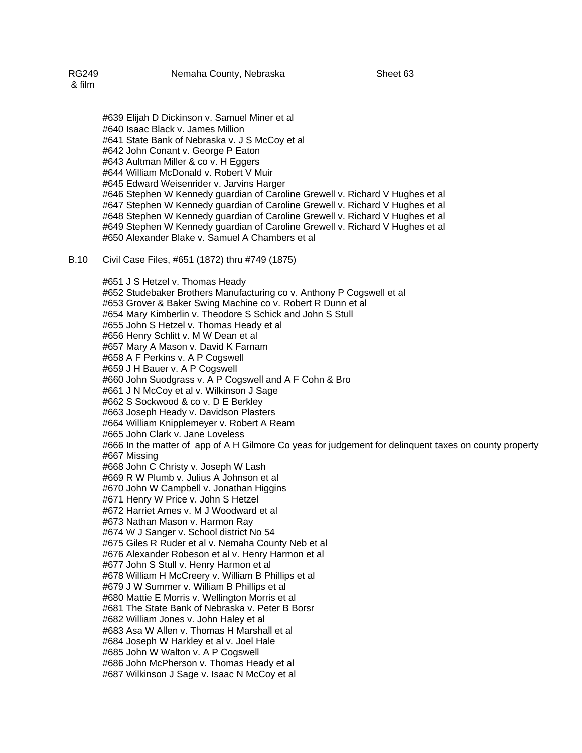#639 Elijah D Dickinson v. Samuel Miner et al #640 Isaac Black v. James Million #641 State Bank of Nebraska v. J S McCoy et al #642 John Conant v. George P Eaton #643 Aultman Miller & co v. H Eggers #644 William McDonald v. Robert V Muir #645 Edward Weisenrider v. Jarvins Harger #646 Stephen W Kennedy guardian of Caroline Grewell v. Richard V Hughes et al #647 Stephen W Kennedy guardian of Caroline Grewell v. Richard V Hughes et al #648 Stephen W Kennedy guardian of Caroline Grewell v. Richard V Hughes et al #649 Stephen W Kennedy guardian of Caroline Grewell v. Richard V Hughes et al #650 Alexander Blake v. Samuel A Chambers et al

### B.10 Civil Case Files, #651 (1872) thru #749 (1875)

#651 J S Hetzel v. Thomas Heady #652 Studebaker Brothers Manufacturing co v. Anthony P Cogswell et al #653 Grover & Baker Swing Machine co v. Robert R Dunn et al #654 Mary Kimberlin v. Theodore S Schick and John S Stull #655 John S Hetzel v. Thomas Heady et al #656 Henry Schlitt v. M W Dean et al #657 Mary A Mason v. David K Farnam #658 A F Perkins v. A P Cogswell #659 J H Bauer v. A P Cogswell #660 John Suodgrass v. A P Cogswell and A F Cohn & Bro #661 J N McCoy et al v. Wilkinson J Sage #662 S Sockwood & co v. D E Berkley #663 Joseph Heady v. Davidson Plasters #664 William Knipplemeyer v. Robert A Ream #665 John Clark v. Jane Loveless #666 In the matter of app of A H Gilmore Co yeas for judgement for delinquent taxes on county property #667 Missing #668 John C Christy v. Joseph W Lash #669 R W Plumb v. Julius A Johnson et al #670 John W Campbell v. Jonathan Higgins #671 Henry W Price v. John S Hetzel #672 Harriet Ames v. M J Woodward et al #673 Nathan Mason v. Harmon Ray #674 W J Sanger v. School district No 54 #675 Giles R Ruder et al v. Nemaha County Neb et al #676 Alexander Robeson et al v. Henry Harmon et al #677 John S Stull v. Henry Harmon et al #678 William H McCreery v. William B Phillips et al #679 J W Summer v. William B Phillips et al #680 Mattie E Morris v. Wellington Morris et al #681 The State Bank of Nebraska v. Peter B Borsr #682 William Jones v. John Haley et al #683 Asa W Allen v. Thomas H Marshall et al #684 Joseph W Harkley et al v. Joel Hale #685 John W Walton v. A P Cogswell #686 John McPherson v. Thomas Heady et al #687 Wilkinson J Sage v. Isaac N McCoy et al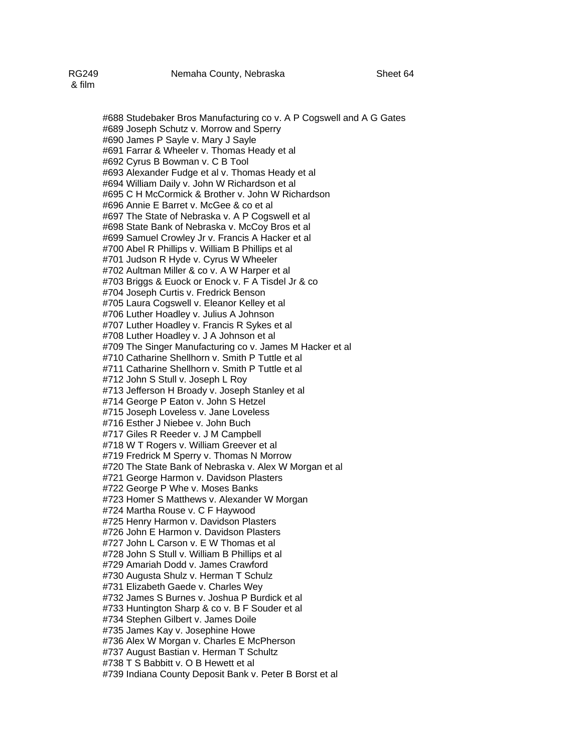#688 Studebaker Bros Manufacturing co v. A P Cogswell and A G Gates #689 Joseph Schutz v. Morrow and Sperry #690 James P Sayle v. Mary J Sayle #691 Farrar & Wheeler v. Thomas Heady et al #692 Cyrus B Bowman v. C B Tool #693 Alexander Fudge et al v. Thomas Heady et al #694 William Daily v. John W Richardson et al #695 C H McCormick & Brother v. John W Richardson #696 Annie E Barret v. McGee & co et al #697 The State of Nebraska v. A P Cogswell et al #698 State Bank of Nebraska v. McCoy Bros et al #699 Samuel Crowley Jr v. Francis A Hacker et al #700 Abel R Phillips v. William B Phillips et al #701 Judson R Hyde v. Cyrus W Wheeler #702 Aultman Miller & co v. A W Harper et al #703 Briggs & Euock or Enock v. F A Tisdel Jr & co #704 Joseph Curtis v. Fredrick Benson #705 Laura Cogswell v. Eleanor Kelley et al #706 Luther Hoadley v. Julius A Johnson #707 Luther Hoadley v. Francis R Sykes et al #708 Luther Hoadley v. J A Johnson et al #709 The Singer Manufacturing co v. James M Hacker et al #710 Catharine Shellhorn v. Smith P Tuttle et al #711 Catharine Shellhorn v. Smith P Tuttle et al #712 John S Stull v. Joseph L Roy #713 Jefferson H Broady v. Joseph Stanley et al #714 George P Eaton v. John S Hetzel #715 Joseph Loveless v. Jane Loveless #716 Esther J Niebee v. John Buch #717 Giles R Reeder v. J M Campbell #718 W T Rogers v. William Greever et al #719 Fredrick M Sperry v. Thomas N Morrow #720 The State Bank of Nebraska v. Alex W Morgan et al #721 George Harmon v. Davidson Plasters #722 George P Whe v. Moses Banks #723 Homer S Matthews v. Alexander W Morgan #724 Martha Rouse v. C F Haywood #725 Henry Harmon v. Davidson Plasters #726 John E Harmon v. Davidson Plasters #727 John L Carson v. E W Thomas et al #728 John S Stull v. William B Phillips et al #729 Amariah Dodd v. James Crawford #730 Augusta Shulz v. Herman T Schulz #731 Elizabeth Gaede v. Charles Wey #732 James S Burnes v. Joshua P Burdick et al #733 Huntington Sharp & co v. B F Souder et al #734 Stephen Gilbert v. James Doile #735 James Kay v. Josephine Howe #736 Alex W Morgan v. Charles E McPherson #737 August Bastian v. Herman T Schultz #738 T S Babbitt v. O B Hewett et al #739 Indiana County Deposit Bank v. Peter B Borst et al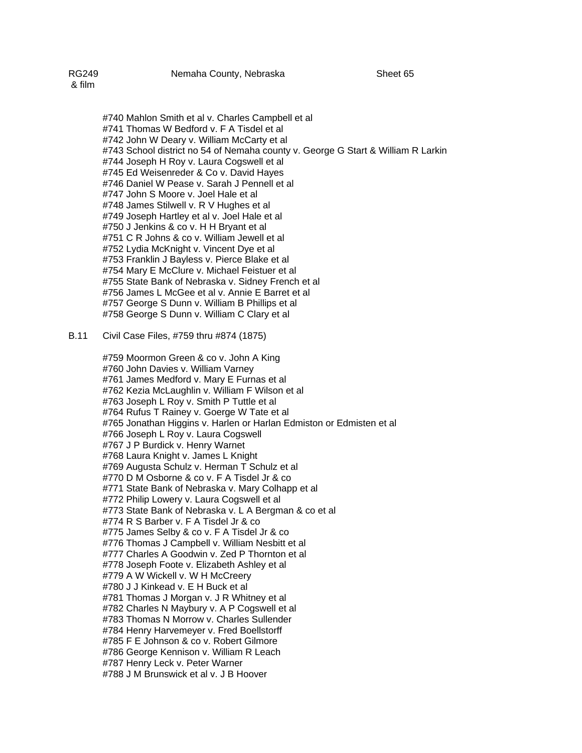#740 Mahlon Smith et al v. Charles Campbell et al #741 Thomas W Bedford v. F A Tisdel et al #742 John W Deary v. William McCarty et al #743 School district no 54 of Nemaha county v. George G Start & William R Larkin #744 Joseph H Roy v. Laura Cogswell et al #745 Ed Weisenreder & Co v. David Hayes #746 Daniel W Pease v. Sarah J Pennell et al #747 John S Moore v. Joel Hale et al #748 James Stilwell v. R V Hughes et al #749 Joseph Hartley et al v. Joel Hale et al #750 J Jenkins & co v. H H Bryant et al #751 C R Johns & co v. William Jewell et al #752 Lydia McKnight v. Vincent Dye et al #753 Franklin J Bayless v. Pierce Blake et al #754 Mary E McClure v. Michael Feistuer et al #755 State Bank of Nebraska v. Sidney French et al #756 James L McGee et al v. Annie E Barret et al #757 George S Dunn v. William B Phillips et al #758 George S Dunn v. William C Clary et al

B.11 Civil Case Files, #759 thru #874 (1875)

#759 Moormon Green & co v. John A King #760 John Davies v. William Varney #761 James Medford v. Mary E Furnas et al #762 Kezia McLaughlin v. William F Wilson et al #763 Joseph L Roy v. Smith P Tuttle et al #764 Rufus T Rainey v. Goerge W Tate et al #765 Jonathan Higgins v. Harlen or Harlan Edmiston or Edmisten et al #766 Joseph L Roy v. Laura Cogswell #767 J P Burdick v. Henry Warnet #768 Laura Knight v. James L Knight #769 Augusta Schulz v. Herman T Schulz et al #770 D M Osborne & co v. F A Tisdel Jr & co #771 State Bank of Nebraska v. Mary Colhapp et al #772 Philip Lowery v. Laura Cogswell et al #773 State Bank of Nebraska v. L A Bergman & co et al #774 R S Barber v. F A Tisdel Jr & co #775 James Selby & co v. F A Tisdel Jr & co #776 Thomas J Campbell v. William Nesbitt et al #777 Charles A Goodwin v. Zed P Thornton et al #778 Joseph Foote v. Elizabeth Ashley et al #779 A W Wickell v. W H McCreery #780 J J Kinkead v. E H Buck et al #781 Thomas J Morgan v. J R Whitney et al #782 Charles N Maybury v. A P Cogswell et al #783 Thomas N Morrow v. Charles Sullender #784 Henry Harvemeyer v. Fred Boellstorff #785 F E Johnson & co v. Robert Gilmore #786 George Kennison v. William R Leach #787 Henry Leck v. Peter Warner #788 J M Brunswick et al v. J B Hoover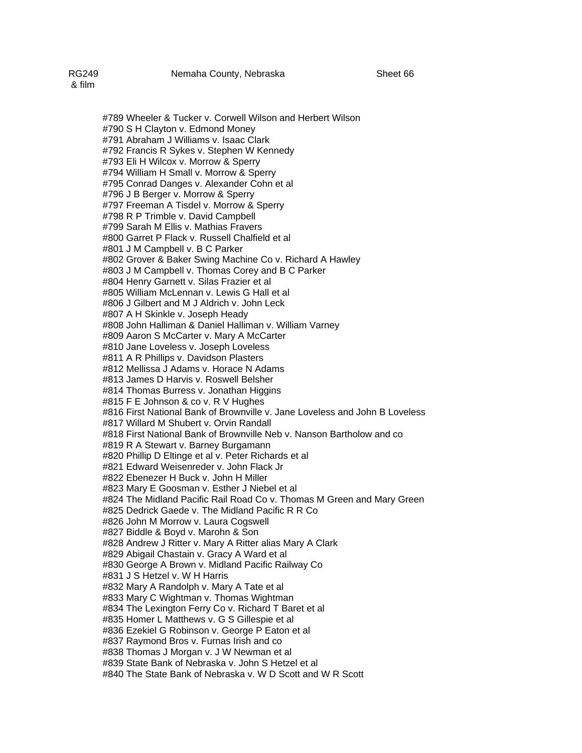#789 Wheeler & Tucker v. Corwell Wilson and Herbert Wilson #790 S H Clayton v. Edmond Money #791 Abraham J Williams v. Isaac Clark #792 Francis R Sykes v. Stephen W Kennedy #793 Eli H Wilcox v. Morrow & Sperry #794 William H Small v. Morrow & Sperry #795 Conrad Danges v. Alexander Cohn et al #796 J B Berger v. Morrow & Sperry #797 Freeman A Tisdel v. Morrow & Sperry #798 R P Trimble v. David Campbell #799 Sarah M Ellis v. Mathias Fravers #800 Garret P Flack v. Russell Chalfield et al #801 J M Campbell v. B C Parker #802 Grover & Baker Swing Machine Co v. Richard A Hawley #803 J M Campbell v. Thomas Corey and B C Parker #804 Henry Garnett v. Silas Frazier et al #805 William McLennan v. Lewis G Hall et al

#808 John Halliman & Daniel Halliman v. William Varney #809 Aaron S McCarter v. Mary A McCarter #810 Jane Loveless v. Joseph Loveless #811 A R Phillips v. Davidson Plasters #812 Mellissa J Adams v. Horace N Adams #813 James D Harvis v. Roswell Belsher #814 Thomas Burress v. Jonathan Higgins #815 F E Johnson & co v. R V Hughes #816 First National Bank of Brownville v. Jane Loveless and John B Loveless #817 Willard M Shubert v. Orvin Randall #818 First National Bank of Brownville Neb v. Nanson Bartholow and co #819 R A Stewart v. Barney Burgamann #820 Phillip D Eltinge et al v. Peter Richards et al #821 Edward Weisenreder v. John Flack Jr #822 Ebenezer H Buck v. John H Miller #823 Mary E Goosman v. Esther J Niebel et al

#806 J Gilbert and M J Aldrich v. John Leck

#807 A H Skinkle v. Joseph Heady

#824 The Midland Pacific Rail Road Co v. Thomas M Green and Mary Green

#825 Dedrick Gaede v. The Midland Pacific R R Co

#826 John M Morrow v. Laura Cogswell

#827 Biddle & Boyd v. Marohn & Son

#828 Andrew J Ritter v. Mary A Ritter alias Mary A Clark

#829 Abigail Chastain v. Gracy A Ward et al

#830 George A Brown v. Midland Pacific Railway Co

#831 J S Hetzel v. W H Harris

#832 Mary A Randolph v. Mary A Tate et al

#833 Mary C Wightman v. Thomas Wightman

#834 The Lexington Ferry Co v. Richard T Baret et al

#835 Homer L Matthews v. G S Gillespie et al

#836 Ezekiel G Robinson v. George P Eaton et al

#837 Raymond Bros v. Furnas Irish and co

#838 Thomas J Morgan v. J W Newman et al

#839 State Bank of Nebraska v. John S Hetzel et al

#840 The State Bank of Nebraska v. W D Scott and W R Scott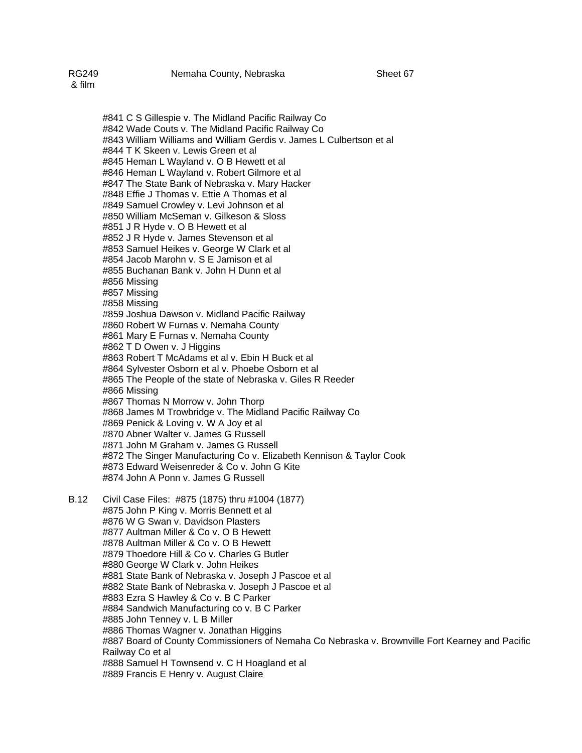#841 C S Gillespie v. The Midland Pacific Railway Co #842 Wade Couts v. The Midland Pacific Railway Co #843 William Williams and William Gerdis v. James L Culbertson et al #844 T K Skeen v. Lewis Green et al #845 Heman L Wayland v. O B Hewett et al #846 Heman L Wayland v. Robert Gilmore et al #847 The State Bank of Nebraska v. Mary Hacker #848 Effie J Thomas v. Ettie A Thomas et al #849 Samuel Crowley v. Levi Johnson et al #850 William McSeman v. Gilkeson & Sloss #851 J R Hyde v. O B Hewett et al #852 J R Hyde v. James Stevenson et al #853 Samuel Heikes v. George W Clark et al #854 Jacob Marohn v. S E Jamison et al #855 Buchanan Bank v. John H Dunn et al #856 Missing #857 Missing #858 Missing #859 Joshua Dawson v. Midland Pacific Railway #860 Robert W Furnas v. Nemaha County #861 Mary E Furnas v. Nemaha County #862 T D Owen v. J Higgins #863 Robert T McAdams et al v. Ebin H Buck et al #864 Sylvester Osborn et al v. Phoebe Osborn et al #865 The People of the state of Nebraska v. Giles R Reeder #866 Missing #867 Thomas N Morrow v. John Thorp #868 James M Trowbridge v. The Midland Pacific Railway Co #869 Penick & Loving v. W A Joy et al #870 Abner Walter v. James G Russell #871 John M Graham v. James G Russell #872 The Singer Manufacturing Co v. Elizabeth Kennison & Taylor Cook

#873 Edward Weisenreder & Co v. John G Kite

#874 John A Ponn v. James G Russell

B.12 Civil Case Files: #875 (1875) thru #1004 (1877) #875 John P King v. Morris Bennett et al #876 W G Swan v. Davidson Plasters #877 Aultman Miller & Co v. O B Hewett #878 Aultman Miller & Co v. O B Hewett #879 Thoedore Hill & Co v. Charles G Butler #880 George W Clark v. John Heikes #881 State Bank of Nebraska v. Joseph J Pascoe et al #882 State Bank of Nebraska v. Joseph J Pascoe et al #883 Ezra S Hawley & Co v. B C Parker #884 Sandwich Manufacturing co v. B C Parker #885 John Tenney v. L B Miller #886 Thomas Wagner v. Jonathan Higgins #887 Board of County Commissioners of Nemaha Co Nebraska v. Brownville Fort Kearney and Pacific Railway Co et al #888 Samuel H Townsend v. C H Hoagland et al #889 Francis E Henry v. August Claire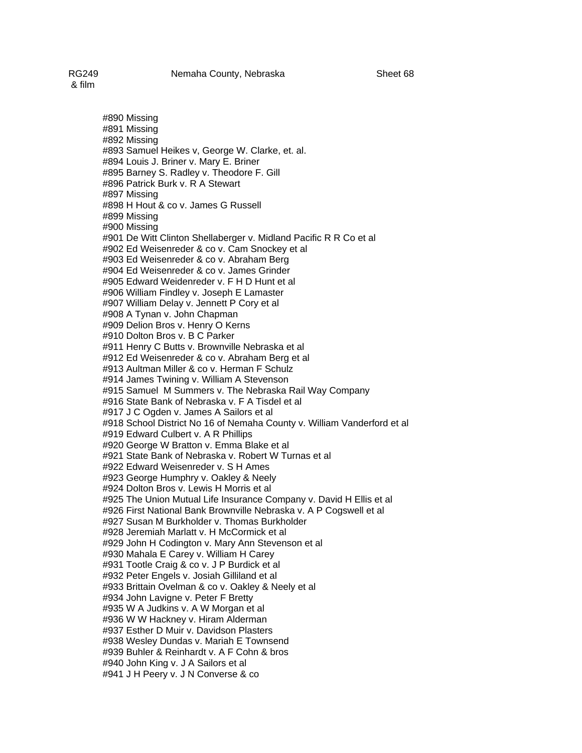#890 Missing #891 Missing #892 Missing #893 Samuel Heikes v, George W. Clarke, et. al. #894 Louis J. Briner v. Mary E. Briner #895 Barney S. Radley v. Theodore F. Gill #896 Patrick Burk v. R A Stewart #897 Missing #898 H Hout & co v. James G Russell #899 Missing #900 Missing #901 De Witt Clinton Shellaberger v. Midland Pacific R R Co et al #902 Ed Weisenreder & co v. Cam Snockey et al #903 Ed Weisenreder & co v. Abraham Berg #904 Ed Weisenreder & co v. James Grinder #905 Edward Weidenreder v. F H D Hunt et al #906 William Findley v. Joseph E Lamaster #907 William Delay v. Jennett P Cory et al #908 A Tynan v. John Chapman #909 Delion Bros v. Henry O Kerns #910 Dolton Bros v. B C Parker #911 Henry C Butts v. Brownville Nebraska et al #912 Ed Weisenreder & co v. Abraham Berg et al #913 Aultman Miller & co v. Herman F Schulz #914 James Twining v. William A Stevenson #915 Samuel M Summers v. The Nebraska Rail Way Company #916 State Bank of Nebraska v. F A Tisdel et al #917 J C Ogden v. James A Sailors et al #918 School District No 16 of Nemaha County v. William Vanderford et al #919 Edward Culbert v. A R Phillips #920 George W Bratton v. Emma Blake et al #921 State Bank of Nebraska v. Robert W Turnas et al #922 Edward Weisenreder v. S H Ames #923 George Humphry v. Oakley & Neely #924 Dolton Bros v. Lewis H Morris et al #925 The Union Mutual Life Insurance Company v. David H Ellis et al #926 First National Bank Brownville Nebraska v. A P Cogswell et al #927 Susan M Burkholder v. Thomas Burkholder #928 Jeremiah Marlatt v. H McCormick et al #929 John H Codington v. Mary Ann Stevenson et al #930 Mahala E Carey v. William H Carey #931 Tootle Craig & co v. J P Burdick et al #932 Peter Engels v. Josiah Gilliland et al #933 Brittain Ovelman & co v. Oakley & Neely et al #934 John Lavigne v. Peter F Bretty #935 W A Judkins v. A W Morgan et al #936 W W Hackney v. Hiram Alderman #937 Esther D Muir v. Davidson Plasters #938 Wesley Dundas v. Mariah E Townsend #939 Buhler & Reinhardt v. A F Cohn & bros #940 John King v. J A Sailors et al #941 J H Peery v. J N Converse & co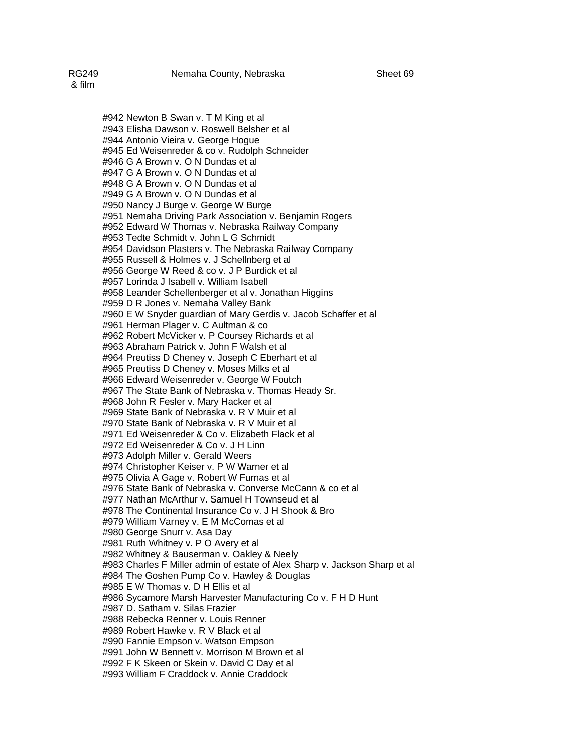#942 Newton B Swan v. T M King et al #943 Elisha Dawson v. Roswell Belsher et al #944 Antonio Vieira v. George Hogue #945 Ed Weisenreder & co v. Rudolph Schneider #946 G A Brown v. O N Dundas et al #947 G A Brown v. O N Dundas et al #948 G A Brown v. O N Dundas et al #949 G A Brown v. O N Dundas et al #950 Nancy J Burge v. George W Burge #951 Nemaha Driving Park Association v. Benjamin Rogers #952 Edward W Thomas v. Nebraska Railway Company #953 Tedte Schmidt v. John L G Schmidt #954 Davidson Plasters v. The Nebraska Railway Company #955 Russell & Holmes v. J Schellnberg et al #956 George W Reed & co v. J P Burdick et al #957 Lorinda J Isabell v. William Isabell #958 Leander Schellenberger et al v. Jonathan Higgins #959 D R Jones v. Nemaha Valley Bank #960 E W Snyder guardian of Mary Gerdis v. Jacob Schaffer et al #961 Herman Plager v. C Aultman & co #962 Robert McVicker v. P Coursey Richards et al #963 Abraham Patrick v. John F Walsh et al #964 Preutiss D Cheney v. Joseph C Eberhart et al #965 Preutiss D Cheney v. Moses Milks et al #966 Edward Weisenreder v. George W Foutch #967 The State Bank of Nebraska v. Thomas Heady Sr. #968 John R Fesler v. Mary Hacker et al #969 State Bank of Nebraska v. R V Muir et al #970 State Bank of Nebraska v. R V Muir et al #971 Ed Weisenreder & Co v. Elizabeth Flack et al #972 Ed Weisenreder & Co v. J H Linn #973 Adolph Miller v. Gerald Weers #974 Christopher Keiser v. P W Warner et al #975 Olivia A Gage v. Robert W Furnas et al #976 State Bank of Nebraska v. Converse McCann & co et al #977 Nathan McArthur v. Samuel H Townseud et al #978 The Continental Insurance Co v. J H Shook & Bro #979 William Varney v. E M McComas et al #980 George Snurr v. Asa Day #981 Ruth Whitney v. P O Avery et al #982 Whitney & Bauserman v. Oakley & Neely #983 Charles F Miller admin of estate of Alex Sharp v. Jackson Sharp et al #984 The Goshen Pump Co v. Hawley & Douglas #985 E W Thomas v. D H Ellis et al #986 Sycamore Marsh Harvester Manufacturing Co v. F H D Hunt #987 D. Satham v. Silas Frazier #988 Rebecka Renner v. Louis Renner #989 Robert Hawke v. R V Black et al #990 Fannie Empson v. Watson Empson #991 John W Bennett v. Morrison M Brown et al #992 F K Skeen or Skein v. David C Day et al

#993 William F Craddock v. Annie Craddock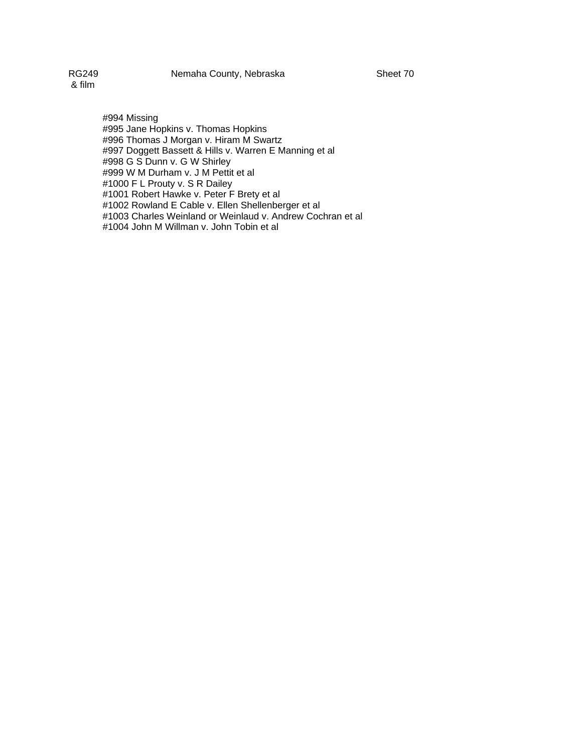RG249 Nemaha County, Nebraska Sheet 70

& film

#994 Missing #995 Jane Hopkins v. Thomas Hopkins #996 Thomas J Morgan v. Hiram M Swartz #997 Doggett Bassett & Hills v. Warren E Manning et al #998 G S Dunn v. G W Shirley #999 W M Durham v. J M Pettit et al #1000 F L Prouty v. S R Dailey #1001 Robert Hawke v. Peter F Brety et al #1002 Rowland E Cable v. Ellen Shellenberger et al #1003 Charles Weinland or Weinlaud v. Andrew Cochran et al #1004 John M Willman v. John Tobin et al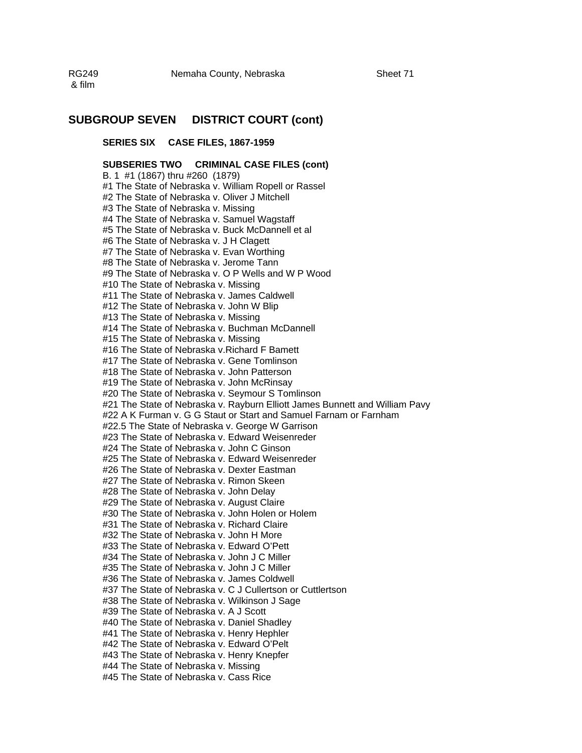& film

## **SUBGROUP SEVEN DISTRICT COURT (cont)**

### **SERIES SIX CASE FILES, 1867-1959**

### **SUBSERIES TWO CRIMINAL CASE FILES (cont)**

B. 1 #1 (1867) thru #260 (1879) #1 The State of Nebraska v. William Ropell or Rassel #2 The State of Nebraska v. Oliver J Mitchell #3 The State of Nebraska v. Missing #4 The State of Nebraska v. Samuel Wagstaff #5 The State of Nebraska v. Buck McDannell et al #6 The State of Nebraska v. J H Clagett #7 The State of Nebraska v. Evan Worthing #8 The State of Nebraska v. Jerome Tann #9 The State of Nebraska v. O P Wells and W P Wood #10 The State of Nebraska v. Missing #11 The State of Nebraska v. James Caldwell #12 The State of Nebraska v. John W Blip #13 The State of Nebraska v. Missing #14 The State of Nebraska v. Buchman McDannell #15 The State of Nebraska v. Missing #16 The State of Nebraska v.Richard F Bamett #17 The State of Nebraska v. Gene Tomlinson #18 The State of Nebraska v. John Patterson #19 The State of Nebraska v. John McRinsay #20 The State of Nebraska v. Seymour S Tomlinson #21 The State of Nebraska v. Rayburn Elliott James Bunnett and William Pavy #22 A K Furman v. G G Staut or Start and Samuel Farnam or Farnham #22.5 The State of Nebraska v. George W Garrison #23 The State of Nebraska v. Edward Weisenreder #24 The State of Nebraska v. John C Ginson #25 The State of Nebraska v. Edward Weisenreder #26 The State of Nebraska v. Dexter Eastman #27 The State of Nebraska v. Rimon Skeen #28 The State of Nebraska v. John Delay #29 The State of Nebraska v. August Claire #30 The State of Nebraska v. John Holen or Holem #31 The State of Nebraska v. Richard Claire #32 The State of Nebraska v. John H More #33 The State of Nebraska v. Edward O'Pett #34 The State of Nebraska v. John J C Miller #35 The State of Nebraska v. John J C Miller #36 The State of Nebraska v. James Coldwell #37 The State of Nebraska v. C J Cullertson or Cuttlertson #38 The State of Nebraska v. Wilkinson J Sage #39 The State of Nebraska v. A J Scott #40 The State of Nebraska v. Daniel Shadley #41 The State of Nebraska v. Henry Hephler #42 The State of Nebraska v. Edward O'Pelt #43 The State of Nebraska v. Henry Knepfer #44 The State of Nebraska v. Missing #45 The State of Nebraska v. Cass Rice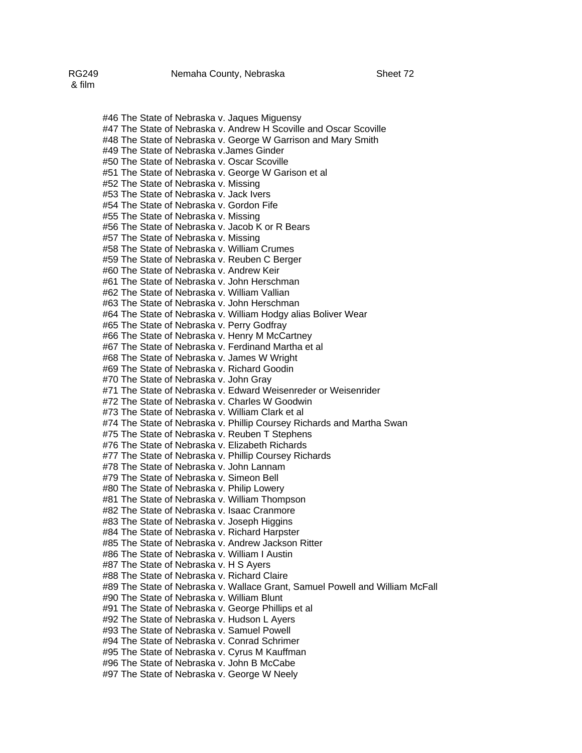#46 The State of Nebraska v. Jaques Miguensy #47 The State of Nebraska v. Andrew H Scoville and Oscar Scoville #48 The State of Nebraska v. George W Garrison and Mary Smith #49 The State of Nebraska v.James Ginder #50 The State of Nebraska v. Oscar Scoville #51 The State of Nebraska v. George W Garison et al #52 The State of Nebraska v. Missing #53 The State of Nebraska v. Jack Ivers #54 The State of Nebraska v. Gordon Fife #55 The State of Nebraska v. Missing #56 The State of Nebraska v. Jacob K or R Bears #57 The State of Nebraska v. Missing #58 The State of Nebraska v. William Crumes #59 The State of Nebraska v. Reuben C Berger #60 The State of Nebraska v. Andrew Keir #61 The State of Nebraska v. John Herschman #62 The State of Nebraska v. William Vallian #63 The State of Nebraska v. John Herschman #64 The State of Nebraska v. William Hodgy alias Boliver Wear #65 The State of Nebraska v. Perry Godfray #66 The State of Nebraska v. Henry M McCartney #67 The State of Nebraska v. Ferdinand Martha et al #68 The State of Nebraska v. James W Wright #69 The State of Nebraska v. Richard Goodin #70 The State of Nebraska v. John Gray #71 The State of Nebraska v. Edward Weisenreder or Weisenrider #72 The State of Nebraska v. Charles W Goodwin #73 The State of Nebraska v. William Clark et al #74 The State of Nebraska v. Phillip Coursey Richards and Martha Swan #75 The State of Nebraska v. Reuben T Stephens #76 The State of Nebraska v. Elizabeth Richards #77 The State of Nebraska v. Phillip Coursey Richards #78 The State of Nebraska v. John Lannam #79 The State of Nebraska v. Simeon Bell #80 The State of Nebraska v. Philip Lowery #81 The State of Nebraska v. William Thompson #82 The State of Nebraska v. Isaac Cranmore #83 The State of Nebraska v. Joseph Higgins #84 The State of Nebraska v. Richard Harpster #85 The State of Nebraska v. Andrew Jackson Ritter #86 The State of Nebraska v. William I Austin #87 The State of Nebraska v. H S Ayers #88 The State of Nebraska v. Richard Claire #89 The State of Nebraska v. Wallace Grant, Samuel Powell and William McFall #90 The State of Nebraska v. William Blunt #91 The State of Nebraska v. George Phillips et al #92 The State of Nebraska v. Hudson L Ayers

#93 The State of Nebraska v. Samuel Powell

#94 The State of Nebraska v. Conrad Schrimer

#95 The State of Nebraska v. Cyrus M Kauffman

#96 The State of Nebraska v. John B McCabe

#97 The State of Nebraska v. George W Neely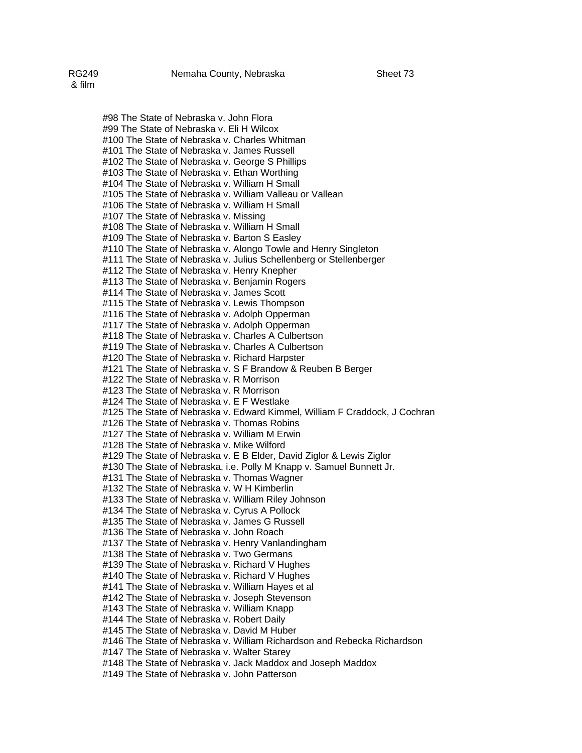#98 The State of Nebraska v. John Flora #99 The State of Nebraska v. Eli H Wilcox #100 The State of Nebraska v. Charles Whitman #101 The State of Nebraska v. James Russell #102 The State of Nebraska v. George S Phillips #103 The State of Nebraska v. Ethan Worthing #104 The State of Nebraska v. William H Small #105 The State of Nebraska v. William Valleau or Vallean #106 The State of Nebraska v. William H Small #107 The State of Nebraska v. Missing #108 The State of Nebraska v. William H Small #109 The State of Nebraska v. Barton S Easley #110 The State of Nebraska v. Alongo Towle and Henry Singleton #111 The State of Nebraska v. Julius Schellenberg or Stellenberger #112 The State of Nebraska v. Henry Knepher #113 The State of Nebraska v. Benjamin Rogers #114 The State of Nebraska v. James Scott #115 The State of Nebraska v. Lewis Thompson #116 The State of Nebraska v. Adolph Opperman #117 The State of Nebraska v. Adolph Opperman #118 The State of Nebraska v. Charles A Culbertson #119 The State of Nebraska v. Charles A Culbertson #120 The State of Nebraska v. Richard Harpster #121 The State of Nebraska v. S F Brandow & Reuben B Berger #122 The State of Nebraska v. R Morrison #123 The State of Nebraska v. R Morrison #124 The State of Nebraska v. E F Westlake #125 The State of Nebraska v. Edward Kimmel, William F Craddock, J Cochran #126 The State of Nebraska v. Thomas Robins #127 The State of Nebraska v. William M Erwin #128 The State of Nebraska v. Mike Wilford #129 The State of Nebraska v. E B Elder, David Ziglor & Lewis Ziglor #130 The State of Nebraska, i.e. Polly M Knapp v. Samuel Bunnett Jr. #131 The State of Nebraska v. Thomas Wagner #132 The State of Nebraska v. W H Kimberlin #133 The State of Nebraska v. William Riley Johnson #134 The State of Nebraska v. Cyrus A Pollock #135 The State of Nebraska v. James G Russell #136 The State of Nebraska v. John Roach #137 The State of Nebraska v. Henry Vanlandingham #138 The State of Nebraska v. Two Germans #139 The State of Nebraska v. Richard V Hughes #140 The State of Nebraska v. Richard V Hughes #141 The State of Nebraska v. William Hayes et al #142 The State of Nebraska v. Joseph Stevenson #143 The State of Nebraska v. William Knapp #144 The State of Nebraska v. Robert Daily #145 The State of Nebraska v. David M Huber #146 The State of Nebraska v. William Richardson and Rebecka Richardson #147 The State of Nebraska v. Walter Starey #148 The State of Nebraska v. Jack Maddox and Joseph Maddox #149 The State of Nebraska v. John Patterson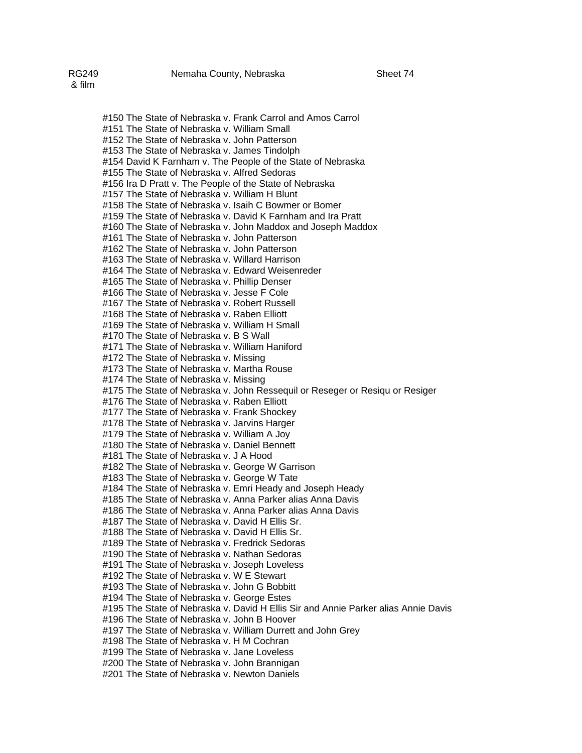#150 The State of Nebraska v. Frank Carrol and Amos Carrol #151 The State of Nebraska v. William Small #152 The State of Nebraska v. John Patterson #153 The State of Nebraska v. James Tindolph #154 David K Farnham v. The People of the State of Nebraska #155 The State of Nebraska v. Alfred Sedoras #156 Ira D Pratt v. The People of the State of Nebraska #157 The State of Nebraska v. William H Blunt #158 The State of Nebraska v. Isaih C Bowmer or Bomer #159 The State of Nebraska v. David K Farnham and Ira Pratt #160 The State of Nebraska v. John Maddox and Joseph Maddox #161 The State of Nebraska v. John Patterson #162 The State of Nebraska v. John Patterson #163 The State of Nebraska v. Willard Harrison #164 The State of Nebraska v. Edward Weisenreder #165 The State of Nebraska v. Phillip Denser #166 The State of Nebraska v. Jesse F Cole #167 The State of Nebraska v. Robert Russell #168 The State of Nebraska v. Raben Elliott #169 The State of Nebraska v. William H Small #170 The State of Nebraska v. B S Wall #171 The State of Nebraska v. William Haniford #172 The State of Nebraska v. Missing #173 The State of Nebraska v. Martha Rouse #174 The State of Nebraska v. Missing #175 The State of Nebraska v. John Ressequil or Reseger or Resiqu or Resiger #176 The State of Nebraska v. Raben Elliott #177 The State of Nebraska v. Frank Shockey #178 The State of Nebraska v. Jarvins Harger #179 The State of Nebraska v. William A Joy #180 The State of Nebraska v. Daniel Bennett #181 The State of Nebraska v. J A Hood #182 The State of Nebraska v. George W Garrison #183 The State of Nebraska v. George W Tate #184 The State of Nebraska v. Emri Heady and Joseph Heady #185 The State of Nebraska v. Anna Parker alias Anna Davis #186 The State of Nebraska v. Anna Parker alias Anna Davis #187 The State of Nebraska v. David H Ellis Sr. #188 The State of Nebraska v. David H Ellis Sr.

- #189 The State of Nebraska v. Fredrick Sedoras #190 The State of Nebraska v. Nathan Sedoras
- #191 The State of Nebraska v. Joseph Loveless
- #192 The State of Nebraska v. W E Stewart
- #193 The State of Nebraska v. John G Bobbitt
- #194 The State of Nebraska v. George Estes
- #195 The State of Nebraska v. David H Ellis Sir and Annie Parker alias Annie Davis
- #196 The State of Nebraska v. John B Hoover
- #197 The State of Nebraska v. William Durrett and John Grey
- #198 The State of Nebraska v. H M Cochran
- #199 The State of Nebraska v. Jane Loveless
- #200 The State of Nebraska v. John Brannigan
- #201 The State of Nebraska v. Newton Daniels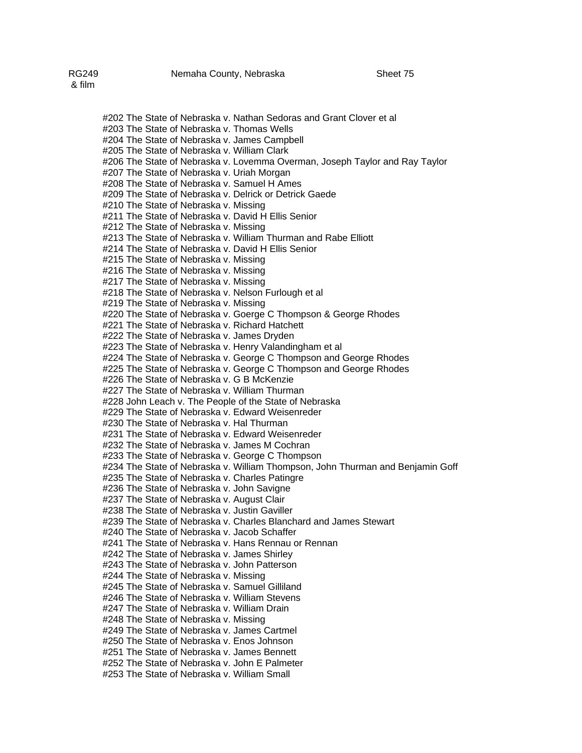#202 The State of Nebraska v. Nathan Sedoras and Grant Clover et al #203 The State of Nebraska v. Thomas Wells #204 The State of Nebraska v. James Campbell #205 The State of Nebraska v. William Clark #206 The State of Nebraska v. Lovemma Overman, Joseph Taylor and Ray Taylor #207 The State of Nebraska v. Uriah Morgan #208 The State of Nebraska v. Samuel H Ames #209 The State of Nebraska v. Delrick or Detrick Gaede #210 The State of Nebraska v. Missing #211 The State of Nebraska v. David H Ellis Senior #212 The State of Nebraska v. Missing #213 The State of Nebraska v. William Thurman and Rabe Elliott #214 The State of Nebraska v. David H Ellis Senior #215 The State of Nebraska v. Missing #216 The State of Nebraska v. Missing #217 The State of Nebraska v. Missing #218 The State of Nebraska v. Nelson Furlough et al #219 The State of Nebraska v. Missing #220 The State of Nebraska v. Goerge C Thompson & George Rhodes #221 The State of Nebraska v. Richard Hatchett #222 The State of Nebraska v. James Dryden #223 The State of Nebraska v. Henry Valandingham et al #224 The State of Nebraska v. George C Thompson and George Rhodes #225 The State of Nebraska v. George C Thompson and George Rhodes #226 The State of Nebraska v. G B McKenzie #227 The State of Nebraska v. William Thurman #228 John Leach v. The People of the State of Nebraska #229 The State of Nebraska v. Edward Weisenreder #230 The State of Nebraska v. Hal Thurman #231 The State of Nebraska v. Edward Weisenreder #232 The State of Nebraska v. James M Cochran #233 The State of Nebraska v. George C Thompson #234 The State of Nebraska v. William Thompson, John Thurman and Benjamin Goff #235 The State of Nebraska v. Charles Patingre #236 The State of Nebraska v. John Savigne #237 The State of Nebraska v. August Clair #238 The State of Nebraska v. Justin Gaviller #239 The State of Nebraska v. Charles Blanchard and James Stewart #240 The State of Nebraska v. Jacob Schaffer #241 The State of Nebraska v. Hans Rennau or Rennan #242 The State of Nebraska v. James Shirley #243 The State of Nebraska v. John Patterson #244 The State of Nebraska v. Missing #245 The State of Nebraska v. Samuel Gilliland #246 The State of Nebraska v. William Stevens #247 The State of Nebraska v. William Drain #248 The State of Nebraska v. Missing #249 The State of Nebraska v. James Cartmel #250 The State of Nebraska v. Enos Johnson #251 The State of Nebraska v. James Bennett

#252 The State of Nebraska v. John E Palmeter #253 The State of Nebraska v. William Small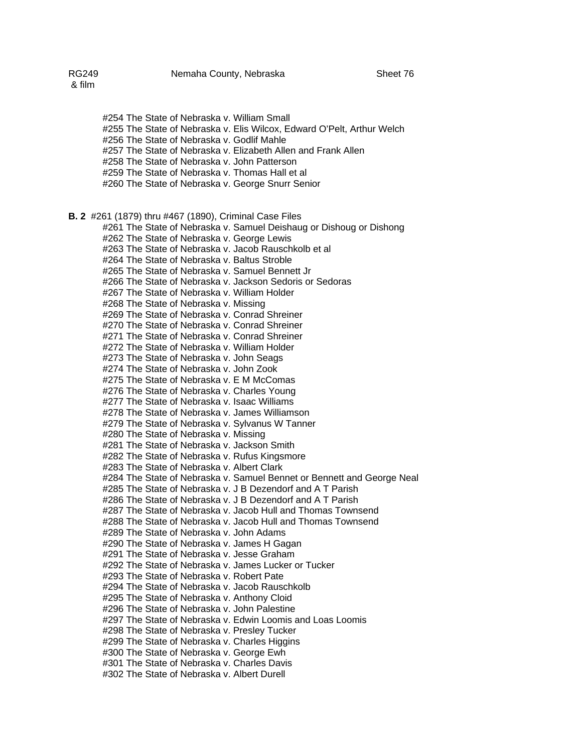#254 The State of Nebraska v. William Small #255 The State of Nebraska v. Elis Wilcox, Edward O'Pelt, Arthur Welch #256 The State of Nebraska v. Godlif Mahle #257 The State of Nebraska v. Elizabeth Allen and Frank Allen #258 The State of Nebraska v. John Patterson #259 The State of Nebraska v. Thomas Hall et al #260 The State of Nebraska v. George Snurr Senior **B. 2** #261 (1879) thru #467 (1890), Criminal Case Files #261 The State of Nebraska v. Samuel Deishaug or Dishoug or Dishong #262 The State of Nebraska v. George Lewis #263 The State of Nebraska v. Jacob Rauschkolb et al #264 The State of Nebraska v. Baltus Stroble #265 The State of Nebraska v. Samuel Bennett Jr #266 The State of Nebraska v. Jackson Sedoris or Sedoras #267 The State of Nebraska v. William Holder #268 The State of Nebraska v. Missing #269 The State of Nebraska v. Conrad Shreiner #270 The State of Nebraska v. Conrad Shreiner #271 The State of Nebraska v. Conrad Shreiner #272 The State of Nebraska v. William Holder #273 The State of Nebraska v. John Seags #274 The State of Nebraska v. John Zook #275 The State of Nebraska v. E M McComas #276 The State of Nebraska v. Charles Young #277 The State of Nebraska v. Isaac Williams #278 The State of Nebraska v. James Williamson #279 The State of Nebraska v. Sylvanus W Tanner #280 The State of Nebraska v. Missing #281 The State of Nebraska v. Jackson Smith #282 The State of Nebraska v. Rufus Kingsmore #283 The State of Nebraska v. Albert Clark #284 The State of Nebraska v. Samuel Bennet or Bennett and George Neal #285 The State of Nebraska v. J B Dezendorf and A T Parish #286 The State of Nebraska v. J B Dezendorf and A T Parish #287 The State of Nebraska v. Jacob Hull and Thomas Townsend #288 The State of Nebraska v. Jacob Hull and Thomas Townsend #289 The State of Nebraska v. John Adams #290 The State of Nebraska v. James H Gagan #291 The State of Nebraska v. Jesse Graham #292 The State of Nebraska v. James Lucker or Tucker #293 The State of Nebraska v. Robert Pate #294 The State of Nebraska v. Jacob Rauschkolb #295 The State of Nebraska v. Anthony Cloid #296 The State of Nebraska v. John Palestine #297 The State of Nebraska v. Edwin Loomis and Loas Loomis #298 The State of Nebraska v. Presley Tucker #299 The State of Nebraska v. Charles Higgins #300 The State of Nebraska v. George Ewh #301 The State of Nebraska v. Charles Davis #302 The State of Nebraska v. Albert Durell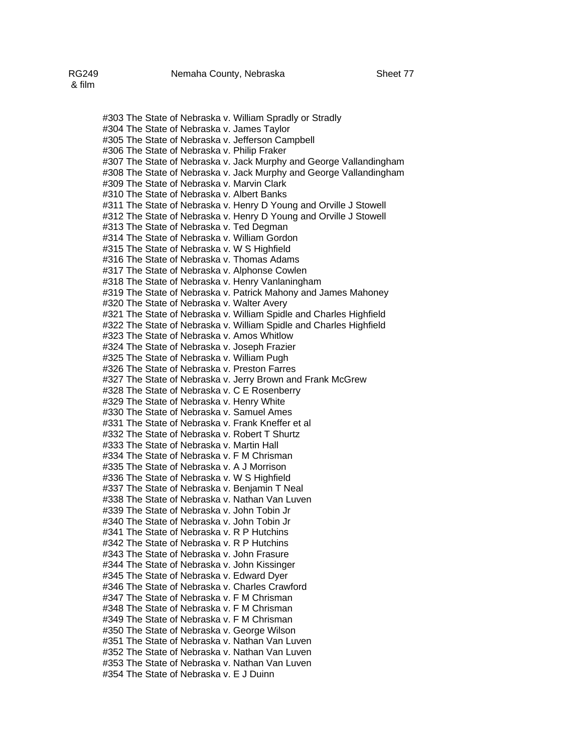#303 The State of Nebraska v. William Spradly or Stradly #304 The State of Nebraska v. James Taylor #305 The State of Nebraska v. Jefferson Campbell #306 The State of Nebraska v. Philip Fraker #307 The State of Nebraska v. Jack Murphy and George Vallandingham #308 The State of Nebraska v. Jack Murphy and George Vallandingham #309 The State of Nebraska v. Marvin Clark #310 The State of Nebraska v. Albert Banks #311 The State of Nebraska v. Henry D Young and Orville J Stowell #312 The State of Nebraska v. Henry D Young and Orville J Stowell #313 The State of Nebraska v. Ted Degman #314 The State of Nebraska v. William Gordon #315 The State of Nebraska v. W S Highfield #316 The State of Nebraska v. Thomas Adams #317 The State of Nebraska v. Alphonse Cowlen #318 The State of Nebraska v. Henry Vanlaningham #319 The State of Nebraska v. Patrick Mahony and James Mahoney #320 The State of Nebraska v. Walter Avery #321 The State of Nebraska v. William Spidle and Charles Highfield #322 The State of Nebraska v. William Spidle and Charles Highfield #323 The State of Nebraska v. Amos Whitlow #324 The State of Nebraska v. Joseph Frazier #325 The State of Nebraska v. William Pugh #326 The State of Nebraska v. Preston Farres #327 The State of Nebraska v. Jerry Brown and Frank McGrew #328 The State of Nebraska v. C E Rosenberry #329 The State of Nebraska v. Henry White #330 The State of Nebraska v. Samuel Ames #331 The State of Nebraska v. Frank Kneffer et al #332 The State of Nebraska v. Robert T Shurtz #333 The State of Nebraska v. Martin Hall #334 The State of Nebraska v. F M Chrisman #335 The State of Nebraska v. A J Morrison #336 The State of Nebraska v. W S Highfield #337 The State of Nebraska v. Benjamin T Neal #338 The State of Nebraska v. Nathan Van Luven #339 The State of Nebraska v. John Tobin Jr #340 The State of Nebraska v. John Tobin Jr #341 The State of Nebraska v. R P Hutchins #342 The State of Nebraska v. R P Hutchins #343 The State of Nebraska v. John Frasure #344 The State of Nebraska v. John Kissinger #345 The State of Nebraska v. Edward Dyer #346 The State of Nebraska v. Charles Crawford #347 The State of Nebraska v. F M Chrisman #348 The State of Nebraska v. F M Chrisman #349 The State of Nebraska v. F M Chrisman #350 The State of Nebraska v. George Wilson #351 The State of Nebraska v. Nathan Van Luven #352 The State of Nebraska v. Nathan Van Luven #353 The State of Nebraska v. Nathan Van Luven #354 The State of Nebraska v. E J Duinn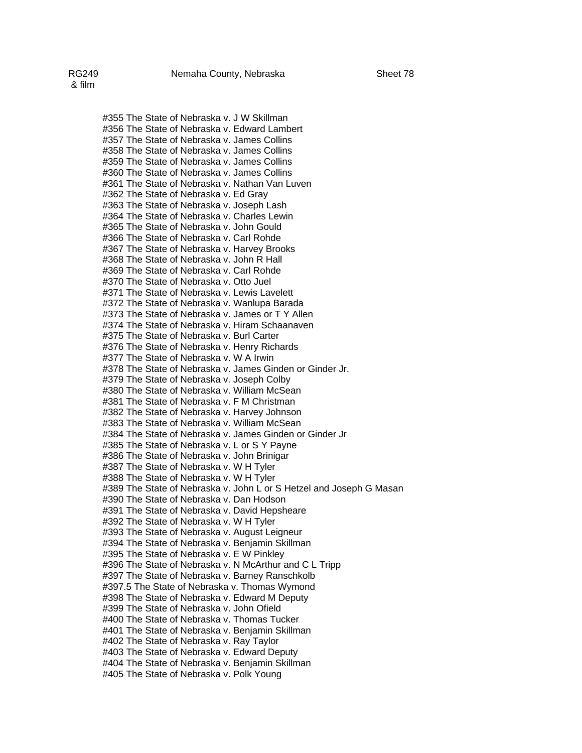#355 The State of Nebraska v. J W Skillman #356 The State of Nebraska v. Edward Lambert #357 The State of Nebraska v. James Collins #358 The State of Nebraska v. James Collins #359 The State of Nebraska v. James Collins #360 The State of Nebraska v. James Collins #361 The State of Nebraska v. Nathan Van Luven #362 The State of Nebraska v. Ed Gray #363 The State of Nebraska v. Joseph Lash #364 The State of Nebraska v. Charles Lewin #365 The State of Nebraska v. John Gould #366 The State of Nebraska v. Carl Rohde #367 The State of Nebraska v. Harvey Brooks #368 The State of Nebraska v. John R Hall #369 The State of Nebraska v. Carl Rohde #370 The State of Nebraska v. Otto Juel #371 The State of Nebraska v. Lewis Lavelett #372 The State of Nebraska v. Wanlupa Barada #373 The State of Nebraska v. James or T Y Allen #374 The State of Nebraska v. Hiram Schaanaven #375 The State of Nebraska v. Burl Carter #376 The State of Nebraska v. Henry Richards #377 The State of Nebraska v. W A Irwin #378 The State of Nebraska v. James Ginden or Ginder Jr. #379 The State of Nebraska v. Joseph Colby #380 The State of Nebraska v. William McSean #381 The State of Nebraska v. F M Christman #382 The State of Nebraska v. Harvey Johnson #383 The State of Nebraska v. William McSean #384 The State of Nebraska v. James Ginden or Ginder Jr #385 The State of Nebraska v. L or S Y Payne #386 The State of Nebraska v. John Brinigar #387 The State of Nebraska v. W H Tyler #388 The State of Nebraska v. W H Tyler #389 The State of Nebraska v. John L or S Hetzel and Joseph G Masan #390 The State of Nebraska v. Dan Hodson #391 The State of Nebraska v. David Hepsheare #392 The State of Nebraska v. W H Tyler #393 The State of Nebraska v. August Leigneur #394 The State of Nebraska v. Benjamin Skillman #395 The State of Nebraska v. E W Pinkley #396 The State of Nebraska v. N McArthur and C L Tripp #397 The State of Nebraska v. Barney Ranschkolb #397.5 The State of Nebraska v. Thomas Wymond #398 The State of Nebraska v. Edward M Deputy #399 The State of Nebraska v. John Ofield #400 The State of Nebraska v. Thomas Tucker #401 The State of Nebraska v. Benjamin Skillman #402 The State of Nebraska v. Ray Taylor #403 The State of Nebraska v. Edward Deputy #404 The State of Nebraska v. Benjamin Skillman #405 The State of Nebraska v. Polk Young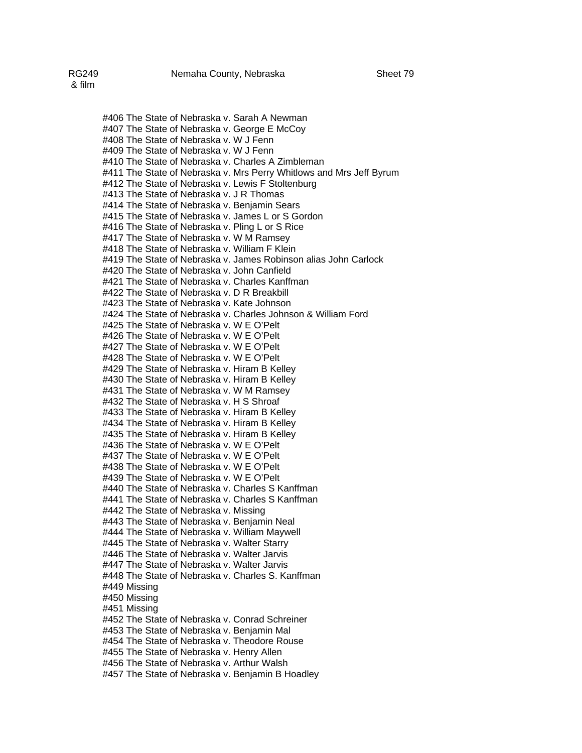#406 The State of Nebraska v. Sarah A Newman #407 The State of Nebraska v. George E McCoy #408 The State of Nebraska v. W J Fenn #409 The State of Nebraska v. W J Fenn #410 The State of Nebraska v. Charles A Zimbleman #411 The State of Nebraska v. Mrs Perry Whitlows and Mrs Jeff Byrum #412 The State of Nebraska v. Lewis F Stoltenburg #413 The State of Nebraska v. J R Thomas #414 The State of Nebraska v. Benjamin Sears #415 The State of Nebraska v. James L or S Gordon #416 The State of Nebraska v. Pling L or S Rice #417 The State of Nebraska v. W M Ramsey #418 The State of Nebraska v. William F Klein #419 The State of Nebraska v. James Robinson alias John Carlock #420 The State of Nebraska v. John Canfield #421 The State of Nebraska v. Charles Kanffman #422 The State of Nebraska v. D R Breakbill #423 The State of Nebraska v. Kate Johnson #424 The State of Nebraska v. Charles Johnson & William Ford #425 The State of Nebraska v. W E O'Pelt #426 The State of Nebraska v. W E O'Pelt #427 The State of Nebraska v. W E O'Pelt #428 The State of Nebraska v. W E O'Pelt #429 The State of Nebraska v. Hiram B Kelley #430 The State of Nebraska v. Hiram B Kelley #431 The State of Nebraska v. W M Ramsey #432 The State of Nebraska v. H S Shroaf #433 The State of Nebraska v. Hiram B Kelley #434 The State of Nebraska v. Hiram B Kelley #435 The State of Nebraska v. Hiram B Kelley #436 The State of Nebraska v. W E O'Pelt #437 The State of Nebraska v. W E O'Pelt #438 The State of Nebraska v. W E O'Pelt #439 The State of Nebraska v. W E O'Pelt #440 The State of Nebraska v. Charles S Kanffman #441 The State of Nebraska v. Charles S Kanffman #442 The State of Nebraska v. Missing #443 The State of Nebraska v. Benjamin Neal #444 The State of Nebraska v. William Maywell #445 The State of Nebraska v. Walter Starry #446 The State of Nebraska v. Walter Jarvis #447 The State of Nebraska v. Walter Jarvis #448 The State of Nebraska v. Charles S. Kanffman #449 Missing #450 Missing #451 Missing #452 The State of Nebraska v. Conrad Schreiner #453 The State of Nebraska v. Benjamin Mal

#454 The State of Nebraska v. Theodore Rouse

#455 The State of Nebraska v. Henry Allen

#456 The State of Nebraska v. Arthur Walsh

#457 The State of Nebraska v. Benjamin B Hoadley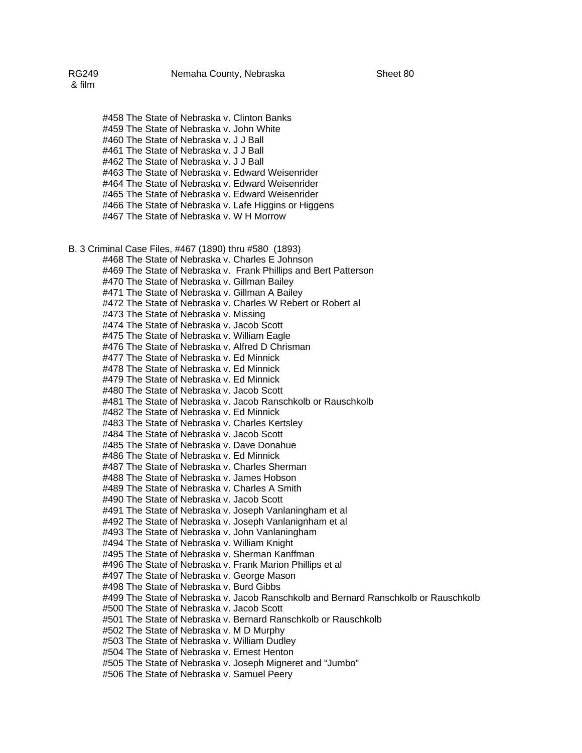#458 The State of Nebraska v. Clinton Banks #459 The State of Nebraska v. John White #460 The State of Nebraska v. J J Ball #461 The State of Nebraska v. J J Ball #462 The State of Nebraska v. J J Ball #463 The State of Nebraska v. Edward Weisenrider #464 The State of Nebraska v. Edward Weisenrider #465 The State of Nebraska v. Edward Weisenrider #466 The State of Nebraska v. Lafe Higgins or Higgens #467 The State of Nebraska v. W H Morrow B. 3 Criminal Case Files, #467 (1890) thru #580 (1893) #468 The State of Nebraska v. Charles E Johnson #469 The State of Nebraska v. Frank Phillips and Bert Patterson #470 The State of Nebraska v. Gillman Bailey #471 The State of Nebraska v. Gillman A Bailey #472 The State of Nebraska v. Charles W Rebert or Robert al #473 The State of Nebraska v. Missing #474 The State of Nebraska v. Jacob Scott #475 The State of Nebraska v. William Eagle #476 The State of Nebraska v. Alfred D Chrisman #477 The State of Nebraska v. Ed Minnick #478 The State of Nebraska v. Ed Minnick #479 The State of Nebraska v. Ed Minnick #480 The State of Nebraska v. Jacob Scott #481 The State of Nebraska v. Jacob Ranschkolb or Rauschkolb #482 The State of Nebraska v. Ed Minnick #483 The State of Nebraska v. Charles Kertsley #484 The State of Nebraska v. Jacob Scott #485 The State of Nebraska v. Dave Donahue #486 The State of Nebraska v. Ed Minnick #487 The State of Nebraska v. Charles Sherman #488 The State of Nebraska v. James Hobson #489 The State of Nebraska v. Charles A Smith #490 The State of Nebraska v. Jacob Scott #491 The State of Nebraska v. Joseph Vanlaningham et al #492 The State of Nebraska v. Joseph Vanlanignham et al #493 The State of Nebraska v. John Vanlaningham #494 The State of Nebraska v. William Knight #495 The State of Nebraska v. Sherman Kanffman #496 The State of Nebraska v. Frank Marion Phillips et al #497 The State of Nebraska v. George Mason #498 The State of Nebraska v. Burd Gibbs #499 The State of Nebraska v. Jacob Ranschkolb and Bernard Ranschkolb or Rauschkolb #500 The State of Nebraska v. Jacob Scott #501 The State of Nebraska v. Bernard Ranschkolb or Rauschkolb #502 The State of Nebraska v. M D Murphy #503 The State of Nebraska v. William Dudley #504 The State of Nebraska v. Ernest Henton #505 The State of Nebraska v. Joseph Migneret and "Jumbo" #506 The State of Nebraska v. Samuel Peery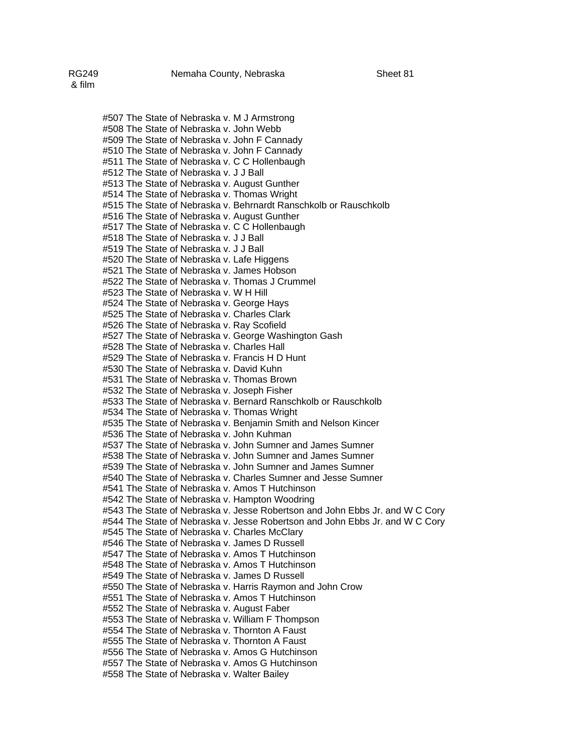#507 The State of Nebraska v. M J Armstrong #508 The State of Nebraska v. John Webb #509 The State of Nebraska v. John F Cannady #510 The State of Nebraska v. John F Cannady #511 The State of Nebraska v. C C Hollenbaugh #512 The State of Nebraska v. J J Ball #513 The State of Nebraska v. August Gunther #514 The State of Nebraska v. Thomas Wright #515 The State of Nebraska v. Behrnardt Ranschkolb or Rauschkolb #516 The State of Nebraska v. August Gunther #517 The State of Nebraska v. C C Hollenbaugh #518 The State of Nebraska v. J J Ball #519 The State of Nebraska v. J J Ball #520 The State of Nebraska v. Lafe Higgens #521 The State of Nebraska v. James Hobson #522 The State of Nebraska v. Thomas J Crummel #523 The State of Nebraska v. W H Hill #524 The State of Nebraska v. George Hays #525 The State of Nebraska v. Charles Clark #526 The State of Nebraska v. Ray Scofield #527 The State of Nebraska v. George Washington Gash #528 The State of Nebraska v. Charles Hall #529 The State of Nebraska v. Francis H D Hunt #530 The State of Nebraska v. David Kuhn #531 The State of Nebraska v. Thomas Brown #532 The State of Nebraska v. Joseph Fisher #533 The State of Nebraska v. Bernard Ranschkolb or Rauschkolb #534 The State of Nebraska v. Thomas Wright #535 The State of Nebraska v. Benjamin Smith and Nelson Kincer #536 The State of Nebraska v. John Kuhman #537 The State of Nebraska v. John Sumner and James Sumner #538 The State of Nebraska v. John Sumner and James Sumner #539 The State of Nebraska v. John Sumner and James Sumner #540 The State of Nebraska v. Charles Sumner and Jesse Sumner #541 The State of Nebraska v. Amos T Hutchinson #542 The State of Nebraska v. Hampton Woodring #543 The State of Nebraska v. Jesse Robertson and John Ebbs Jr. and W C Cory #544 The State of Nebraska v. Jesse Robertson and John Ebbs Jr. and W C Cory #545 The State of Nebraska v. Charles McClary #546 The State of Nebraska v. James D Russell #547 The State of Nebraska v. Amos T Hutchinson #548 The State of Nebraska v. Amos T Hutchinson #549 The State of Nebraska v. James D Russell #550 The State of Nebraska v. Harris Raymon and John Crow #551 The State of Nebraska v. Amos T Hutchinson #552 The State of Nebraska v. August Faber #553 The State of Nebraska v. William F Thompson #554 The State of Nebraska v. Thornton A Faust #555 The State of Nebraska v. Thornton A Faust #556 The State of Nebraska v. Amos G Hutchinson #557 The State of Nebraska v. Amos G Hutchinson #558 The State of Nebraska v. Walter Bailey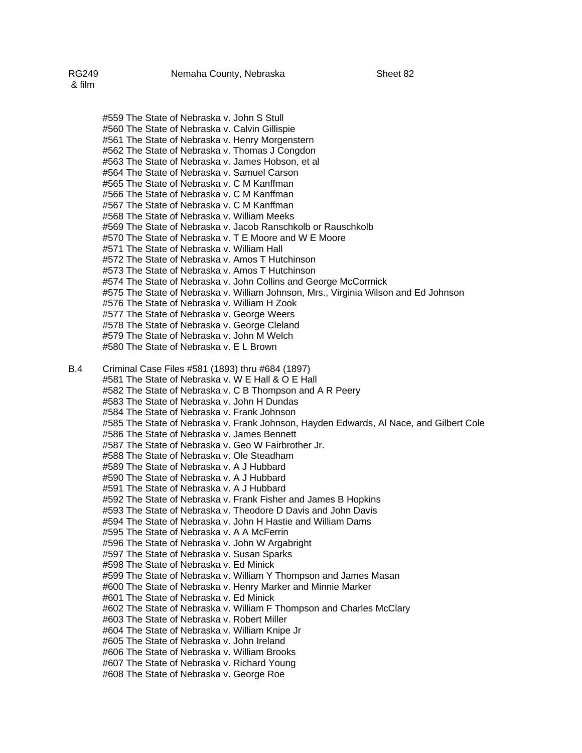#559 The State of Nebraska v. John S Stull #560 The State of Nebraska v. Calvin Gillispie #561 The State of Nebraska v. Henry Morgenstern #562 The State of Nebraska v. Thomas J Congdon #563 The State of Nebraska v. James Hobson, et al #564 The State of Nebraska v. Samuel Carson #565 The State of Nebraska v. C M Kanffman #566 The State of Nebraska v. C M Kanffman #567 The State of Nebraska v. C M Kanffman #568 The State of Nebraska v. William Meeks #569 The State of Nebraska v. Jacob Ranschkolb or Rauschkolb #570 The State of Nebraska v. T E Moore and W E Moore #571 The State of Nebraska v. William Hall #572 The State of Nebraska v. Amos T Hutchinson #573 The State of Nebraska v. Amos T Hutchinson #574 The State of Nebraska v. John Collins and George McCormick

- #575 The State of Nebraska v. William Johnson, Mrs., Virginia Wilson and Ed Johnson
- #576 The State of Nebraska v. William H Zook
- #577 The State of Nebraska v. George Weers
- #578 The State of Nebraska v. George Cleland
- #579 The State of Nebraska v. John M Welch
- #580 The State of Nebraska v. E L Brown
- B.4 Criminal Case Files #581 (1893) thru #684 (1897)
	- #581 The State of Nebraska v. W E Hall & O E Hall
	- #582 The State of Nebraska v. C B Thompson and A R Peery
	- #583 The State of Nebraska v. John H Dundas
	- #584 The State of Nebraska v. Frank Johnson
	- #585 The State of Nebraska v. Frank Johnson, Hayden Edwards, Al Nace, and Gilbert Cole
	- #586 The State of Nebraska v. James Bennett
	- #587 The State of Nebraska v. Geo W Fairbrother Jr.
	- #588 The State of Nebraska v. Ole Steadham
	- #589 The State of Nebraska v. A J Hubbard
	- #590 The State of Nebraska v. A J Hubbard
	- #591 The State of Nebraska v. A J Hubbard
	- #592 The State of Nebraska v. Frank Fisher and James B Hopkins
	- #593 The State of Nebraska v. Theodore D Davis and John Davis
	- #594 The State of Nebraska v. John H Hastie and William Dams
	- #595 The State of Nebraska v. A A McFerrin
	- #596 The State of Nebraska v. John W Argabright
	- #597 The State of Nebraska v. Susan Sparks
	- #598 The State of Nebraska v. Ed Minick
	- #599 The State of Nebraska v. William Y Thompson and James Masan
	- #600 The State of Nebraska v. Henry Marker and Minnie Marker
	- #601 The State of Nebraska v. Ed Minick
	- #602 The State of Nebraska v. William F Thompson and Charles McClary
	- #603 The State of Nebraska v. Robert Miller
	- #604 The State of Nebraska v. William Knipe Jr
	- #605 The State of Nebraska v. John Ireland
	- #606 The State of Nebraska v. William Brooks
	- #607 The State of Nebraska v. Richard Young
	- #608 The State of Nebraska v. George Roe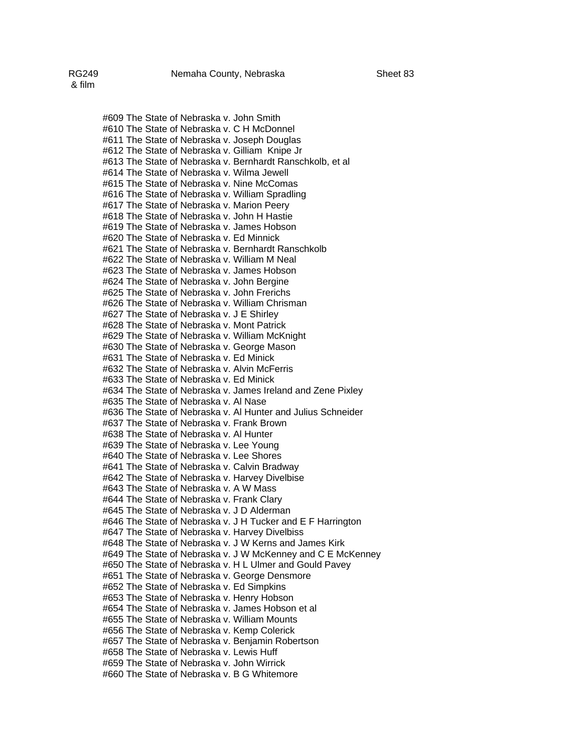#609 The State of Nebraska v. John Smith #610 The State of Nebraska v. C H McDonnel #611 The State of Nebraska v. Joseph Douglas #612 The State of Nebraska v. Gilliam Knipe Jr #613 The State of Nebraska v. Bernhardt Ranschkolb, et al #614 The State of Nebraska v. Wilma Jewell #615 The State of Nebraska v. Nine McComas #616 The State of Nebraska v. William Spradling #617 The State of Nebraska v. Marion Peery #618 The State of Nebraska v. John H Hastie #619 The State of Nebraska v. James Hobson #620 The State of Nebraska v. Ed Minnick #621 The State of Nebraska v. Bernhardt Ranschkolb #622 The State of Nebraska v. William M Neal #623 The State of Nebraska v. James Hobson #624 The State of Nebraska v. John Bergine #625 The State of Nebraska v. John Frerichs #626 The State of Nebraska v. William Chrisman #627 The State of Nebraska v. J E Shirley #628 The State of Nebraska v. Mont Patrick #629 The State of Nebraska v. William McKnight #630 The State of Nebraska v. George Mason #631 The State of Nebraska v. Ed Minick #632 The State of Nebraska v. Alvin McFerris #633 The State of Nebraska v. Ed Minick #634 The State of Nebraska v. James Ireland and Zene Pixley #635 The State of Nebraska v. Al Nase #636 The State of Nebraska v. Al Hunter and Julius Schneider #637 The State of Nebraska v. Frank Brown #638 The State of Nebraska v. Al Hunter #639 The State of Nebraska v. Lee Young #640 The State of Nebraska v. Lee Shores #641 The State of Nebraska v. Calvin Bradway #642 The State of Nebraska v. Harvey Divelbise #643 The State of Nebraska v. A W Mass #644 The State of Nebraska v. Frank Clary #645 The State of Nebraska v. J D Alderman #646 The State of Nebraska v. J H Tucker and E F Harrington #647 The State of Nebraska v. Harvey Divelbiss #648 The State of Nebraska v. J W Kerns and James Kirk #649 The State of Nebraska v. J W McKenney and C E McKenney #650 The State of Nebraska v. H L Ulmer and Gould Pavey #651 The State of Nebraska v. George Densmore #652 The State of Nebraska v. Ed Simpkins #653 The State of Nebraska v. Henry Hobson #654 The State of Nebraska v. James Hobson et al #655 The State of Nebraska v. William Mounts #656 The State of Nebraska v. Kemp Colerick #657 The State of Nebraska v. Benjamin Robertson #658 The State of Nebraska v. Lewis Huff #659 The State of Nebraska v. John Wirrick #660 The State of Nebraska v. B G Whitemore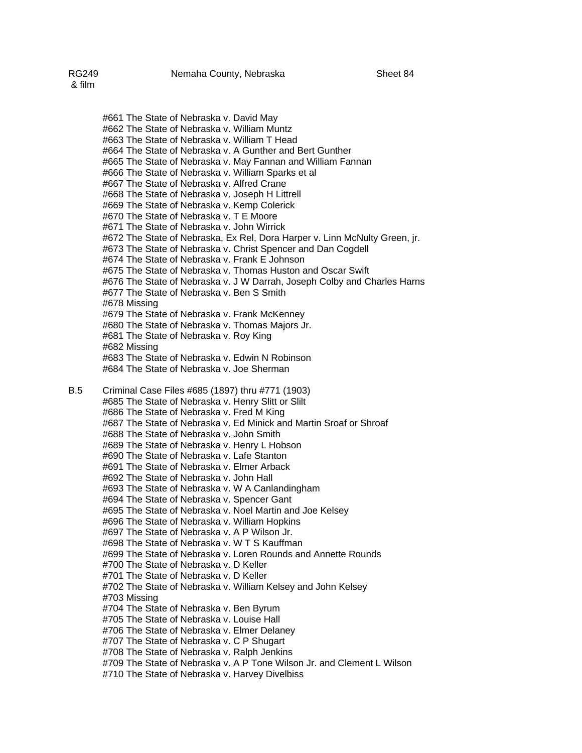#661 The State of Nebraska v. David May #662 The State of Nebraska v. William Muntz #663 The State of Nebraska v. William T Head #664 The State of Nebraska v. A Gunther and Bert Gunther #665 The State of Nebraska v. May Fannan and William Fannan #666 The State of Nebraska v. William Sparks et al #667 The State of Nebraska v. Alfred Crane #668 The State of Nebraska v. Joseph H Littrell #669 The State of Nebraska v. Kemp Colerick #670 The State of Nebraska v. T E Moore #671 The State of Nebraska v. John Wirrick #672 The State of Nebraska, Ex Rel, Dora Harper v. Linn McNulty Green, jr. #673 The State of Nebraska v. Christ Spencer and Dan Cogdell #674 The State of Nebraska v. Frank E Johnson #675 The State of Nebraska v. Thomas Huston and Oscar Swift #676 The State of Nebraska v. J W Darrah, Joseph Colby and Charles Harns #677 The State of Nebraska v. Ben S Smith #678 Missing #679 The State of Nebraska v. Frank McKenney #680 The State of Nebraska v. Thomas Majors Jr. #681 The State of Nebraska v. Roy King #682 Missing #683 The State of Nebraska v. Edwin N Robinson #684 The State of Nebraska v. Joe Sherman B.5 Criminal Case Files #685 (1897) thru #771 (1903) #685 The State of Nebraska v. Henry Slitt or Slilt #686 The State of Nebraska v. Fred M King #687 The State of Nebraska v. Ed Minick and Martin Sroaf or Shroaf #688 The State of Nebraska v. John Smith #689 The State of Nebraska v. Henry L Hobson #690 The State of Nebraska v. Lafe Stanton #691 The State of Nebraska v. Elmer Arback #692 The State of Nebraska v. John Hall #693 The State of Nebraska v. W A Canlandingham #694 The State of Nebraska v. Spencer Gant #695 The State of Nebraska v. Noel Martin and Joe Kelsey #696 The State of Nebraska v. William Hopkins #697 The State of Nebraska v. A P Wilson Jr. #698 The State of Nebraska v. W T S Kauffman #699 The State of Nebraska v. Loren Rounds and Annette Rounds #700 The State of Nebraska v. D Keller

#701 The State of Nebraska v. D Keller

- #702 The State of Nebraska v. William Kelsey and John Kelsey
- #703 Missing
- #704 The State of Nebraska v. Ben Byrum
- #705 The State of Nebraska v. Louise Hall
- #706 The State of Nebraska v. Elmer Delaney
- #707 The State of Nebraska v. C P Shugart
- #708 The State of Nebraska v. Ralph Jenkins
- #709 The State of Nebraska v. A P Tone Wilson Jr. and Clement L Wilson
- #710 The State of Nebraska v. Harvey Divelbiss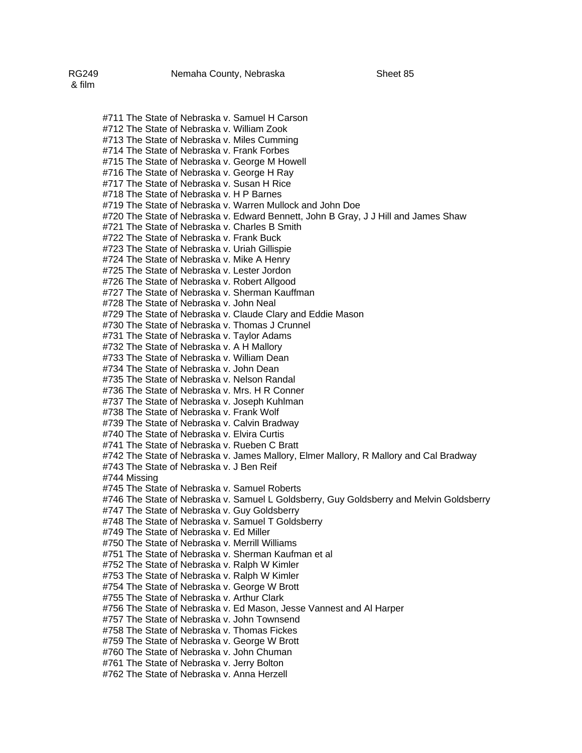#711 The State of Nebraska v. Samuel H Carson #712 The State of Nebraska v. William Zook #713 The State of Nebraska v. Miles Cumming #714 The State of Nebraska v. Frank Forbes #715 The State of Nebraska v. George M Howell #716 The State of Nebraska v. George H Ray #717 The State of Nebraska v. Susan H Rice #718 The State of Nebraska v. H P Barnes #719 The State of Nebraska v. Warren Mullock and John Doe #720 The State of Nebraska v. Edward Bennett, John B Gray, J J Hill and James Shaw #721 The State of Nebraska v. Charles B Smith #722 The State of Nebraska v. Frank Buck #723 The State of Nebraska v. Uriah Gillispie #724 The State of Nebraska v. Mike A Henry #725 The State of Nebraska v. Lester Jordon #726 The State of Nebraska v. Robert Allgood #727 The State of Nebraska v. Sherman Kauffman #728 The State of Nebraska v. John Neal #729 The State of Nebraska v. Claude Clary and Eddie Mason #730 The State of Nebraska v. Thomas J Crunnel #731 The State of Nebraska v. Taylor Adams #732 The State of Nebraska v. A H Mallory #733 The State of Nebraska v. William Dean #734 The State of Nebraska v. John Dean #735 The State of Nebraska v. Nelson Randal #736 The State of Nebraska v. Mrs. H R Conner #737 The State of Nebraska v. Joseph Kuhlman #738 The State of Nebraska v. Frank Wolf #739 The State of Nebraska v. Calvin Bradway #740 The State of Nebraska v. Elvira Curtis #741 The State of Nebraska v. Rueben C Bratt #742 The State of Nebraska v. James Mallory, Elmer Mallory, R Mallory and Cal Bradway #743 The State of Nebraska v. J Ben Reif #744 Missing #745 The State of Nebraska v. Samuel Roberts #746 The State of Nebraska v. Samuel L Goldsberry, Guy Goldsberry and Melvin Goldsberry #747 The State of Nebraska v. Guy Goldsberry #748 The State of Nebraska v. Samuel T Goldsberry #749 The State of Nebraska v. Ed Miller #750 The State of Nebraska v. Merrill Williams #751 The State of Nebraska v. Sherman Kaufman et al #752 The State of Nebraska v. Ralph W Kimler #753 The State of Nebraska v. Ralph W Kimler #754 The State of Nebraska v. George W Brott #755 The State of Nebraska v. Arthur Clark #756 The State of Nebraska v. Ed Mason, Jesse Vannest and Al Harper #757 The State of Nebraska v. John Townsend #758 The State of Nebraska v. Thomas Fickes #759 The State of Nebraska v. George W Brott #760 The State of Nebraska v. John Chuman #761 The State of Nebraska v. Jerry Bolton

#762 The State of Nebraska v. Anna Herzell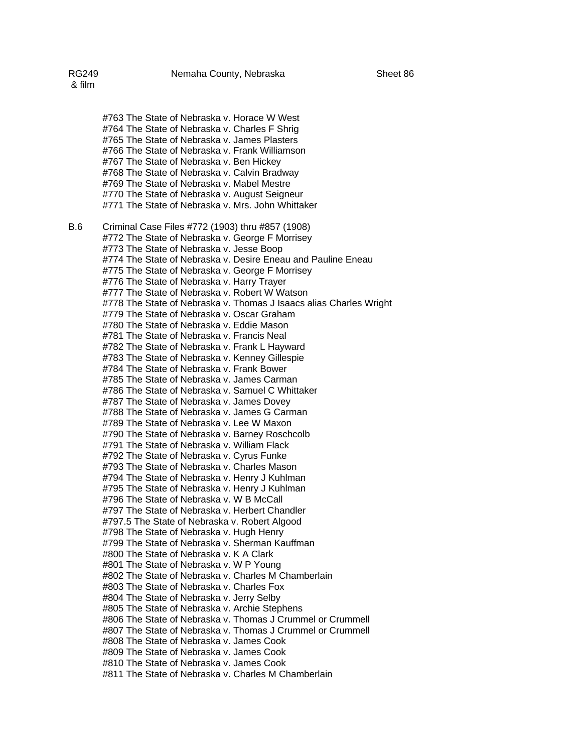#763 The State of Nebraska v. Horace W West #764 The State of Nebraska v. Charles F Shrig #765 The State of Nebraska v. James Plasters #766 The State of Nebraska v. Frank Williamson #767 The State of Nebraska v. Ben Hickey #768 The State of Nebraska v. Calvin Bradway #769 The State of Nebraska v. Mabel Mestre #770 The State of Nebraska v. August Seigneur #771 The State of Nebraska v. Mrs. John Whittaker B.6 Criminal Case Files #772 (1903) thru #857 (1908) #772 The State of Nebraska v. George F Morrisey #773 The State of Nebraska v. Jesse Boop #774 The State of Nebraska v. Desire Eneau and Pauline Eneau #775 The State of Nebraska v. George F Morrisey #776 The State of Nebraska v. Harry Trayer #777 The State of Nebraska v. Robert W Watson #778 The State of Nebraska v. Thomas J Isaacs alias Charles Wright #779 The State of Nebraska v. Oscar Graham #780 The State of Nebraska v. Eddie Mason #781 The State of Nebraska v. Francis Neal #782 The State of Nebraska v. Frank L Hayward #783 The State of Nebraska v. Kenney Gillespie #784 The State of Nebraska v. Frank Bower #785 The State of Nebraska v. James Carman #786 The State of Nebraska v. Samuel C Whittaker #787 The State of Nebraska v. James Dovey #788 The State of Nebraska v. James G Carman #789 The State of Nebraska v. Lee W Maxon #790 The State of Nebraska v. Barney Roschcolb #791 The State of Nebraska v. William Flack #792 The State of Nebraska v. Cyrus Funke #793 The State of Nebraska v. Charles Mason #794 The State of Nebraska v. Henry J Kuhlman #795 The State of Nebraska v. Henry J Kuhlman #796 The State of Nebraska v. W B McCall #797 The State of Nebraska v. Herbert Chandler #797.5 The State of Nebraska v. Robert Algood #798 The State of Nebraska v. Hugh Henry #799 The State of Nebraska v. Sherman Kauffman #800 The State of Nebraska v. K A Clark #801 The State of Nebraska v. W P Young #802 The State of Nebraska v. Charles M Chamberlain #803 The State of Nebraska v. Charles Fox #804 The State of Nebraska v. Jerry Selby #805 The State of Nebraska v. Archie Stephens #806 The State of Nebraska v. Thomas J Crummel or Crummell #807 The State of Nebraska v. Thomas J Crummel or Crummell #808 The State of Nebraska v. James Cook #809 The State of Nebraska v. James Cook #810 The State of Nebraska v. James Cook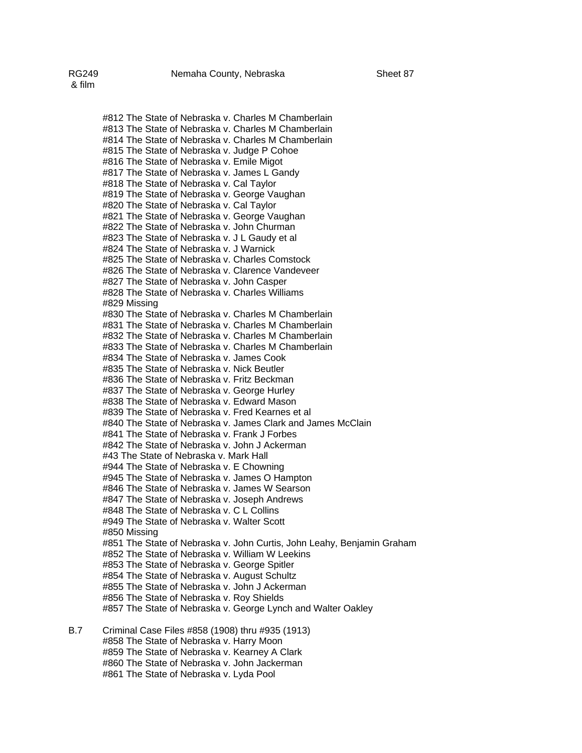#812 The State of Nebraska v. Charles M Chamberlain #813 The State of Nebraska v. Charles M Chamberlain #814 The State of Nebraska v. Charles M Chamberlain #815 The State of Nebraska v. Judge P Cohoe #816 The State of Nebraska v. Emile Migot #817 The State of Nebraska v. James L Gandy #818 The State of Nebraska v. Cal Taylor #819 The State of Nebraska v. George Vaughan #820 The State of Nebraska v. Cal Taylor #821 The State of Nebraska v. George Vaughan #822 The State of Nebraska v. John Churman #823 The State of Nebraska v. J L Gaudy et al #824 The State of Nebraska v. J Warnick #825 The State of Nebraska v. Charles Comstock #826 The State of Nebraska v. Clarence Vandeveer #827 The State of Nebraska v. John Casper #828 The State of Nebraska v. Charles Williams #829 Missing #830 The State of Nebraska v. Charles M Chamberlain #831 The State of Nebraska v. Charles M Chamberlain #832 The State of Nebraska v. Charles M Chamberlain #833 The State of Nebraska v. Charles M Chamberlain #834 The State of Nebraska v. James Cook #835 The State of Nebraska v. Nick Beutler #836 The State of Nebraska v. Fritz Beckman #837 The State of Nebraska v. George Hurley #838 The State of Nebraska v. Edward Mason #839 The State of Nebraska v. Fred Kearnes et al #840 The State of Nebraska v. James Clark and James McClain #841 The State of Nebraska v. Frank J Forbes #842 The State of Nebraska v. John J Ackerman #43 The State of Nebraska v. Mark Hall #944 The State of Nebraska v. E Chowning #945 The State of Nebraska v. James O Hampton #846 The State of Nebraska v. James W Searson #847 The State of Nebraska v. Joseph Andrews #848 The State of Nebraska v. C L Collins #949 The State of Nebraska v. Walter Scott #850 Missing #851 The State of Nebraska v. John Curtis, John Leahy, Benjamin Graham #852 The State of Nebraska v. William W Leekins #853 The State of Nebraska v. George Spitler #854 The State of Nebraska v. August Schultz #855 The State of Nebraska v. John J Ackerman #856 The State of Nebraska v. Roy Shields #857 The State of Nebraska v. George Lynch and Walter Oakley B.7 Criminal Case Files #858 (1908) thru #935 (1913) #858 The State of Nebraska v. Harry Moon #859 The State of Nebraska v. Kearney A Clark #860 The State of Nebraska v. John Jackerman

#861 The State of Nebraska v. Lyda Pool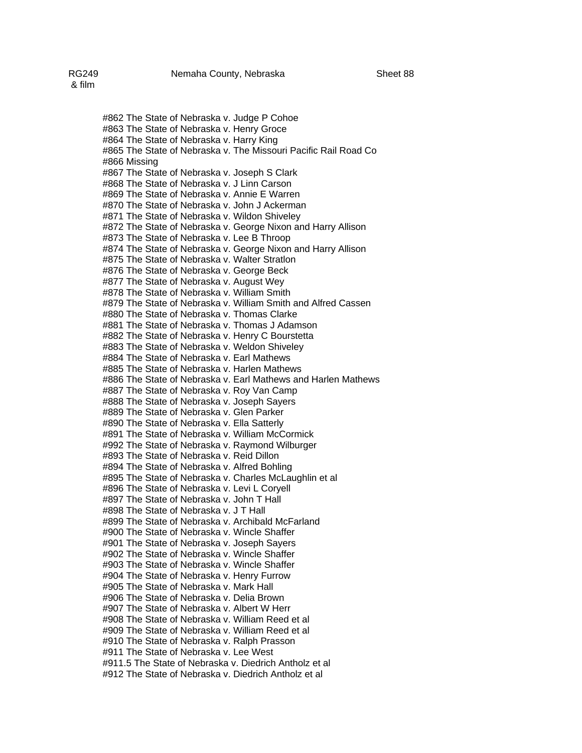## #862 The State of Nebraska v. Judge P Cohoe #863 The State of Nebraska v. Henry Groce #864 The State of Nebraska v. Harry King #865 The State of Nebraska v. The Missouri Pacific Rail Road Co #866 Missing #867 The State of Nebraska v. Joseph S Clark #868 The State of Nebraska v. J Linn Carson #869 The State of Nebraska v. Annie E Warren #870 The State of Nebraska v. John J Ackerman #871 The State of Nebraska v. Wildon Shiveley #872 The State of Nebraska v. George Nixon and Harry Allison #873 The State of Nebraska v. Lee B Throop #874 The State of Nebraska v. George Nixon and Harry Allison #875 The State of Nebraska v. Walter Stratlon #876 The State of Nebraska v. George Beck #877 The State of Nebraska v. August Wey #878 The State of Nebraska v. William Smith #879 The State of Nebraska v. William Smith and Alfred Cassen #880 The State of Nebraska v. Thomas Clarke #881 The State of Nebraska v. Thomas J Adamson #882 The State of Nebraska v. Henry C Bourstetta #883 The State of Nebraska v. Weldon Shiveley #884 The State of Nebraska v. Earl Mathews #885 The State of Nebraska v. Harlen Mathews #886 The State of Nebraska v. Earl Mathews and Harlen Mathews #887 The State of Nebraska v. Roy Van Camp #888 The State of Nebraska v. Joseph Sayers #889 The State of Nebraska v. Glen Parker #890 The State of Nebraska v. Ella Satterly #891 The State of Nebraska v. William McCormick #992 The State of Nebraska v. Raymond Wilburger #893 The State of Nebraska v. Reid Dillon #894 The State of Nebraska v. Alfred Bohling #895 The State of Nebraska v. Charles McLaughlin et al #896 The State of Nebraska v. Levi L Coryell #897 The State of Nebraska v. John T Hall #898 The State of Nebraska v. J T Hall #899 The State of Nebraska v. Archibald McFarland #900 The State of Nebraska v. Wincle Shaffer #901 The State of Nebraska v. Joseph Sayers #902 The State of Nebraska v. Wincle Shaffer #903 The State of Nebraska v. Wincle Shaffer #904 The State of Nebraska v. Henry Furrow #905 The State of Nebraska v. Mark Hall #906 The State of Nebraska v. Delia Brown #907 The State of Nebraska v. Albert W Herr #908 The State of Nebraska v. William Reed et al

#909 The State of Nebraska v. William Reed et al

#910 The State of Nebraska v. Ralph Prasson

#911 The State of Nebraska v. Lee West

#911.5 The State of Nebraska v. Diedrich Antholz et al

#912 The State of Nebraska v. Diedrich Antholz et al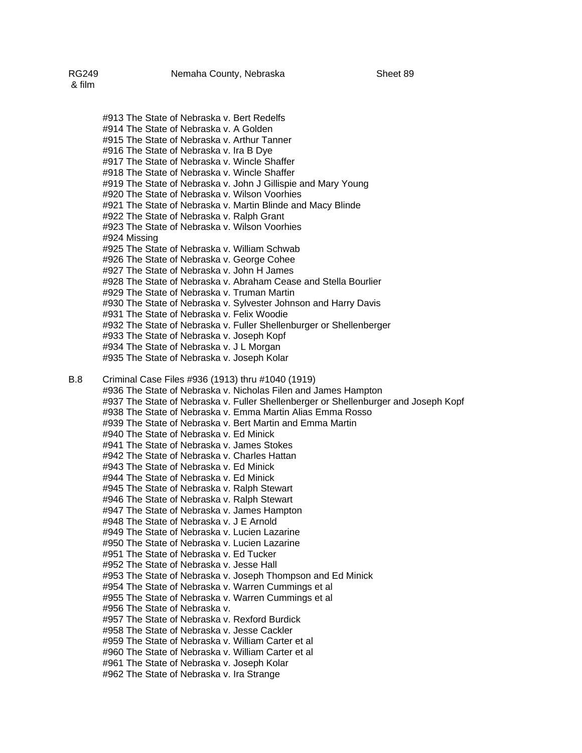#913 The State of Nebraska v. Bert Redelfs #914 The State of Nebraska v. A Golden #915 The State of Nebraska v. Arthur Tanner #916 The State of Nebraska v. Ira B Dye #917 The State of Nebraska v. Wincle Shaffer #918 The State of Nebraska v. Wincle Shaffer #919 The State of Nebraska v. John J Gillispie and Mary Young #920 The State of Nebraska v. Wilson Voorhies #921 The State of Nebraska v. Martin Blinde and Macy Blinde

- #922 The State of Nebraska v. Ralph Grant
- #923 The State of Nebraska v. Wilson Voorhies
- #924 Missing
- #925 The State of Nebraska v. William Schwab
- #926 The State of Nebraska v. George Cohee
- #927 The State of Nebraska v. John H James
- #928 The State of Nebraska v. Abraham Cease and Stella Bourlier
- #929 The State of Nebraska v. Truman Martin
- #930 The State of Nebraska v. Sylvester Johnson and Harry Davis
- #931 The State of Nebraska v. Felix Woodie
- #932 The State of Nebraska v. Fuller Shellenburger or Shellenberger
- #933 The State of Nebraska v. Joseph Kopf
- #934 The State of Nebraska v. J L Morgan
- #935 The State of Nebraska v. Joseph Kolar

## B.8 Criminal Case Files #936 (1913) thru #1040 (1919)

#936 The State of Nebraska v. Nicholas Filen and James Hampton #937 The State of Nebraska v. Fuller Shellenberger or Shellenburger and Joseph Kopf #938 The State of Nebraska v. Emma Martin Alias Emma Rosso #939 The State of Nebraska v. Bert Martin and Emma Martin #940 The State of Nebraska v. Ed Minick #941 The State of Nebraska v. James Stokes #942 The State of Nebraska v. Charles Hattan #943 The State of Nebraska v. Ed Minick #944 The State of Nebraska v. Ed Minick #945 The State of Nebraska v. Ralph Stewart #946 The State of Nebraska v. Ralph Stewart #947 The State of Nebraska v. James Hampton #948 The State of Nebraska v. J E Arnold #949 The State of Nebraska v. Lucien Lazarine #950 The State of Nebraska v. Lucien Lazarine #951 The State of Nebraska v. Ed Tucker #952 The State of Nebraska v. Jesse Hall #953 The State of Nebraska v. Joseph Thompson and Ed Minick #954 The State of Nebraska v. Warren Cummings et al #955 The State of Nebraska v. Warren Cummings et al #956 The State of Nebraska v. #957 The State of Nebraska v. Rexford Burdick #958 The State of Nebraska v. Jesse Cackler #959 The State of Nebraska v. William Carter et al #960 The State of Nebraska v. William Carter et al #961 The State of Nebraska v. Joseph Kolar

#962 The State of Nebraska v. Ira Strange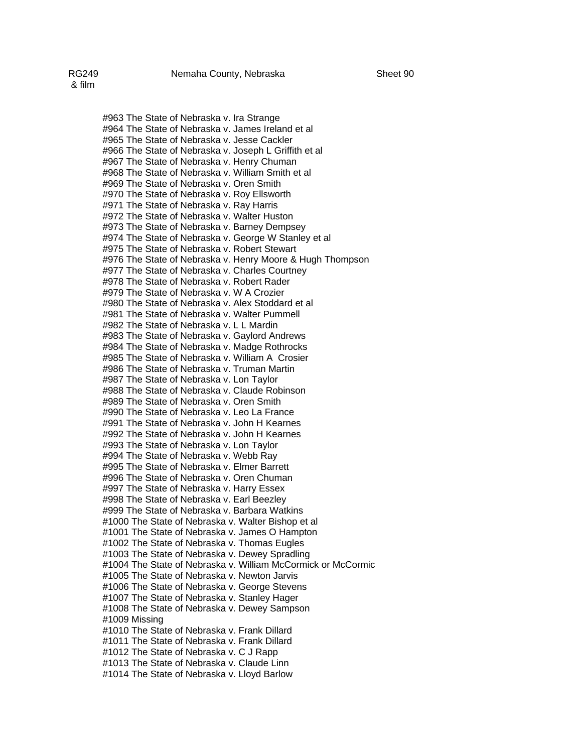#963 The State of Nebraska v. Ira Strange #964 The State of Nebraska v. James Ireland et al #965 The State of Nebraska v. Jesse Cackler #966 The State of Nebraska v. Joseph L Griffith et al #967 The State of Nebraska v. Henry Chuman #968 The State of Nebraska v. William Smith et al #969 The State of Nebraska v. Oren Smith #970 The State of Nebraska v. Roy Ellsworth #971 The State of Nebraska v. Ray Harris #972 The State of Nebraska v. Walter Huston #973 The State of Nebraska v. Barney Dempsey #974 The State of Nebraska v. George W Stanley et al #975 The State of Nebraska v. Robert Stewart #976 The State of Nebraska v. Henry Moore & Hugh Thompson #977 The State of Nebraska v. Charles Courtney #978 The State of Nebraska v. Robert Rader #979 The State of Nebraska v. W A Crozier #980 The State of Nebraska v. Alex Stoddard et al #981 The State of Nebraska v. Walter Pummell #982 The State of Nebraska v. L L Mardin #983 The State of Nebraska v. Gaylord Andrews #984 The State of Nebraska v. Madge Rothrocks #985 The State of Nebraska v. William A Crosier #986 The State of Nebraska v. Truman Martin #987 The State of Nebraska v. Lon Taylor #988 The State of Nebraska v. Claude Robinson #989 The State of Nebraska v. Oren Smith #990 The State of Nebraska v. Leo La France #991 The State of Nebraska v. John H Kearnes #992 The State of Nebraska v. John H Kearnes #993 The State of Nebraska v. Lon Taylor #994 The State of Nebraska v. Webb Ray #995 The State of Nebraska v. Elmer Barrett #996 The State of Nebraska v. Oren Chuman #997 The State of Nebraska v. Harry Essex #998 The State of Nebraska v. Earl Beezley #999 The State of Nebraska v. Barbara Watkins #1000 The State of Nebraska v. Walter Bishop et al #1001 The State of Nebraska v. James O Hampton #1002 The State of Nebraska v. Thomas Eugles #1003 The State of Nebraska v. Dewey Spradling #1004 The State of Nebraska v. William McCormick or McCormic #1005 The State of Nebraska v. Newton Jarvis #1006 The State of Nebraska v. George Stevens #1007 The State of Nebraska v. Stanley Hager

#1008 The State of Nebraska v. Dewey Sampson #1009 Missing

#1010 The State of Nebraska v. Frank Dillard

#1011 The State of Nebraska v. Frank Dillard

#1012 The State of Nebraska v. C J Rapp

#1013 The State of Nebraska v. Claude Linn

#1014 The State of Nebraska v. Lloyd Barlow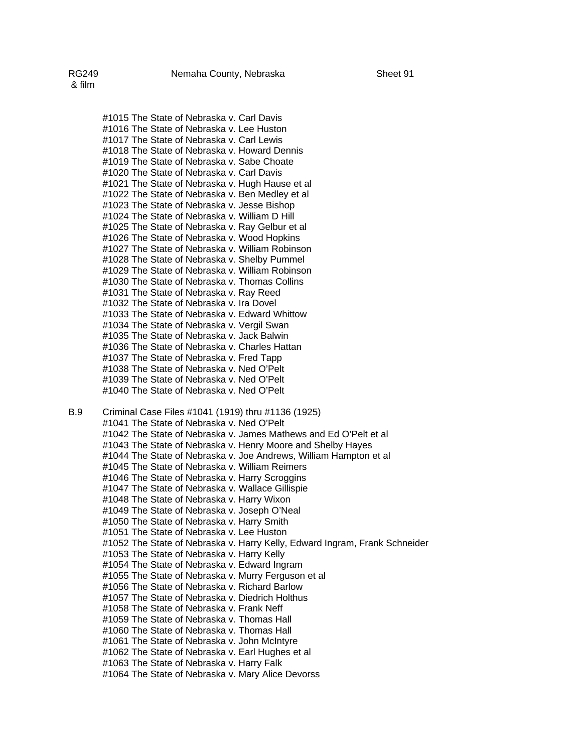#1015 The State of Nebraska v. Carl Davis #1016 The State of Nebraska v. Lee Huston #1017 The State of Nebraska v. Carl Lewis #1018 The State of Nebraska v. Howard Dennis #1019 The State of Nebraska v. Sabe Choate #1020 The State of Nebraska v. Carl Davis #1021 The State of Nebraska v. Hugh Hause et al #1022 The State of Nebraska v. Ben Medley et al #1023 The State of Nebraska v. Jesse Bishop #1024 The State of Nebraska v. William D Hill #1025 The State of Nebraska v. Ray Gelbur et al #1026 The State of Nebraska v. Wood Hopkins #1027 The State of Nebraska v. William Robinson #1028 The State of Nebraska v. Shelby Pummel #1029 The State of Nebraska v. William Robinson #1030 The State of Nebraska v. Thomas Collins #1031 The State of Nebraska v. Ray Reed #1032 The State of Nebraska v. Ira Dovel #1033 The State of Nebraska v. Edward Whittow #1034 The State of Nebraska v. Vergil Swan #1035 The State of Nebraska v. Jack Balwin #1036 The State of Nebraska v. Charles Hattan #1037 The State of Nebraska v. Fred Tapp #1038 The State of Nebraska v. Ned O'Pelt #1039 The State of Nebraska v. Ned O'Pelt #1040 The State of Nebraska v. Ned O'Pelt

B.9 Criminal Case Files #1041 (1919) thru #1136 (1925) #1041 The State of Nebraska v. Ned O'Pelt #1042 The State of Nebraska v. James Mathews and Ed O'Pelt et al #1043 The State of Nebraska v. Henry Moore and Shelby Hayes #1044 The State of Nebraska v. Joe Andrews, William Hampton et al #1045 The State of Nebraska v. William Reimers #1046 The State of Nebraska v. Harry Scroggins #1047 The State of Nebraska v. Wallace Gillispie #1048 The State of Nebraska v. Harry Wixon #1049 The State of Nebraska v. Joseph O'Neal #1050 The State of Nebraska v. Harry Smith #1051 The State of Nebraska v. Lee Huston #1052 The State of Nebraska v. Harry Kelly, Edward Ingram, Frank Schneider #1053 The State of Nebraska v. Harry Kelly #1054 The State of Nebraska v. Edward Ingram #1055 The State of Nebraska v. Murry Ferguson et al #1056 The State of Nebraska v. Richard Barlow #1057 The State of Nebraska v. Diedrich Holthus #1058 The State of Nebraska v. Frank Neff #1059 The State of Nebraska v. Thomas Hall #1060 The State of Nebraska v. Thomas Hall #1061 The State of Nebraska v. John McIntyre #1062 The State of Nebraska v. Earl Hughes et al #1063 The State of Nebraska v. Harry Falk #1064 The State of Nebraska v. Mary Alice Devorss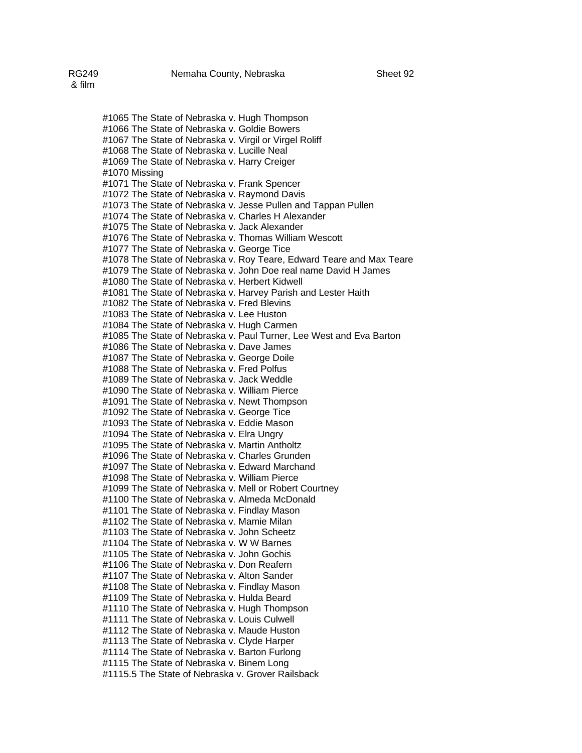#1065 The State of Nebraska v. Hugh Thompson #1066 The State of Nebraska v. Goldie Bowers #1067 The State of Nebraska v. Virgil or Virgel Roliff #1068 The State of Nebraska v. Lucille Neal #1069 The State of Nebraska v. Harry Creiger #1070 Missing #1071 The State of Nebraska v. Frank Spencer #1072 The State of Nebraska v. Raymond Davis #1073 The State of Nebraska v. Jesse Pullen and Tappan Pullen #1074 The State of Nebraska v. Charles H Alexander #1075 The State of Nebraska v. Jack Alexander #1076 The State of Nebraska v. Thomas William Wescott #1077 The State of Nebraska v. George Tice #1078 The State of Nebraska v. Roy Teare, Edward Teare and Max Teare #1079 The State of Nebraska v. John Doe real name David H James #1080 The State of Nebraska v. Herbert Kidwell #1081 The State of Nebraska v. Harvey Parish and Lester Haith #1082 The State of Nebraska v. Fred Blevins #1083 The State of Nebraska v. Lee Huston #1084 The State of Nebraska v. Hugh Carmen #1085 The State of Nebraska v. Paul Turner, Lee West and Eva Barton #1086 The State of Nebraska v. Dave James #1087 The State of Nebraska v. George Doile #1088 The State of Nebraska v. Fred Polfus #1089 The State of Nebraska v. Jack Weddle #1090 The State of Nebraska v. William Pierce #1091 The State of Nebraska v. Newt Thompson #1092 The State of Nebraska v. George Tice #1093 The State of Nebraska v. Eddie Mason #1094 The State of Nebraska v. Elra Ungry #1095 The State of Nebraska v. Martin Antholtz #1096 The State of Nebraska v. Charles Grunden #1097 The State of Nebraska v. Edward Marchand #1098 The State of Nebraska v. William Pierce #1099 The State of Nebraska v. Mell or Robert Courtney #1100 The State of Nebraska v. Almeda McDonald #1101 The State of Nebraska v. Findlay Mason #1102 The State of Nebraska v. Mamie Milan #1103 The State of Nebraska v. John Scheetz #1104 The State of Nebraska v. W W Barnes #1105 The State of Nebraska v. John Gochis #1106 The State of Nebraska v. Don Reafern #1107 The State of Nebraska v. Alton Sander #1108 The State of Nebraska v. Findlay Mason #1109 The State of Nebraska v. Hulda Beard #1110 The State of Nebraska v. Hugh Thompson

#1111 The State of Nebraska v. Louis Culwell

#1112 The State of Nebraska v. Maude Huston

#1113 The State of Nebraska v. Clyde Harper

#1114 The State of Nebraska v. Barton Furlong

#1115 The State of Nebraska v. Binem Long

#1115.5 The State of Nebraska v. Grover Railsback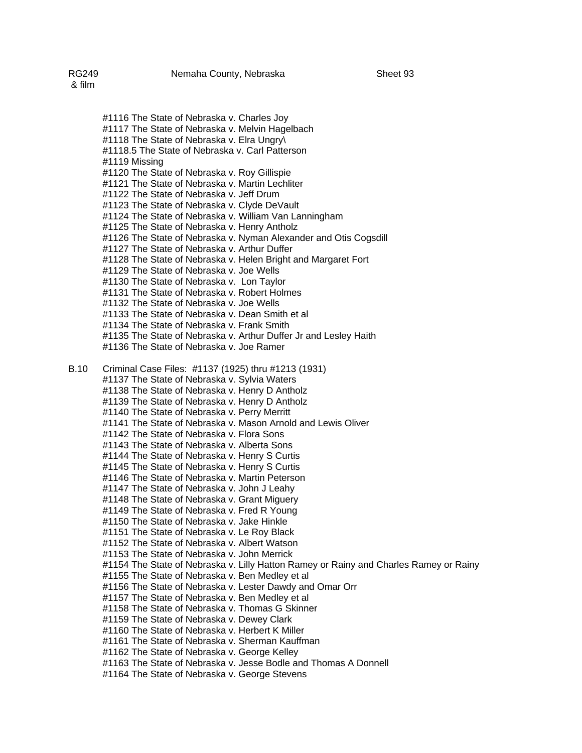#1116 The State of Nebraska v. Charles Joy #1117 The State of Nebraska v. Melvin Hagelbach #1118 The State of Nebraska v. Elra Ungry\ #1118.5 The State of Nebraska v. Carl Patterson #1119 Missing #1120 The State of Nebraska v. Roy Gillispie #1121 The State of Nebraska v. Martin Lechliter #1122 The State of Nebraska v. Jeff Drum #1123 The State of Nebraska v. Clyde DeVault #1124 The State of Nebraska v. William Van Lanningham #1125 The State of Nebraska v. Henry Antholz #1126 The State of Nebraska v. Nyman Alexander and Otis Cogsdill #1127 The State of Nebraska v. Arthur Duffer #1128 The State of Nebraska v. Helen Bright and Margaret Fort #1129 The State of Nebraska v. Joe Wells #1130 The State of Nebraska v. Lon Taylor #1131 The State of Nebraska v. Robert Holmes #1132 The State of Nebraska v. Joe Wells #1133 The State of Nebraska v. Dean Smith et al #1134 The State of Nebraska v. Frank Smith #1135 The State of Nebraska v. Arthur Duffer Jr and Lesley Haith #1136 The State of Nebraska v. Joe Ramer B.10 Criminal Case Files: #1137 (1925) thru #1213 (1931) #1137 The State of Nebraska v. Sylvia Waters #1138 The State of Nebraska v. Henry D Antholz #1139 The State of Nebraska v. Henry D Antholz #1140 The State of Nebraska v. Perry Merritt #1141 The State of Nebraska v. Mason Arnold and Lewis Oliver #1142 The State of Nebraska v. Flora Sons #1143 The State of Nebraska v. Alberta Sons #1144 The State of Nebraska v. Henry S Curtis #1145 The State of Nebraska v. Henry S Curtis #1146 The State of Nebraska v. Martin Peterson #1147 The State of Nebraska v. John J Leahy #1148 The State of Nebraska v. Grant Miguery #1149 The State of Nebraska v. Fred R Young #1150 The State of Nebraska v. Jake Hinkle #1151 The State of Nebraska v. Le Roy Black #1152 The State of Nebraska v. Albert Watson #1153 The State of Nebraska v. John Merrick #1154 The State of Nebraska v. Lilly Hatton Ramey or Rainy and Charles Ramey or Rainy #1155 The State of Nebraska v. Ben Medley et al #1156 The State of Nebraska v. Lester Dawdy and Omar Orr #1157 The State of Nebraska v. Ben Medley et al #1158 The State of Nebraska v. Thomas G Skinner #1159 The State of Nebraska v. Dewey Clark #1160 The State of Nebraska v. Herbert K Miller #1161 The State of Nebraska v. Sherman Kauffman #1162 The State of Nebraska v. George Kelley #1163 The State of Nebraska v. Jesse Bodle and Thomas A Donnell #1164 The State of Nebraska v. George Stevens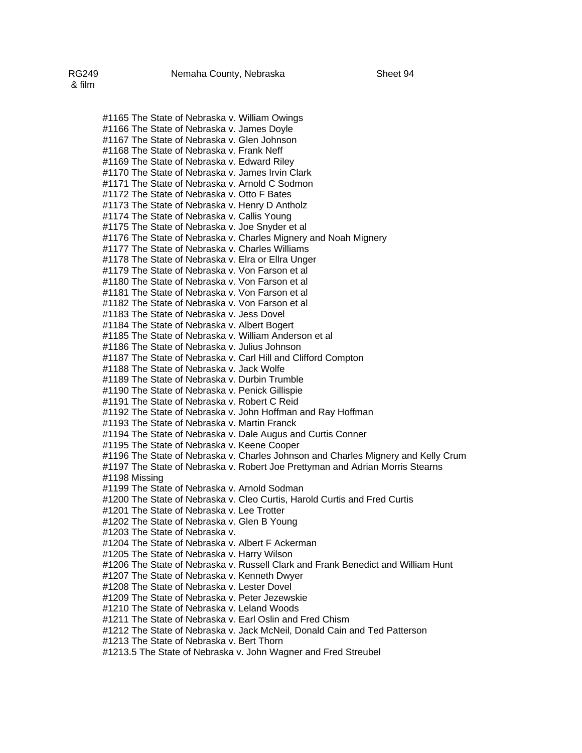#1165 The State of Nebraska v. William Owings #1166 The State of Nebraska v. James Doyle #1167 The State of Nebraska v. Glen Johnson #1168 The State of Nebraska v. Frank Neff #1169 The State of Nebraska v. Edward Riley #1170 The State of Nebraska v. James Irvin Clark #1171 The State of Nebraska v. Arnold C Sodmon #1172 The State of Nebraska v. Otto F Bates #1173 The State of Nebraska v. Henry D Antholz #1174 The State of Nebraska v. Callis Young #1175 The State of Nebraska v. Joe Snyder et al #1176 The State of Nebraska v. Charles Mignery and Noah Mignery #1177 The State of Nebraska v. Charles Williams #1178 The State of Nebraska v. Elra or Ellra Unger #1179 The State of Nebraska v. Von Farson et al #1180 The State of Nebraska v. Von Farson et al #1181 The State of Nebraska v. Von Farson et al #1182 The State of Nebraska v. Von Farson et al #1183 The State of Nebraska v. Jess Dovel #1184 The State of Nebraska v. Albert Bogert #1185 The State of Nebraska v. William Anderson et al #1186 The State of Nebraska v. Julius Johnson #1187 The State of Nebraska v. Carl Hill and Clifford Compton #1188 The State of Nebraska v. Jack Wolfe #1189 The State of Nebraska v. Durbin Trumble #1190 The State of Nebraska v. Penick Gillispie #1191 The State of Nebraska v. Robert C Reid #1192 The State of Nebraska v. John Hoffman and Ray Hoffman #1193 The State of Nebraska v. Martin Franck #1194 The State of Nebraska v. Dale Augus and Curtis Conner #1195 The State of Nebraska v. Keene Cooper #1196 The State of Nebraska v. Charles Johnson and Charles Mignery and Kelly Crum #1197 The State of Nebraska v. Robert Joe Prettyman and Adrian Morris Stearns #1198 Missing #1199 The State of Nebraska v. Arnold Sodman #1200 The State of Nebraska v. Cleo Curtis, Harold Curtis and Fred Curtis #1201 The State of Nebraska v. Lee Trotter #1202 The State of Nebraska v. Glen B Young #1203 The State of Nebraska v. #1204 The State of Nebraska v. Albert F Ackerman #1205 The State of Nebraska v. Harry Wilson #1206 The State of Nebraska v. Russell Clark and Frank Benedict and William Hunt #1207 The State of Nebraska v. Kenneth Dwyer #1208 The State of Nebraska v. Lester Dovel #1209 The State of Nebraska v. Peter Jezewskie #1210 The State of Nebraska v. Leland Woods #1211 The State of Nebraska v. Earl Oslin and Fred Chism #1212 The State of Nebraska v. Jack McNeil, Donald Cain and Ted Patterson #1213 The State of Nebraska v. Bert Thorn #1213.5 The State of Nebraska v. John Wagner and Fred Streubel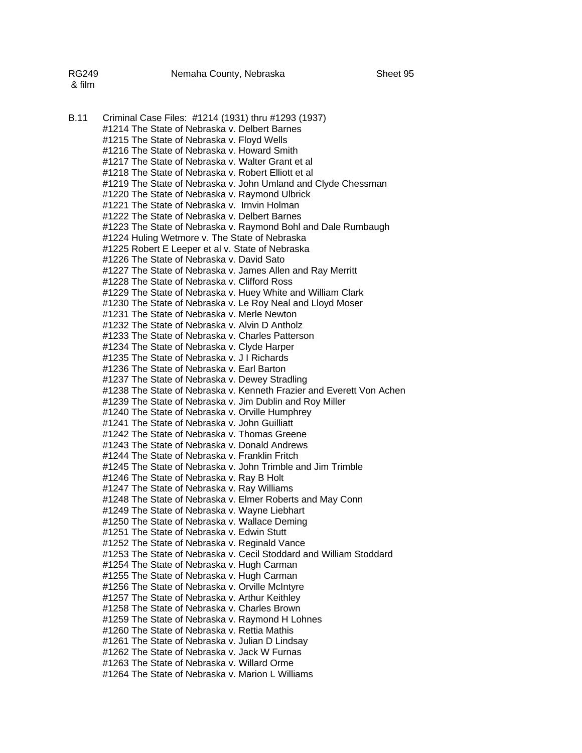| RG249  | Nemaha County, Nebraska | Sheet 95 |
|--------|-------------------------|----------|
| & film |                         |          |

B.11 Criminal Case Files: #1214 (1931) thru #1293 (1937) #1214 The State of Nebraska v. Delbert Barnes #1215 The State of Nebraska v. Floyd Wells #1216 The State of Nebraska v. Howard Smith #1217 The State of Nebraska v. Walter Grant et al #1218 The State of Nebraska v. Robert Elliott et al #1219 The State of Nebraska v. John Umland and Clyde Chessman #1220 The State of Nebraska v. Raymond Ulbrick #1221 The State of Nebraska v. Irnvin Holman #1222 The State of Nebraska v. Delbert Barnes #1223 The State of Nebraska v. Raymond Bohl and Dale Rumbaugh #1224 Huling Wetmore v. The State of Nebraska #1225 Robert E Leeper et al v. State of Nebraska #1226 The State of Nebraska v. David Sato #1227 The State of Nebraska v. James Allen and Ray Merritt #1228 The State of Nebraska v. Clifford Ross #1229 The State of Nebraska v. Huey White and William Clark #1230 The State of Nebraska v. Le Roy Neal and Lloyd Moser #1231 The State of Nebraska v. Merle Newton #1232 The State of Nebraska v. Alvin D Antholz #1233 The State of Nebraska v. Charles Patterson #1234 The State of Nebraska v. Clyde Harper #1235 The State of Nebraska v. J I Richards #1236 The State of Nebraska v. Earl Barton #1237 The State of Nebraska v. Dewey Stradling #1238 The State of Nebraska v. Kenneth Frazier and Everett Von Achen #1239 The State of Nebraska v. Jim Dublin and Roy Miller #1240 The State of Nebraska v. Orville Humphrey #1241 The State of Nebraska v. John Guilliatt #1242 The State of Nebraska v. Thomas Greene #1243 The State of Nebraska v. Donald Andrews #1244 The State of Nebraska v. Franklin Fritch #1245 The State of Nebraska v. John Trimble and Jim Trimble #1246 The State of Nebraska v. Ray B Holt #1247 The State of Nebraska v. Ray Williams #1248 The State of Nebraska v. Elmer Roberts and May Conn #1249 The State of Nebraska v. Wayne Liebhart #1250 The State of Nebraska v. Wallace Deming #1251 The State of Nebraska v. Edwin Stutt #1252 The State of Nebraska v. Reginald Vance #1253 The State of Nebraska v. Cecil Stoddard and William Stoddard #1254 The State of Nebraska v. Hugh Carman #1255 The State of Nebraska v. Hugh Carman #1256 The State of Nebraska v. Orville McIntyre #1257 The State of Nebraska v. Arthur Keithley #1258 The State of Nebraska v. Charles Brown #1259 The State of Nebraska v. Raymond H Lohnes #1260 The State of Nebraska v. Rettia Mathis #1261 The State of Nebraska v. Julian D Lindsay #1262 The State of Nebraska v. Jack W Furnas #1263 The State of Nebraska v. Willard Orme #1264 The State of Nebraska v. Marion L Williams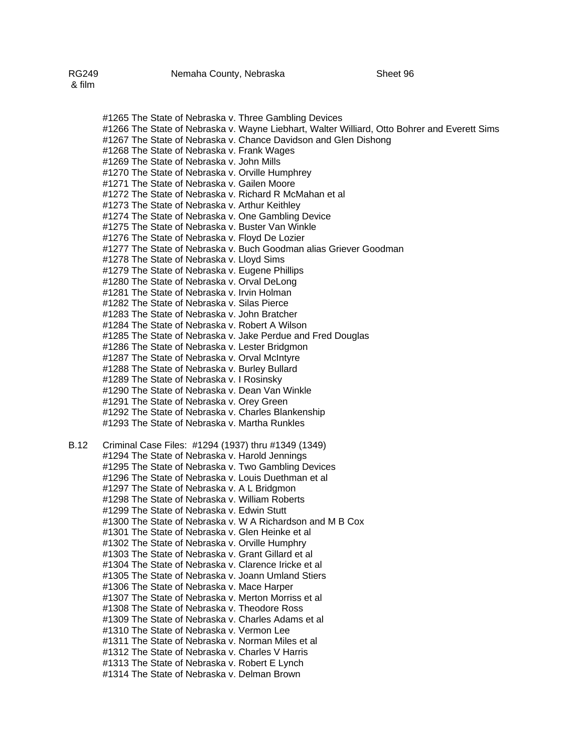#1265 The State of Nebraska v. Three Gambling Devices #1266 The State of Nebraska v. Wayne Liebhart, Walter Williard, Otto Bohrer and Everett Sims #1267 The State of Nebraska v. Chance Davidson and Glen Dishong #1268 The State of Nebraska v. Frank Wages #1269 The State of Nebraska v. John Mills #1270 The State of Nebraska v. Orville Humphrey #1271 The State of Nebraska v. Gailen Moore #1272 The State of Nebraska v. Richard R McMahan et al #1273 The State of Nebraska v. Arthur Keithley #1274 The State of Nebraska v. One Gambling Device #1275 The State of Nebraska v. Buster Van Winkle #1276 The State of Nebraska v. Floyd De Lozier #1277 The State of Nebraska v. Buch Goodman alias Griever Goodman #1278 The State of Nebraska v. Lloyd Sims #1279 The State of Nebraska v. Eugene Phillips #1280 The State of Nebraska v. Orval DeLong #1281 The State of Nebraska v. Irvin Holman #1282 The State of Nebraska v. Silas Pierce #1283 The State of Nebraska v. John Bratcher #1284 The State of Nebraska v. Robert A Wilson #1285 The State of Nebraska v. Jake Perdue and Fred Douglas #1286 The State of Nebraska v. Lester Bridgmon #1287 The State of Nebraska v. Orval McIntyre #1288 The State of Nebraska v. Burley Bullard #1289 The State of Nebraska v. I Rosinsky #1290 The State of Nebraska v. Dean Van Winkle #1291 The State of Nebraska v. Orey Green #1292 The State of Nebraska v. Charles Blankenship #1293 The State of Nebraska v. Martha Runkles B.12 Criminal Case Files: #1294 (1937) thru #1349 (1349)

#1294 The State of Nebraska v. Harold Jennings #1295 The State of Nebraska v. Two Gambling Devices #1296 The State of Nebraska v. Louis Duethman et al #1297 The State of Nebraska v. A L Bridgmon #1298 The State of Nebraska v. William Roberts #1299 The State of Nebraska v. Edwin Stutt #1300 The State of Nebraska v. W A Richardson and M B Cox #1301 The State of Nebraska v. Glen Heinke et al #1302 The State of Nebraska v. Orville Humphry #1303 The State of Nebraska v. Grant Gillard et al #1304 The State of Nebraska v. Clarence Iricke et al #1305 The State of Nebraska v. Joann Umland Stiers #1306 The State of Nebraska v. Mace Harper #1307 The State of Nebraska v. Merton Morriss et al #1308 The State of Nebraska v. Theodore Ross #1309 The State of Nebraska v. Charles Adams et al #1310 The State of Nebraska v. Vermon Lee #1311 The State of Nebraska v. Norman Miles et al #1312 The State of Nebraska v. Charles V Harris #1313 The State of Nebraska v. Robert E Lynch #1314 The State of Nebraska v. Delman Brown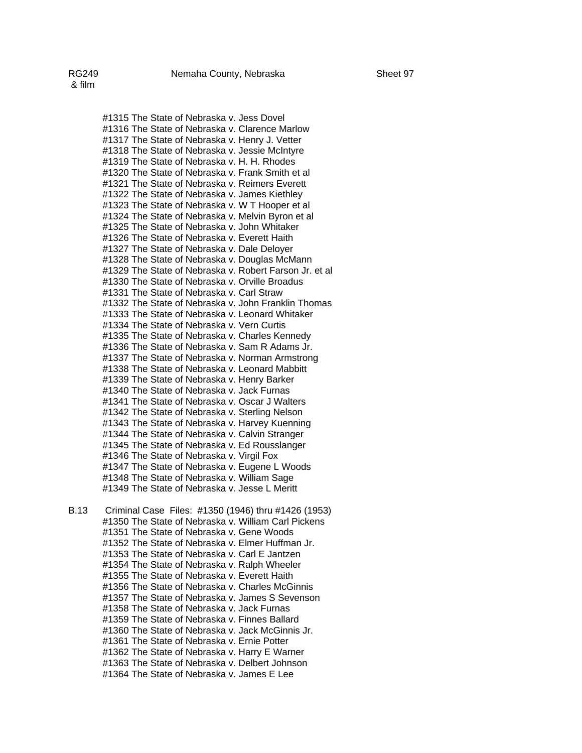#1315 The State of Nebraska v. Jess Dovel #1316 The State of Nebraska v. Clarence Marlow #1317 The State of Nebraska v. Henry J. Vetter #1318 The State of Nebraska v. Jessie McIntyre #1319 The State of Nebraska v. H. H. Rhodes #1320 The State of Nebraska v. Frank Smith et al #1321 The State of Nebraska v. Reimers Everett #1322 The State of Nebraska v. James Kiethley #1323 The State of Nebraska v. W T Hooper et al #1324 The State of Nebraska v. Melvin Byron et al #1325 The State of Nebraska v. John Whitaker #1326 The State of Nebraska v. Everett Haith #1327 The State of Nebraska v. Dale Deloyer #1328 The State of Nebraska v. Douglas McMann #1329 The State of Nebraska v. Robert Farson Jr. et al #1330 The State of Nebraska v. Orville Broadus #1331 The State of Nebraska v. Carl Straw #1332 The State of Nebraska v. John Franklin Thomas #1333 The State of Nebraska v. Leonard Whitaker #1334 The State of Nebraska v. Vern Curtis #1335 The State of Nebraska v. Charles Kennedy #1336 The State of Nebraska v. Sam R Adams Jr. #1337 The State of Nebraska v. Norman Armstrong #1338 The State of Nebraska v. Leonard Mabbitt #1339 The State of Nebraska v. Henry Barker #1340 The State of Nebraska v. Jack Furnas #1341 The State of Nebraska v. Oscar J Walters #1342 The State of Nebraska v. Sterling Nelson #1343 The State of Nebraska v. Harvey Kuenning #1344 The State of Nebraska v. Calvin Stranger #1345 The State of Nebraska v. Ed Rousslanger #1346 The State of Nebraska v. Virgil Fox #1347 The State of Nebraska v. Eugene L Woods #1348 The State of Nebraska v. William Sage #1349 The State of Nebraska v. Jesse L Meritt

B.13 Criminal Case Files: #1350 (1946) thru #1426 (1953) #1350 The State of Nebraska v. William Carl Pickens #1351 The State of Nebraska v. Gene Woods #1352 The State of Nebraska v. Elmer Huffman Jr. #1353 The State of Nebraska v. Carl E Jantzen #1354 The State of Nebraska v. Ralph Wheeler #1355 The State of Nebraska v. Everett Haith #1356 The State of Nebraska v. Charles McGinnis #1357 The State of Nebraska v. James S Sevenson #1358 The State of Nebraska v. Jack Furnas #1359 The State of Nebraska v. Finnes Ballard #1360 The State of Nebraska v. Jack McGinnis Jr. #1361 The State of Nebraska v. Ernie Potter #1362 The State of Nebraska v. Harry E Warner #1363 The State of Nebraska v. Delbert Johnson #1364 The State of Nebraska v. James E Lee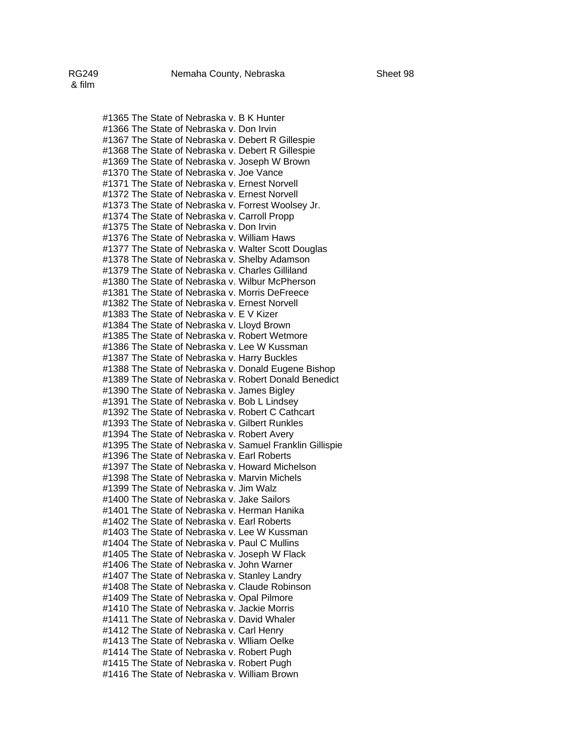#1365 The State of Nebraska v. B K Hunter #1366 The State of Nebraska v. Don Irvin #1367 The State of Nebraska v. Debert R Gillespie #1368 The State of Nebraska v. Debert R Gillespie #1369 The State of Nebraska v. Joseph W Brown #1370 The State of Nebraska v. Joe Vance #1371 The State of Nebraska v. Ernest Norvell #1372 The State of Nebraska v. Ernest Norvell #1373 The State of Nebraska v. Forrest Woolsey Jr. #1374 The State of Nebraska v. Carroll Propp #1375 The State of Nebraska v. Don Irvin #1376 The State of Nebraska v. William Haws #1377 The State of Nebraska v. Walter Scott Douglas #1378 The State of Nebraska v. Shelby Adamson #1379 The State of Nebraska v. Charles Gilliland #1380 The State of Nebraska v. Wilbur McPherson #1381 The State of Nebraska v. Morris DeFreece #1382 The State of Nebraska v. Ernest Norvell #1383 The State of Nebraska v. E V Kizer #1384 The State of Nebraska v. Lloyd Brown #1385 The State of Nebraska v. Robert Wetmore #1386 The State of Nebraska v. Lee W Kussman #1387 The State of Nebraska v. Harry Buckles #1388 The State of Nebraska v. Donald Eugene Bishop #1389 The State of Nebraska v. Robert Donald Benedict #1390 The State of Nebraska v. James Bigley #1391 The State of Nebraska v. Bob L Lindsey #1392 The State of Nebraska v. Robert C Cathcart #1393 The State of Nebraska v. Gilbert Runkles #1394 The State of Nebraska v. Robert Avery #1395 The State of Nebraska v. Samuel Franklin Gillispie #1396 The State of Nebraska v. Earl Roberts #1397 The State of Nebraska v. Howard Michelson #1398 The State of Nebraska v. Marvin Michels #1399 The State of Nebraska v. Jim Walz #1400 The State of Nebraska v. Jake Sailors #1401 The State of Nebraska v. Herman Hanika #1402 The State of Nebraska v. Earl Roberts #1403 The State of Nebraska v. Lee W Kussman #1404 The State of Nebraska v. Paul C Mullins #1405 The State of Nebraska v. Joseph W Flack #1406 The State of Nebraska v. John Warner #1407 The State of Nebraska v. Stanley Landry #1408 The State of Nebraska v. Claude Robinson #1409 The State of Nebraska v. Opal Pilmore #1410 The State of Nebraska v. Jackie Morris #1411 The State of Nebraska v. David Whaler #1412 The State of Nebraska v. Carl Henry #1413 The State of Nebraska v. Wlliam Oelke #1414 The State of Nebraska v. Robert Pugh #1415 The State of Nebraska v. Robert Pugh #1416 The State of Nebraska v. William Brown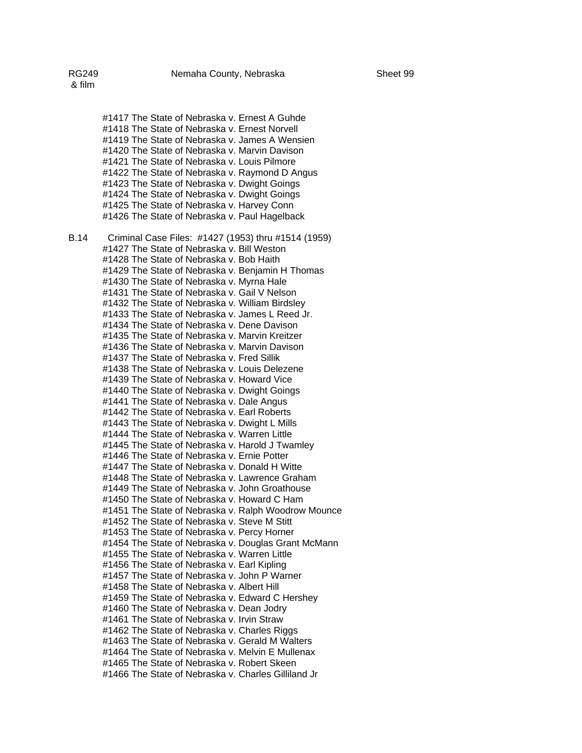#1417 The State of Nebraska v. Ernest A Guhde #1418 The State of Nebraska v. Ernest Norvell #1419 The State of Nebraska v. James A Wensien #1420 The State of Nebraska v. Marvin Davison #1421 The State of Nebraska v. Louis Pilmore #1422 The State of Nebraska v. Raymond D Angus #1423 The State of Nebraska v. Dwight Goings #1424 The State of Nebraska v. Dwight Goings #1425 The State of Nebraska v. Harvey Conn

#1426 The State of Nebraska v. Paul Hagelback B.14 Criminal Case Files: #1427 (1953) thru #1514 (1959) #1427 The State of Nebraska v. Bill Weston #1428 The State of Nebraska v. Bob Haith #1429 The State of Nebraska v. Benjamin H Thomas #1430 The State of Nebraska v. Myrna Hale #1431 The State of Nebraska v. Gail V Nelson #1432 The State of Nebraska v. William Birdsley #1433 The State of Nebraska v. James L Reed Jr. #1434 The State of Nebraska v. Dene Davison #1435 The State of Nebraska v. Marvin Kreitzer #1436 The State of Nebraska v. Marvin Davison #1437 The State of Nebraska v. Fred Sillik #1438 The State of Nebraska v. Louis Delezene #1439 The State of Nebraska v. Howard Vice #1440 The State of Nebraska v. Dwight Goings #1441 The State of Nebraska v. Dale Angus #1442 The State of Nebraska v. Earl Roberts #1443 The State of Nebraska v. Dwight L Mills #1444 The State of Nebraska v. Warren Little #1445 The State of Nebraska v. Harold J Twamley #1446 The State of Nebraska v. Ernie Potter #1447 The State of Nebraska v. Donald H Witte #1448 The State of Nebraska v. Lawrence Graham #1449 The State of Nebraska v. John Groathouse #1450 The State of Nebraska v. Howard C Ham #1451 The State of Nebraska v. Ralph Woodrow Mounce #1452 The State of Nebraska v. Steve M Stitt #1453 The State of Nebraska v. Percy Horner #1454 The State of Nebraska v. Douglas Grant McMann #1455 The State of Nebraska v. Warren Little #1456 The State of Nebraska v. Earl Kipling #1457 The State of Nebraska v. John P Warner #1458 The State of Nebraska v. Albert Hill #1459 The State of Nebraska v. Edward C Hershey #1460 The State of Nebraska v. Dean Jodry #1461 The State of Nebraska v. Irvin Straw #1462 The State of Nebraska v. Charles Riggs #1463 The State of Nebraska v. Gerald M Walters #1464 The State of Nebraska v. Melvin E Mullenax #1465 The State of Nebraska v. Robert Skeen #1466 The State of Nebraska v. Charles Gilliland Jr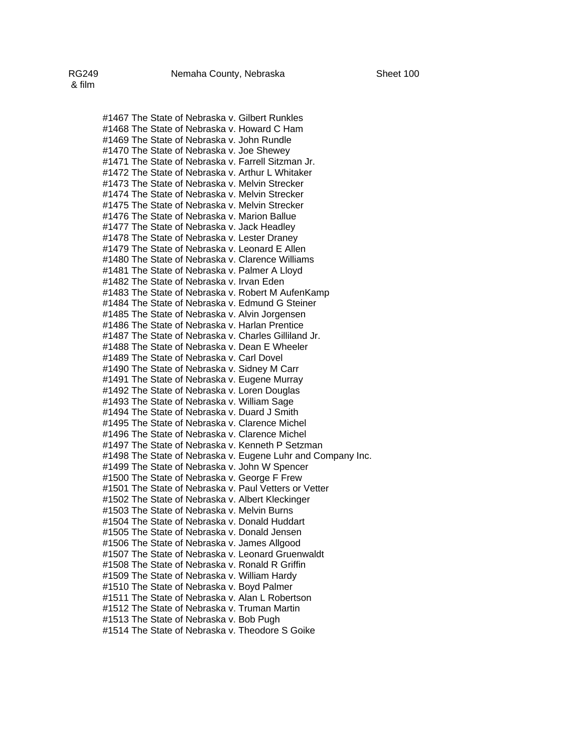#1467 The State of Nebraska v. Gilbert Runkles #1468 The State of Nebraska v. Howard C Ham #1469 The State of Nebraska v. John Rundle #1470 The State of Nebraska v. Joe Shewey #1471 The State of Nebraska v. Farrell Sitzman Jr. #1472 The State of Nebraska v. Arthur L Whitaker #1473 The State of Nebraska v. Melvin Strecker #1474 The State of Nebraska v. Melvin Strecker #1475 The State of Nebraska v. Melvin Strecker #1476 The State of Nebraska v. Marion Ballue #1477 The State of Nebraska v. Jack Headley #1478 The State of Nebraska v. Lester Draney #1479 The State of Nebraska v. Leonard E Allen #1480 The State of Nebraska v. Clarence Williams #1481 The State of Nebraska v. Palmer A Lloyd #1482 The State of Nebraska v. Irvan Eden #1483 The State of Nebraska v. Robert M AufenKamp #1484 The State of Nebraska v. Edmund G Steiner #1485 The State of Nebraska v. Alvin Jorgensen #1486 The State of Nebraska v. Harlan Prentice #1487 The State of Nebraska v. Charles Gilliland Jr. #1488 The State of Nebraska v. Dean E Wheeler #1489 The State of Nebraska v. Carl Dovel #1490 The State of Nebraska v. Sidney M Carr #1491 The State of Nebraska v. Eugene Murray #1492 The State of Nebraska v. Loren Douglas #1493 The State of Nebraska v. William Sage #1494 The State of Nebraska v. Duard J Smith #1495 The State of Nebraska v. Clarence Michel #1496 The State of Nebraska v. Clarence Michel #1497 The State of Nebraska v. Kenneth P Setzman #1498 The State of Nebraska v. Eugene Luhr and Company Inc. #1499 The State of Nebraska v. John W Spencer #1500 The State of Nebraska v. George F Frew #1501 The State of Nebraska v. Paul Vetters or Vetter #1502 The State of Nebraska v. Albert Kleckinger #1503 The State of Nebraska v. Melvin Burns #1504 The State of Nebraska v. Donald Huddart #1505 The State of Nebraska v. Donald Jensen #1506 The State of Nebraska v. James Allgood #1507 The State of Nebraska v. Leonard Gruenwaldt #1508 The State of Nebraska v. Ronald R Griffin #1509 The State of Nebraska v. William Hardy #1510 The State of Nebraska v. Boyd Palmer #1511 The State of Nebraska v. Alan L Robertson #1512 The State of Nebraska v. Truman Martin #1513 The State of Nebraska v. Bob Pugh #1514 The State of Nebraska v. Theodore S Goike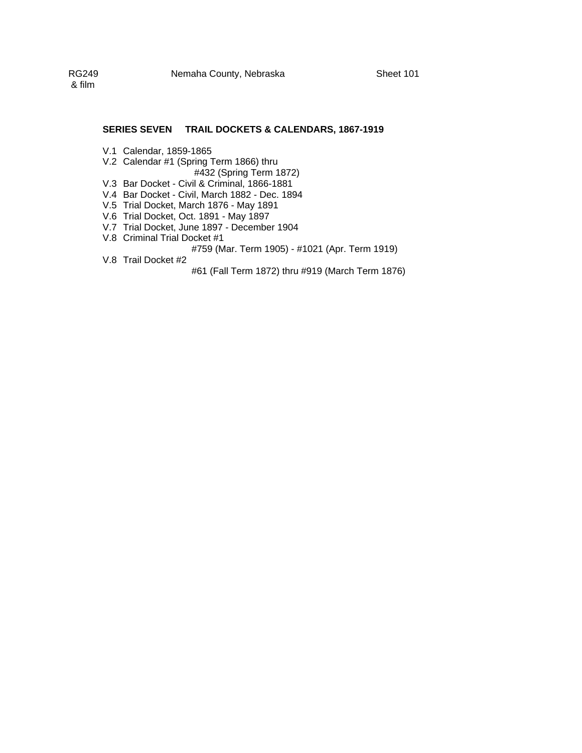## **SERIES SEVEN TRAIL DOCKETS & CALENDARS, 1867-1919**

- V.1 Calendar, 1859-1865
- V.2 Calendar #1 (Spring Term 1866) thru
- #432 (Spring Term 1872)
- V.3 Bar Docket Civil & Criminal, 1866-1881
- V.4 Bar Docket Civil, March 1882 Dec. 1894
- V.5 Trial Docket, March 1876 May 1891
- V.6 Trial Docket, Oct. 1891 May 1897
- V.7 Trial Docket, June 1897 December 1904
- V.8 Criminal Trial Docket #1
	- #759 (Mar. Term 1905) #1021 (Apr. Term 1919)
- V.8 Trail Docket #2

#61 (Fall Term 1872) thru #919 (March Term 1876)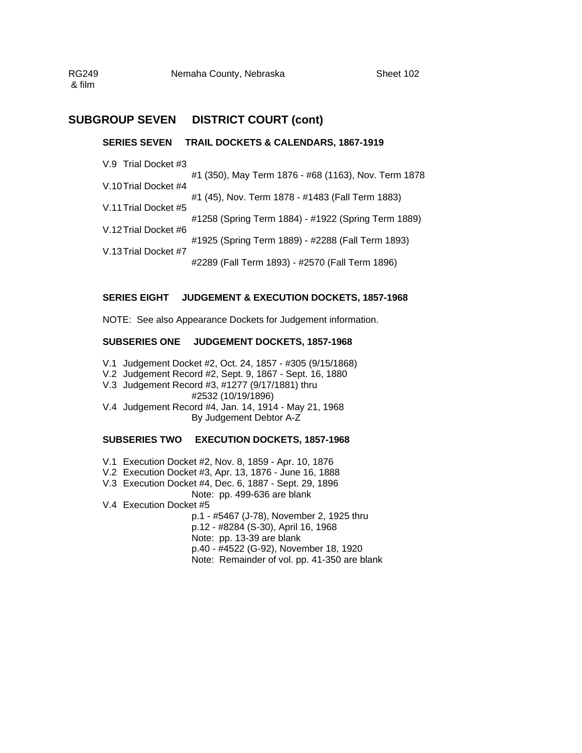RG249 Nemaha County, Nebraska Sheet 102 & film

# **SUBGROUP SEVEN DISTRICT COURT (cont)**

## **SERIES SEVEN TRAIL DOCKETS & CALENDARS, 1867-1919**

V.9 Trial Docket #3

#1 (350), May Term 1876 - #68 (1163), Nov. Term 1878 V.10 Trial Docket #4 #1 (45), Nov. Term 1878 - #1483 (Fall Term 1883) V.11 Trial Docket #5 #1258 (Spring Term 1884) - #1922 (Spring Term 1889) V.12 Trial Docket #6 #1925 (Spring Term 1889) - #2288 (Fall Term 1893) V.13 Trial Docket #7 #2289 (Fall Term 1893) - #2570 (Fall Term 1896)

## **SERIES EIGHT JUDGEMENT & EXECUTION DOCKETS, 1857-1968**

NOTE: See also Appearance Dockets for Judgement information.

## **SUBSERIES ONE JUDGEMENT DOCKETS, 1857-1968**

- V.1 Judgement Docket #2, Oct. 24, 1857 #305 (9/15/1868)
- V.2 Judgement Record #2, Sept. 9, 1867 Sept. 16, 1880
- V.3 Judgement Record #3, #1277 (9/17/1881) thru #2532 (10/19/1896)
- V.4 Judgement Record #4, Jan. 14, 1914 May 21, 1968 By Judgement Debtor A-Z

## **SUBSERIES TWO EXECUTION DOCKETS, 1857-1968**

- V.1 Execution Docket #2, Nov. 8, 1859 Apr. 10, 1876
- V.2 Execution Docket #3, Apr. 13, 1876 June 16, 1888
- V.3 Execution Docket #4, Dec. 6, 1887 Sept. 29, 1896

## Note: pp. 499-636 are blank

V.4 Execution Docket #5

p.1 - #5467 (J-78), November 2, 1925 thru p.12 - #8284 (S-30), April 16, 1968 Note: pp. 13-39 are blank p.40 - #4522 (G-92), November 18, 1920 Note: Remainder of vol. pp. 41-350 are blank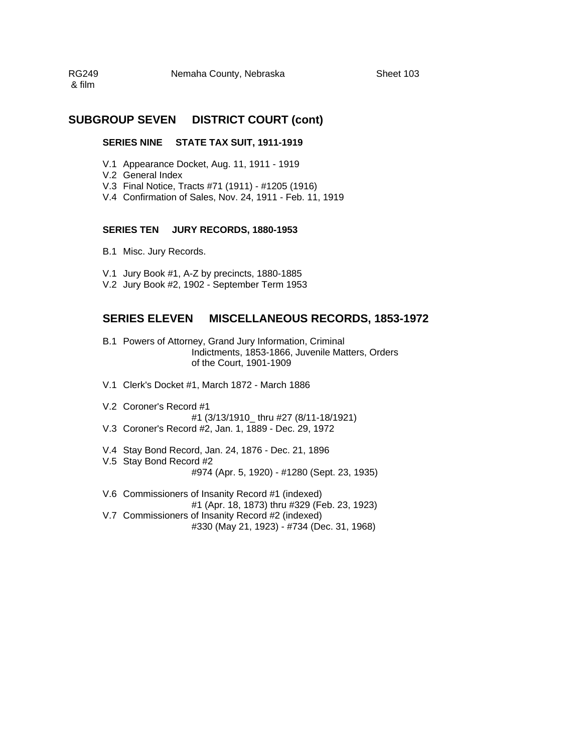RG249 Nemaha County, Nebraska Sheet 103 & film

# **SUBGROUP SEVEN DISTRICT COURT (cont)**

#### **SERIES NINE STATE TAX SUIT, 1911-1919**

- V.1 Appearance Docket, Aug. 11, 1911 1919
- V.2 General Index
- V.3 Final Notice, Tracts #71 (1911) #1205 (1916)
- V.4 Confirmation of Sales, Nov. 24, 1911 Feb. 11, 1919

## **SERIES TEN JURY RECORDS, 1880-1953**

- B.1 Misc. Jury Records.
- V.1 Jury Book #1, A-Z by precincts, 1880-1885
- V.2 Jury Book #2, 1902 September Term 1953

# **SERIES ELEVEN MISCELLANEOUS RECORDS, 1853-1972**

- B.1 Powers of Attorney, Grand Jury Information, Criminal Indictments, 1853-1866, Juvenile Matters, Orders of the Court, 1901-1909
- V.1 Clerk's Docket #1, March 1872 March 1886
- V.2 Coroner's Record #1
- #1 (3/13/1910\_ thru #27 (8/11-18/1921)
- V.3 Coroner's Record #2, Jan. 1, 1889 Dec. 29, 1972
- V.4 Stay Bond Record, Jan. 24, 1876 Dec. 21, 1896
- V.5 Stay Bond Record #2
	- #974 (Apr. 5, 1920) #1280 (Sept. 23, 1935)
- V.6 Commissioners of Insanity Record #1 (indexed) #1 (Apr. 18, 1873) thru #329 (Feb. 23, 1923) V.7 Commissioners of Insanity Record #2 (indexed) #330 (May 21, 1923) - #734 (Dec. 31, 1968)